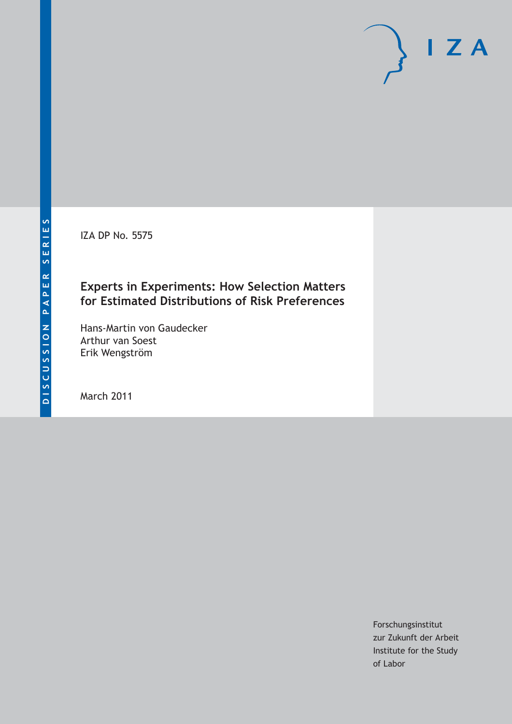IZA DP No. 5575

## **Experts in Experiments: How Selection Matters for Estimated Distributions of Risk Preferences**

Hans-Martin von Gaudecker Arthur van Soest Erik Wengström

March 2011

Forschungsinstitut zur Zukunft der Arbeit Institute for the Study of Labor

 $I Z A$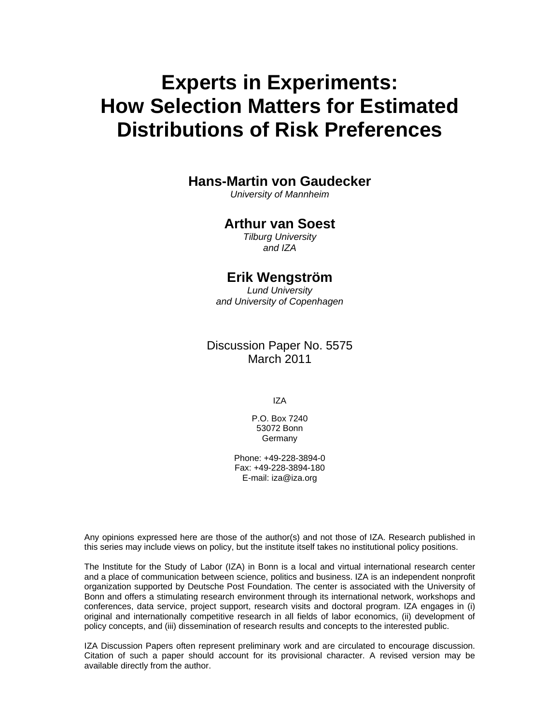# **Experts in Experiments: How Selection Matters for Estimated Distributions of Risk Preferences**

### **Hans-Martin von Gaudecker**

*University of Mannheim* 

### **Arthur van Soest**

*Tilburg University and IZA* 

### **Erik Wengström**

*Lund University and University of Copenhagen* 

Discussion Paper No. 5575 March 2011

IZA

P.O. Box 7240 53072 Bonn **Germany** 

Phone: +49-228-3894-0 Fax: +49-228-3894-180 E-mail: iza@iza.org

Any opinions expressed here are those of the author(s) and not those of IZA. Research published in this series may include views on policy, but the institute itself takes no institutional policy positions.

The Institute for the Study of Labor (IZA) in Bonn is a local and virtual international research center and a place of communication between science, politics and business. IZA is an independent nonprofit organization supported by Deutsche Post Foundation. The center is associated with the University of Bonn and offers a stimulating research environment through its international network, workshops and conferences, data service, project support, research visits and doctoral program. IZA engages in (i) original and internationally competitive research in all fields of labor economics, (ii) development of policy concepts, and (iii) dissemination of research results and concepts to the interested public.

IZA Discussion Papers often represent preliminary work and are circulated to encourage discussion. Citation of such a paper should account for its provisional character. A revised version may be available directly from the author.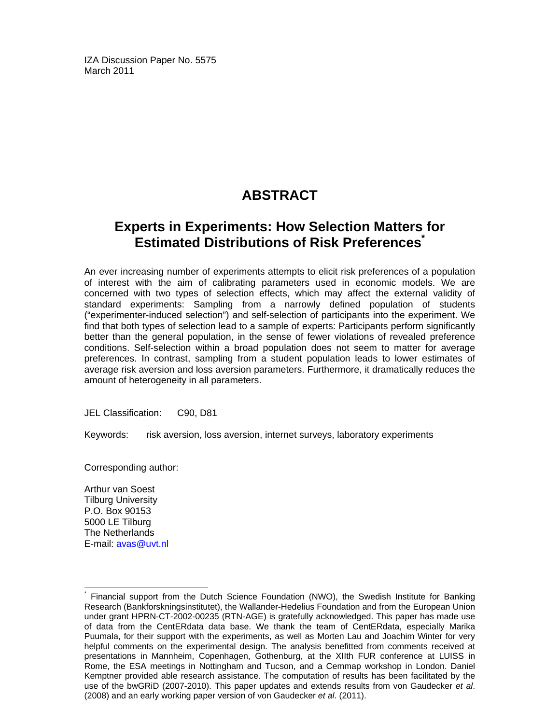IZA Discussion Paper No. 5575 March 2011

## **ABSTRACT**

## **Experts in Experiments: How Selection Matters for Estimated Distributions of Risk Preferences**<sup>\*</sup>

An ever increasing number of experiments attempts to elicit risk preferences of a population of interest with the aim of calibrating parameters used in economic models. We are concerned with two types of selection effects, which may affect the external validity of standard experiments: Sampling from a narrowly defined population of students ("experimenter-induced selection") and self-selection of participants into the experiment. We find that both types of selection lead to a sample of experts: Participants perform significantly better than the general population, in the sense of fewer violations of revealed preference conditions. Self-selection within a broad population does not seem to matter for average preferences. In contrast, sampling from a student population leads to lower estimates of average risk aversion and loss aversion parameters. Furthermore, it dramatically reduces the amount of heterogeneity in all parameters.

JEL Classification: C90, D81

Keywords: risk aversion, loss aversion, internet surveys, laboratory experiments

Corresponding author:

Arthur van Soest Tilburg University P.O. Box 90153 5000 LE Tilburg The Netherlands E-mail: avas@uvt.nl

<sup>-</sup>\* Financial support from the Dutch Science Foundation (NWO), the Swedish Institute for Banking Research (Bankforskningsinstitutet), the Wallander-Hedelius Foundation and from the European Union under grant HPRN-CT-2002-00235 (RTN-AGE) is gratefully acknowledged. This paper has made use of data from the CentERdata data base. We thank the team of CentERdata, especially Marika Puumala, for their support with the experiments, as well as Morten Lau and Joachim Winter for very helpful comments on the experimental design. The analysis benefitted from comments received at presentations in Mannheim, Copenhagen, Gothenburg, at the XIIth FUR conference at LUISS in Rome, the ESA meetings in Nottingham and Tucson, and a Cemmap workshop in London. Daniel Kemptner provided able research assistance. The computation of results has been facilitated by the use of the bwGRiD (2007-2010). This paper updates and extends results from von Gaudecker *et al*. (2008) and an early working paper version of von Gaudecker *et al*. (2011).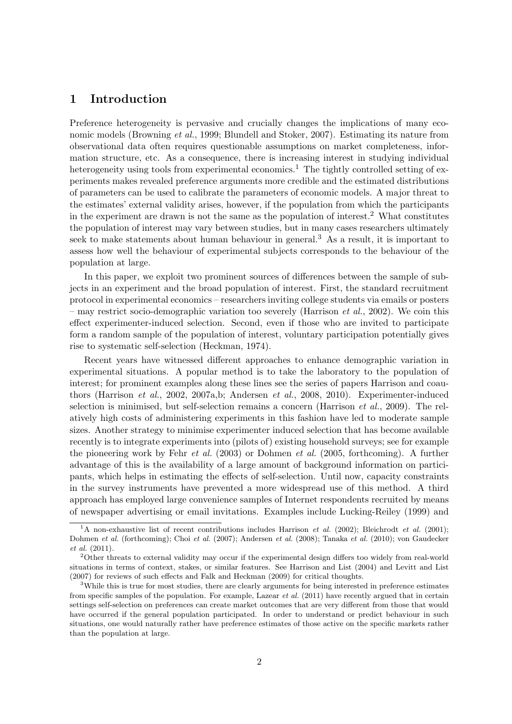### 1 Introduction

Preference heterogeneity is pervasive and crucially changes the implications of many economic models [\(Browning](#page-27-0) et al., [1999;](#page-27-0) [Blundell and Stoker,](#page-27-1) [2007\)](#page-27-1). Estimating its nature from observational data often requires questionable assumptions on market completeness, information structure, etc. As a consequence, there is increasing interest in studying individual heterogeneity using tools from experimental economics.<sup>1</sup> The tightly controlled setting of experiments makes revealed preference arguments more credible and the estimated distributions of parameters can be used to calibrate the parameters of economic models. A major threat to the estimates' external validity arises, however, if the population from which the participants in the experiment are drawn is not the same as the population of interest.<sup>2</sup> What constitutes the population of interest may vary between studies, but in many cases researchers ultimately seek to make statements about human behaviour in general.<sup>3</sup> As a result, it is important to assess how well the behaviour of experimental subjects corresponds to the behaviour of the population at large.

In this paper, we exploit two prominent sources of differences between the sample of subjects in an experiment and the broad population of interest. First, the standard recruitment protocol in experimental economics – researchers inviting college students via emails or posters – may restrict socio-demographic variation too severely [\(Harrison](#page-28-0) *et al.*, [2002\)](#page-28-0). We coin this effect experimenter-induced selection. Second, even if those who are invited to participate form a random sample of the population of interest, voluntary participation potentially gives rise to systematic self-selection [\(Heckman,](#page-28-1) [1974\)](#page-28-1).

Recent years have witnessed different approaches to enhance demographic variation in experimental situations. A popular method is to take the laboratory to the population of interest; for prominent examples along these lines see the series of papers Harrison and coauthors [\(Harrison](#page-28-0) et al., [2002,](#page-28-0) [2007a](#page-28-2)[,b;](#page-28-3) [Andersen](#page-27-2) et al., [2008,](#page-27-2) [2010\)](#page-27-3). Experimenter-induced selection is minimised, but self-selection remains a concern [\(Harrison](#page-28-4)  $et al., 2009$ ). The relatively high costs of administering experiments in this fashion have led to moderate sample sizes. Another strategy to minimise experimenter induced selection that has become available recently is to integrate experiments into (pilots of) existing household surveys; see for example the pioneering work by Fehr [et al.](#page-28-5) [\(2003\)](#page-28-5) or [Dohmen](#page-28-6) et al. [\(2005,](#page-28-6) [forthcoming\)](#page-28-7). A further advantage of this is the availability of a large amount of background information on participants, which helps in estimating the effects of self-selection. Until now, capacity constraints in the survey instruments have prevented a more widespread use of this method. A third approach has employed large convenience samples of Internet respondents recruited by means of newspaper advertising or email invitations. Examples include [Lucking-Reiley](#page-29-0) [\(1999\)](#page-29-0) and

<sup>&</sup>lt;sup>1</sup>A non-exhaustive list of recent contributions includes [Harrison](#page-28-0) *et al.* [\(2002\)](#page-28-0); [Bleichrodt](#page-27-4) *et al.* [\(2001\)](#page-27-4); [Dohmen](#page-28-7) et al. [\(forthcoming\)](#page-28-7); Choi [et al.](#page-28-8) [\(2007\)](#page-28-8); [Andersen](#page-27-2) et al. [\(2008\)](#page-27-2); [Tanaka](#page-30-0) et al. [\(2010\)](#page-30-0); [von Gaudecker](#page-30-1) [et al.](#page-30-1) [\(2011\)](#page-30-1).

<sup>2</sup>Other threats to external validity may occur if the experimental design differs too widely from real-world situations in terms of context, stakes, or similar features. See [Harrison and List](#page-28-9) [\(2004\)](#page-28-9) and [Levitt and List](#page-29-1) [\(2007\)](#page-29-1) for reviews of such effects and [Falk and Heckman](#page-28-10) [\(2009\)](#page-28-10) for critical thoughts.

<sup>&</sup>lt;sup>3</sup>While this is true for most studies, there are clearly arguments for being interested in preference estimates from specific samples of the population. For example, [Lazear](#page-29-2) et al. [\(2011\)](#page-29-2) have recently argued that in certain settings self-selection on preferences can create market outcomes that are very different from those that would have occurred if the general population participated. In order to understand or predict behaviour in such situations, one would naturally rather have preference estimates of those active on the specific markets rather than the population at large.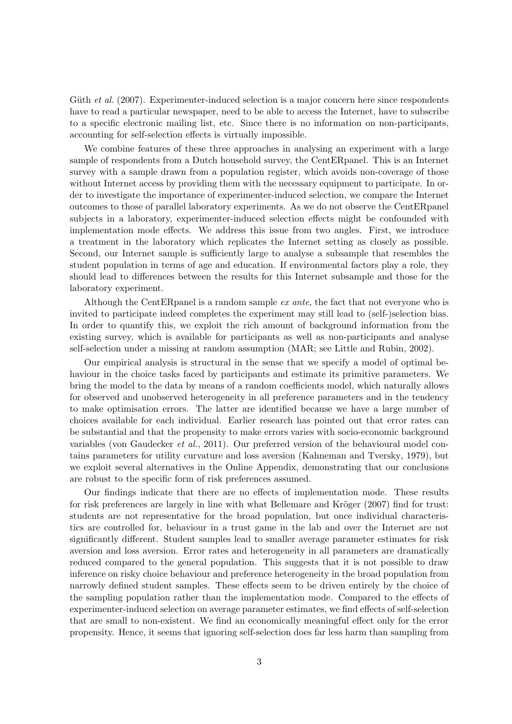Güth *et al.* [\(2007\)](#page-28-11). Experimenter-induced selection is a major concern here since respondents have to read a particular newspaper, need to be able to access the Internet, have to subscribe to a specific electronic mailing list, etc. Since there is no information on non-participants, accounting for self-selection effects is virtually impossible.

We combine features of these three approaches in analysing an experiment with a large sample of respondents from a Dutch household survey, the CentERpanel. This is an Internet survey with a sample drawn from a population register, which avoids non-coverage of those without Internet access by providing them with the necessary equipment to participate. In order to investigate the importance of experimenter-induced selection, we compare the Internet outcomes to those of parallel laboratory experiments. As we do not observe the CentERpanel subjects in a laboratory, experimenter-induced selection effects might be confounded with implementation mode effects. We address this issue from two angles. First, we introduce a treatment in the laboratory which replicates the Internet setting as closely as possible. Second, our Internet sample is sufficiently large to analyse a subsample that resembles the student population in terms of age and education. If environmental factors play a role, they should lead to differences between the results for this Internet subsample and those for the laboratory experiment.

Although the CentERpanel is a random sample ex ante, the fact that not everyone who is invited to participate indeed completes the experiment may still lead to (self-)selection bias. In order to quantify this, we exploit the rich amount of background information from the existing survey, which is available for participants as well as non-participants and analyse self-selection under a missing at random assumption (MAR; see [Little and Rubin,](#page-29-3) [2002\)](#page-29-3).

Our empirical analysis is structural in the sense that we specify a model of optimal behaviour in the choice tasks faced by participants and estimate its primitive parameters. We bring the model to the data by means of a random coefficients model, which naturally allows for observed and unobserved heterogeneity in all preference parameters and in the tendency to make optimisation errors. The latter are identified because we have a large number of choices available for each individual. Earlier research has pointed out that error rates can be substantial and that the propensity to make errors varies with socio-economic background variables [\(von Gaudecker](#page-30-1) et al., [2011\)](#page-30-1). Our preferred version of the behavioural model contains parameters for utility curvature and loss aversion [\(Kahneman and Tversky,](#page-29-4) [1979\)](#page-29-4), but we exploit several alternatives in the Online Appendix, demonstrating that our conclusions are robust to the specific form of risk preferences assumed.

Our findings indicate that there are no effects of implementation mode. These results for risk preferences are largely in line with what Bellemare and Kröger [\(2007\)](#page-27-5) find for trust: students are not representative for the broad population, but once individual characteristics are controlled for, behaviour in a trust game in the lab and over the Internet are not significantly different. Student samples lead to smaller average parameter estimates for risk aversion and loss aversion. Error rates and heterogeneity in all parameters are dramatically reduced compared to the general population. This suggests that it is not possible to draw inference on risky choice behaviour and preference heterogeneity in the broad population from narrowly defined student samples. These effects seem to be driven entirely by the choice of the sampling population rather than the implementation mode. Compared to the effects of experimenter-induced selection on average parameter estimates, we find effects of self-selection that are small to non-existent. We find an economically meaningful effect only for the error propensity. Hence, it seems that ignoring self-selection does far less harm than sampling from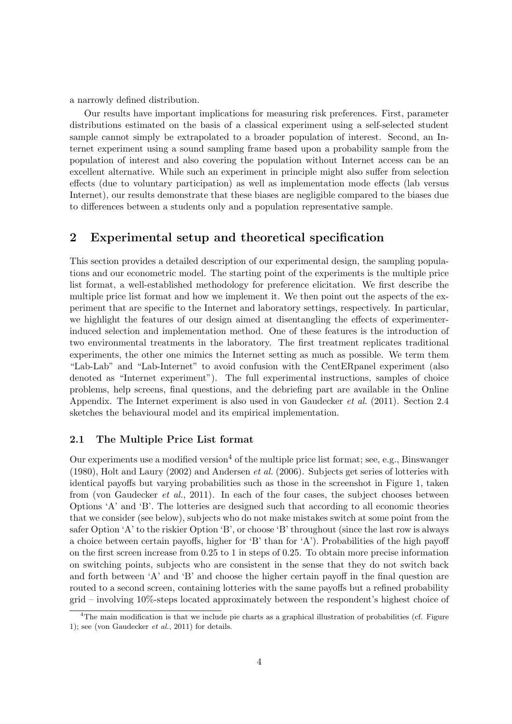a narrowly defined distribution.

Our results have important implications for measuring risk preferences. First, parameter distributions estimated on the basis of a classical experiment using a self-selected student sample cannot simply be extrapolated to a broader population of interest. Second, an Internet experiment using a sound sampling frame based upon a probability sample from the population of interest and also covering the population without Internet access can be an excellent alternative. While such an experiment in principle might also suffer from selection effects (due to voluntary participation) as well as implementation mode effects (lab versus Internet), our results demonstrate that these biases are negligible compared to the biases due to differences between a students only and a population representative sample.

### 2 Experimental setup and theoretical specification

This section provides a detailed description of our experimental design, the sampling populations and our econometric model. The starting point of the experiments is the multiple price list format, a well-established methodology for preference elicitation. We first describe the multiple price list format and how we implement it. We then point out the aspects of the experiment that are specific to the Internet and laboratory settings, respectively. In particular, we highlight the features of our design aimed at disentangling the effects of experimenterinduced selection and implementation method. One of these features is the introduction of two environmental treatments in the laboratory. The first treatment replicates traditional experiments, the other one mimics the Internet setting as much as possible. We term them "Lab-Lab" and "Lab-Internet" to avoid confusion with the CentERpanel experiment (also denoted as "Internet experiment"). The full experimental instructions, samples of choice problems, help screens, final questions, and the debriefing part are available in the Online Appendix. The Internet experiment is also used in [von Gaudecker](#page-30-1) et al. [\(2011\)](#page-30-1). Section [2.4](#page-10-0) sketches the behavioural model and its empirical implementation.

#### <span id="page-5-0"></span>2.1 The Multiple Price List format

Our experiments use a modified version<sup>4</sup> of the multiple price list format; see, e.g., [Binswanger](#page-27-6) [\(1980\)](#page-27-6), [Holt and Laury](#page-29-5) [\(2002\)](#page-29-5) and [Andersen](#page-27-7) et al. [\(2006\)](#page-27-7). Subjects get series of lotteries with identical payoffs but varying probabilities such as those in the screenshot in Figure [1,](#page-6-0) taken from [\(von Gaudecker](#page-30-1) et al., [2011\)](#page-30-1). In each of the four cases, the subject chooses between Options 'A' and 'B'. The lotteries are designed such that according to all economic theories that we consider (see below), subjects who do not make mistakes switch at some point from the safer Option 'A' to the riskier Option 'B', or choose 'B' throughout (since the last row is always a choice between certain payoffs, higher for 'B' than for 'A'). Probabilities of the high payoff on the first screen increase from 0.25 to 1 in steps of 0.25. To obtain more precise information on switching points, subjects who are consistent in the sense that they do not switch back and forth between 'A' and 'B' and choose the higher certain payoff in the final question are routed to a second screen, containing lotteries with the same payoffs but a refined probability grid – involving 10%-steps located approximately between the respondent's highest choice of

<sup>&</sup>lt;sup>4</sup>The main modification is that we include pie charts as a graphical illustration of probabilities (cf. Figure 1); see [\(von Gaudecker](#page-30-1) et al., [2011\)](#page-30-1) for details.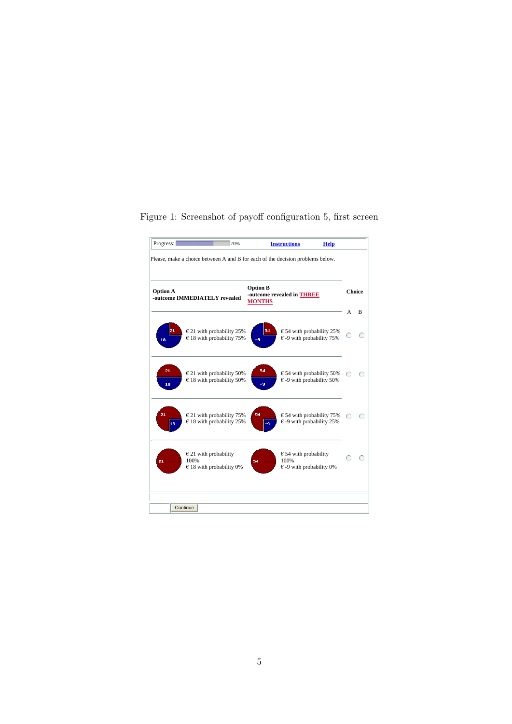#### **Progress: The Progress: Instructions Help** Please, make a choice between A and B for each of the decision problems below. **Option B Option A Choice -outcome revealed in THREE -outcome IMMEDIATELY revealed MONTHS** A B  $\overline{\mathbf{54}}$  $\epsilon$  21 with probability 25%<br> $\epsilon$  18 with probability 75%  $\epsilon$  54 with probability 25%<br> $\epsilon$  -9 with probability 75%  $O$   $O$ 54 21  $\epsilon$  21 with probability 50%<br> $\epsilon$  18 with probability 50%  $\epsilon$  54 with probability 50%<br> $\epsilon$  -9 with probability 50%  $\epsilon$  21 with probability 75%  $\circ$  $\epsilon$  54 with probability 75%<br> $\epsilon$  -9 with probability 25%  $\epsilon$  18 with probability 25%  $\in$  21 with probability  $\in$  54 with probability  $\circ$   $\circ$ 100% 100%  $\in$  18 with probability 0%  $\in$  -9 with probability 0% Continue

### <span id="page-6-0"></span>Figure 1: Screenshot of payoff configuration 5, first screen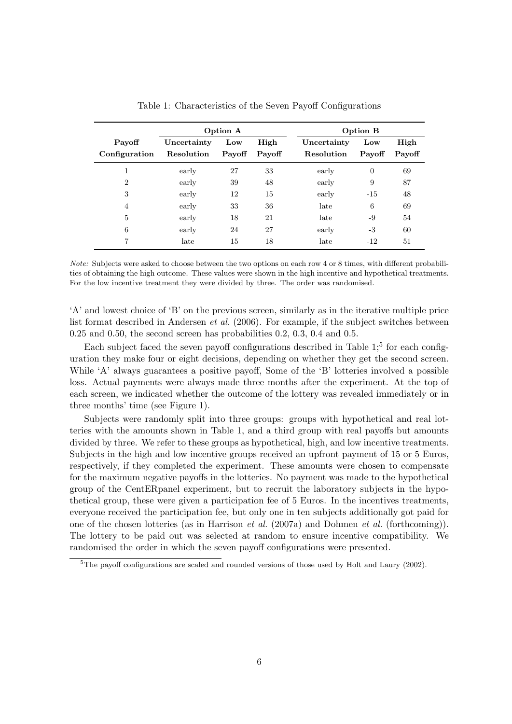|                | Option A    |        |        |             | Option B       |        |
|----------------|-------------|--------|--------|-------------|----------------|--------|
| Payoff         | Uncertainty | Low    | High   | Uncertainty | Low            | High   |
| Configuration  | Resolution  | Payoff | Payoff | Resolution  | Payoff         | Payoff |
| 1              | early       | 27     | 33     | early       | $\overline{0}$ | 69     |
| $\overline{2}$ | early       | 39     | 48     | early       | 9              | 87     |
| 3              | early       | 12     | 15     | early       | $-15$          | 48     |
| 4              | early       | 33     | 36     | late        | 6              | 69     |
| 5              | early       | 18     | 21     | late        | -9             | 54     |
| 6              | early       | 24     | 27     | early       | -3             | 60     |
| 7              | late        | 15     | 18     | late        | $-12$          | 51     |

<span id="page-7-0"></span>Table 1: Characteristics of the Seven Payoff Configurations

Note: Subjects were asked to choose between the two options on each row 4 or 8 times, with different probabilities of obtaining the high outcome. These values were shown in the high incentive and hypothetical treatments. For the low incentive treatment they were divided by three. The order was randomised.

'A' and lowest choice of 'B' on the previous screen, similarly as in the iterative multiple price list format described in [Andersen](#page-27-7) *et al.* [\(2006\)](#page-27-7). For example, if the subject switches between 0.25 and 0.50, the second screen has probabilities 0.2, 0.3, 0.4 and 0.5.

Each subject faced the seven payoff configurations described in Table  $1<sup>5</sup>$  for each configuration they make four or eight decisions, depending on whether they get the second screen. While 'A' always guarantees a positive payoff, Some of the 'B' lotteries involved a possible loss. Actual payments were always made three months after the experiment. At the top of each screen, we indicated whether the outcome of the lottery was revealed immediately or in three months' time (see Figure [1\)](#page-6-0).

Subjects were randomly split into three groups: groups with hypothetical and real lotteries with the amounts shown in Table [1,](#page-7-0) and a third group with real payoffs but amounts divided by three. We refer to these groups as hypothetical, high, and low incentive treatments. Subjects in the high and low incentive groups received an upfront payment of 15 or 5 Euros, respectively, if they completed the experiment. These amounts were chosen to compensate for the maximum negative payoffs in the lotteries. No payment was made to the hypothetical group of the CentERpanel experiment, but to recruit the laboratory subjects in the hypothetical group, these were given a participation fee of 5 Euros. In the incentives treatments, everyone received the participation fee, but only one in ten subjects additionally got paid for one of the chosen lotteries (as in [Harrison](#page-28-2) *et al.* [\(2007a\)](#page-28-2) and [Dohmen](#page-28-7) *et al.* [\(forthcoming\)](#page-28-7)). The lottery to be paid out was selected at random to ensure incentive compatibility. We randomised the order in which the seven payoff configurations were presented.

 ${}^{5}$ The payoff configurations are scaled and rounded versions of those used by [Holt and Laury](#page-29-5) [\(2002\)](#page-29-5).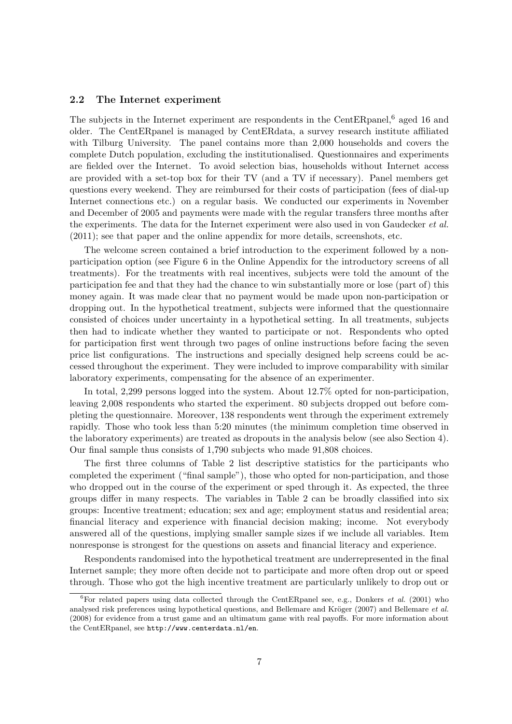#### 2.2 The Internet experiment

The subjects in the Internet experiment are respondents in the CentERpanel, $6$  aged 16 and older. The CentERpanel is managed by CentERdata, a survey research institute affiliated with Tilburg University. The panel contains more than 2,000 households and covers the complete Dutch population, excluding the institutionalised. Questionnaires and experiments are fielded over the Internet. To avoid selection bias, households without Internet access are provided with a set-top box for their TV (and a TV if necessary). Panel members get questions every weekend. They are reimbursed for their costs of participation (fees of dial-up Internet connections etc.) on a regular basis. We conducted our experiments in November and December of 2005 and payments were made with the regular transfers three months after the experiments. The data for the Internet experiment were also used in [von Gaudecker](#page-30-1) et al. [\(2011\)](#page-30-1); see that paper and the online appendix for more details, screenshots, etc.

The welcome screen contained a brief introduction to the experiment followed by a nonparticipation option (see Figure [6](#page-36-0) in the Online Appendix for the introductory screens of all treatments). For the treatments with real incentives, subjects were told the amount of the participation fee and that they had the chance to win substantially more or lose (part of) this money again. It was made clear that no payment would be made upon non-participation or dropping out. In the hypothetical treatment, subjects were informed that the questionnaire consisted of choices under uncertainty in a hypothetical setting. In all treatments, subjects then had to indicate whether they wanted to participate or not. Respondents who opted for participation first went through two pages of online instructions before facing the seven price list configurations. The instructions and specially designed help screens could be accessed throughout the experiment. They were included to improve comparability with similar laboratory experiments, compensating for the absence of an experimenter.

In total, 2,299 persons logged into the system. About 12.7% opted for non-participation, leaving 2,008 respondents who started the experiment. 80 subjects dropped out before completing the questionnaire. Moreover, 138 respondents went through the experiment extremely rapidly. Those who took less than 5:20 minutes (the minimum completion time observed in the laboratory experiments) are treated as dropouts in the analysis below (see also Section [4\)](#page-19-0). Our final sample thus consists of 1,790 subjects who made 91,808 choices.

The first three columns of Table [2](#page-10-1) list descriptive statistics for the participants who completed the experiment ("final sample"), those who opted for non-participation, and those who dropped out in the course of the experiment or sped through it. As expected, the three groups differ in many respects. The variables in Table [2](#page-10-1) can be broadly classified into six groups: Incentive treatment; education; sex and age; employment status and residential area; financial literacy and experience with financial decision making; income. Not everybody answered all of the questions, implying smaller sample sizes if we include all variables. Item nonresponse is strongest for the questions on assets and financial literacy and experience.

Respondents randomised into the hypothetical treatment are underrepresented in the final Internet sample; they more often decide not to participate and more often drop out or speed through. Those who got the high incentive treatment are particularly unlikely to drop out or

<sup>&</sup>lt;sup>6</sup>For related papers using data collected through the CentERpanel see, e.g., [Donkers](#page-28-12) *et al.* [\(2001\)](#page-28-12) who analysed risk preferences using hypothetical questions, and Bellemare and Kröger [\(2007\)](#page-27-5) and [Bellemare](#page-27-8) et al. [\(2008\)](#page-27-8) for evidence from a trust game and an ultimatum game with real payoffs. For more information about the CentERpanel, see <http://www.centerdata.nl/en>.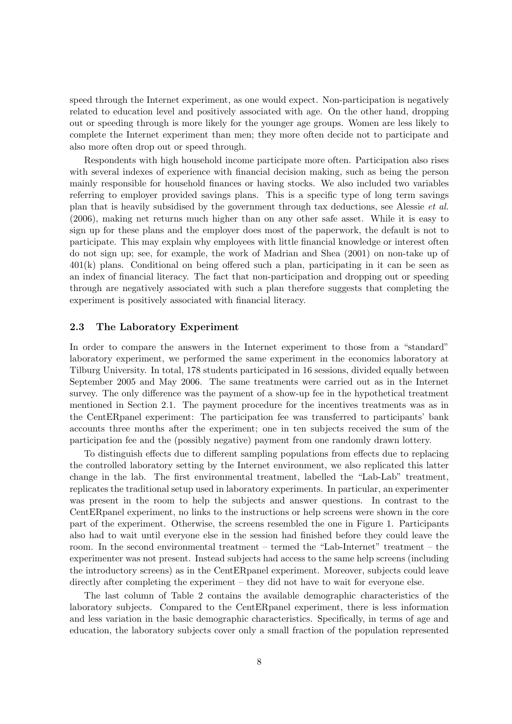speed through the Internet experiment, as one would expect. Non-participation is negatively related to education level and positively associated with age. On the other hand, dropping out or speeding through is more likely for the younger age groups. Women are less likely to complete the Internet experiment than men; they more often decide not to participate and also more often drop out or speed through.

Respondents with high household income participate more often. Participation also rises with several indexes of experience with financial decision making, such as being the person mainly responsible for household finances or having stocks. We also included two variables referring to employer provided savings plans. This is a specific type of long term savings plan that is heavily subsidised by the government through tax deductions, see [Alessie](#page-27-9) et al. [\(2006\)](#page-27-9), making net returns much higher than on any other safe asset. While it is easy to sign up for these plans and the employer does most of the paperwork, the default is not to participate. This may explain why employees with little financial knowledge or interest often do not sign up; see, for example, the work of [Madrian and Shea](#page-29-6) [\(2001\)](#page-29-6) on non-take up of 401(k) plans. Conditional on being offered such a plan, participating in it can be seen as an index of financial literacy. The fact that non-participation and dropping out or speeding through are negatively associated with such a plan therefore suggests that completing the experiment is positively associated with financial literacy.

#### <span id="page-9-0"></span>2.3 The Laboratory Experiment

In order to compare the answers in the Internet experiment to those from a "standard" laboratory experiment, we performed the same experiment in the economics laboratory at Tilburg University. In total, 178 students participated in 16 sessions, divided equally between September 2005 and May 2006. The same treatments were carried out as in the Internet survey. The only difference was the payment of a show-up fee in the hypothetical treatment mentioned in Section [2.1.](#page-5-0) The payment procedure for the incentives treatments was as in the CentERpanel experiment: The participation fee was transferred to participants' bank accounts three months after the experiment; one in ten subjects received the sum of the participation fee and the (possibly negative) payment from one randomly drawn lottery.

To distinguish effects due to different sampling populations from effects due to replacing the controlled laboratory setting by the Internet environment, we also replicated this latter change in the lab. The first environmental treatment, labelled the "Lab-Lab" treatment, replicates the traditional setup used in laboratory experiments. In particular, an experimenter was present in the room to help the subjects and answer questions. In contrast to the CentERpanel experiment, no links to the instructions or help screens were shown in the core part of the experiment. Otherwise, the screens resembled the one in Figure [1.](#page-6-0) Participants also had to wait until everyone else in the session had finished before they could leave the room. In the second environmental treatment – termed the "Lab-Internet" treatment – the experimenter was not present. Instead subjects had access to the same help screens (including the introductory screens) as in the CentERpanel experiment. Moreover, subjects could leave directly after completing the experiment – they did not have to wait for everyone else.

The last column of Table [2](#page-10-1) contains the available demographic characteristics of the laboratory subjects. Compared to the CentERpanel experiment, there is less information and less variation in the basic demographic characteristics. Specifically, in terms of age and education, the laboratory subjects cover only a small fraction of the population represented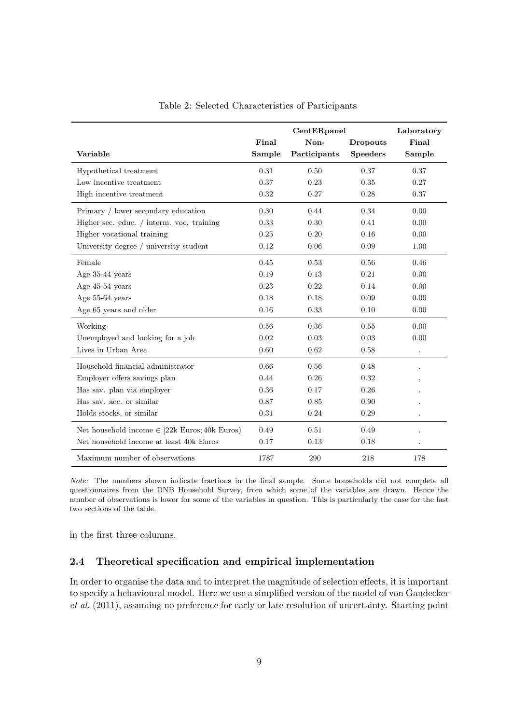|                                                   | CentERpanel |              |                 | Laboratory |
|---------------------------------------------------|-------------|--------------|-----------------|------------|
|                                                   | Final       | Non-         | Dropouts        | Final      |
| Variable                                          | Sample      | Participants | <b>Speeders</b> | Sample     |
| Hypothetical treatment                            | 0.31        | 0.50         | 0.37            | 0.37       |
| Low incentive treatment                           | 0.37        | 0.23         | 0.35            | 0.27       |
| High incentive treatment                          | 0.32        | 0.27         | 0.28            | 0.37       |
| Primary / lower secondary education               | 0.30        | 0.44         | 0.34            | 0.00       |
| Higher sec. educ. / interm. voc. training         | 0.33        | 0.30         | 0.41            | 0.00       |
| Higher vocational training                        | 0.25        | 0.20         | 0.16            | 0.00       |
| University degree / university student            | 0.12        | 0.06         | 0.09            | 1.00       |
| Female                                            | 0.45        | 0.53         | 0.56            | 0.46       |
| Age 35-44 years                                   | 0.19        | 0.13         | 0.21            | 0.00       |
| Age 45-54 years                                   | 0.23        | 0.22         | 0.14            | 0.00       |
| Age $55-64$ years                                 | 0.18        | 0.18         | 0.09            | 0.00       |
| Age 65 years and older                            | 0.16        | 0.33         | 0.10            | 0.00       |
| Working                                           | 0.56        | 0.36         | 0.55            | 0.00       |
| Unemployed and looking for a job                  | 0.02        | 0.03         | 0.03            | 0.00       |
| Lives in Urban Area                               | 0.60        | 0.62         | 0.58            |            |
| Household financial administrator                 | 0.66        | 0.56         | 0.48            |            |
| Employer offers savings plan                      | 0.44        | 0.26         | 0.32            |            |
| Has sav. plan via employer                        | 0.36        | 0.17         | 0.26            |            |
| Has say, acc. or similar                          | 0.87        | 0.85         | 0.90            |            |
| Holds stocks, or similar                          | 0.31        | 0.24         | 0.29            |            |
| Net household income $\in$ [22k Euros; 40k Euros) | 0.49        | 0.51         | 0.49            |            |
| Net household income at least 40k Euros           | 0.17        | 0.13         | 0.18            |            |
| Maximum number of observations                    | 1787        | 290          | 218             | 178        |

<span id="page-10-1"></span>Table 2: Selected Characteristics of Participants

Note: The numbers shown indicate fractions in the final sample. Some households did not complete all questionnaires from the DNB Household Survey, from which some of the variables are drawn. Hence the number of observations is lower for some of the variables in question. This is particularly the case for the last two sections of the table.

in the first three columns.

#### <span id="page-10-0"></span>2.4 Theoretical specification and empirical implementation

In order to organise the data and to interpret the magnitude of selection effects, it is important to specify a behavioural model. Here we use a simplified version of the model of [von Gaudecker](#page-30-1) [et al.](#page-30-1) [\(2011\)](#page-30-1), assuming no preference for early or late resolution of uncertainty. Starting point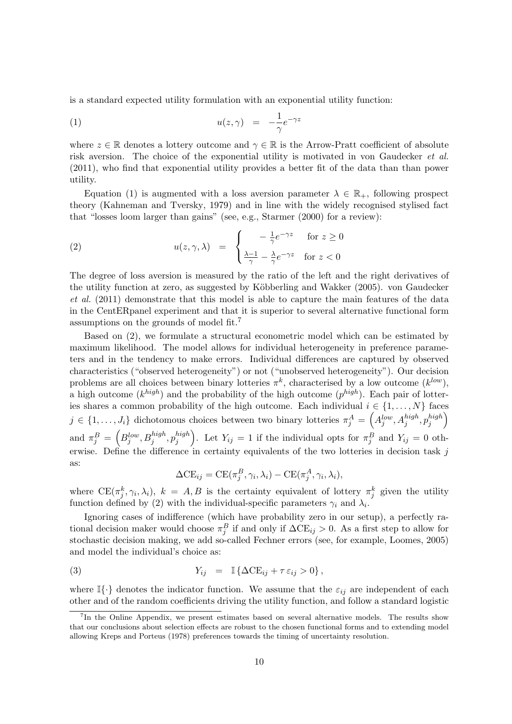is a standard expected utility formulation with an exponential utility function:

<span id="page-11-0"></span>(1) 
$$
u(z,\gamma) = -\frac{1}{\gamma}e^{-\gamma z}
$$

where  $z \in \mathbb{R}$  denotes a lottery outcome and  $\gamma \in \mathbb{R}$  is the Arrow-Pratt coefficient of absolute risk aversion. The choice of the exponential utility is motivated in [von Gaudecker](#page-30-1) et al. [\(2011\)](#page-30-1), who find that exponential utility provides a better fit of the data than than power utility.

Equation [\(1\)](#page-11-0) is augmented with a loss aversion parameter  $\lambda \in \mathbb{R}_+$ , following prospect theory [\(Kahneman and Tversky,](#page-29-4) [1979\)](#page-29-4) and in line with the widely recognised stylised fact that "losses loom larger than gains" (see, e.g., [Starmer](#page-29-7) [\(2000\)](#page-29-7) for a review):

<span id="page-11-1"></span>(2) 
$$
u(z, \gamma, \lambda) = \begin{cases} -\frac{1}{\gamma} e^{-\gamma z} & \text{for } z \ge 0 \\ \frac{\lambda - 1}{\gamma} - \frac{\lambda}{\gamma} e^{-\gamma z} & \text{for } z < 0 \end{cases}
$$

The degree of loss aversion is measured by the ratio of the left and the right derivatives of the utility function at zero, as suggested by Köbberling and Wakker [\(2005\)](#page-29-8). [von Gaudecker](#page-30-1) [et al.](#page-30-1) [\(2011\)](#page-30-1) demonstrate that this model is able to capture the main features of the data in the CentERpanel experiment and that it is superior to several alternative functional form assumptions on the grounds of model fit.<sup>7</sup>

Based on [\(2\)](#page-11-1), we formulate a structural econometric model which can be estimated by maximum likelihood. The model allows for individual heterogeneity in preference parameters and in the tendency to make errors. Individual differences are captured by observed characteristics ("observed heterogeneity") or not ("unobserved heterogeneity"). Our decision problems are all choices between binary lotteries  $\pi^k$ , characterised by a low outcome  $(k^{low})$ , a high outcome  $(k^{high})$  and the probability of the high outcome  $(p^{high})$ . Each pair of lotteries shares a common probability of the high outcome. Each individual  $i \in \{1, ..., N\}$  faces  $j \in \{1, \ldots, J_i\}$  dichotomous choices between two binary lotteries  $\pi_j^A = \left(A_j^{low}, A_j^{high}, p_j^{high}\right)$  $\binom{high}{j}$ and  $\pi_j^B = \left(B_j^{low}, B_j^{high}, p_j^{high}\right)$  ${j \choose j}$ . Let  $Y_{ij} = 1$  if the individual opts for  $\pi_j^B$  and  $Y_{ij} = 0$  otherwise. Define the difference in certainty equivalents of the two lotteries in decision task  $j$ as:

$$
\Delta \mathrm{CE}_{ij} = \mathrm{CE}(\pi_j^B, \gamma_i, \lambda_i) - \mathrm{CE}(\pi_j^A, \gamma_i, \lambda_i),
$$

where  $CE(\pi_j^k, \gamma_i, \lambda_i)$ ,  $k = A, B$  is the certainty equivalent of lottery  $\pi_j^k$  given the utility function defined by [\(2\)](#page-11-1) with the individual-specific parameters  $\gamma_i$  and  $\lambda_i$ .

Ignoring cases of indifference (which have probability zero in our setup), a perfectly rational decision maker would choose  $\pi_j^B$  if and only if  $\Delta \text{CE}_{ij} > 0$ . As a first step to allow for stochastic decision making, we add so-called Fechner errors (see, for example, [Loomes,](#page-29-9) [2005\)](#page-29-9) and model the individual's choice as:

(3) 
$$
Y_{ij} = \mathbb{I} \{ \Delta \mathbf{CE}_{ij} + \tau \varepsilon_{ij} > 0 \},
$$

where  $\mathbb{I}\{\cdot\}$  denotes the indicator function. We assume that the  $\varepsilon_{ij}$  are independent of each other and of the random coefficients driving the utility function, and follow a standard logistic

<sup>&</sup>lt;sup>7</sup>In the Online Appendix, we present estimates based on several alternative models. The results show that our conclusions about selection effects are robust to the chosen functional forms and to extending model allowing [Kreps and Porteus](#page-29-10) [\(1978\)](#page-29-10) preferences towards the timing of uncertainty resolution.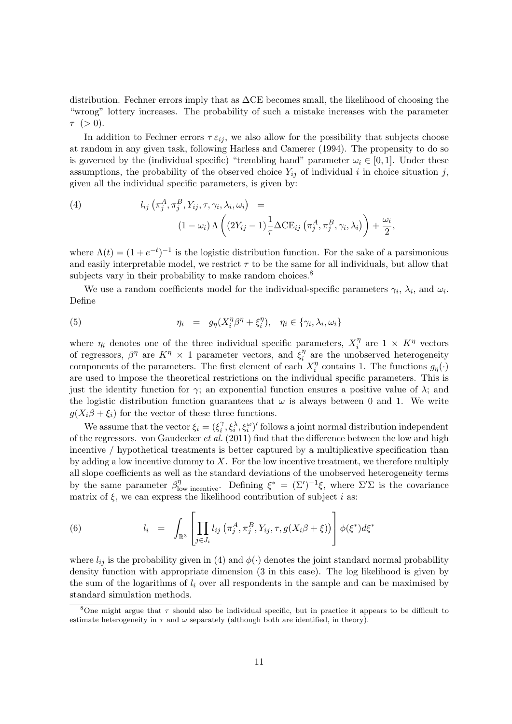distribution. Fechner errors imply that as ∆CE becomes small, the likelihood of choosing the "wrong" lottery increases. The probability of such a mistake increases with the parameter  $\tau$  (> 0).

In addition to Fechner errors  $\tau \varepsilon_{ij}$ , we also allow for the possibility that subjects choose at random in any given task, following [Harless and Camerer](#page-28-13) [\(1994\)](#page-28-13). The propensity to do so is governed by the (individual specific) "trembling hand" parameter  $\omega_i \in [0,1]$ . Under these assumptions, the probability of the observed choice  $Y_{ij}$  of individual i in choice situation j, given all the individual specific parameters, is given by:

<span id="page-12-0"></span>(4) 
$$
l_{ij} \left( \pi_j^A, \pi_j^B, Y_{ij}, \tau, \gamma_i, \lambda_i, \omega_i \right) =
$$

$$
(1 - \omega_i) \Lambda \left( (2Y_{ij} - 1) \frac{1}{\tau} \Delta \mathbf{CE}_{ij} \left( \pi_j^A, \pi_j^B, \gamma_i, \lambda_i \right) \right) + \frac{\omega_i}{2},
$$

where  $\Lambda(t) = (1 + e^{-t})^{-1}$  is the logistic distribution function. For the sake of a parsimonious and easily interpretable model, we restrict  $\tau$  to be the same for all individuals, but allow that subjects vary in their probability to make random choices.<sup>8</sup>

We use a random coefficients model for the individual-specific parameters  $\gamma_i$ ,  $\lambda_i$ , and  $\omega_i$ . Define

(5) 
$$
\eta_i = g_{\eta}(X_i^{\eta} \beta^{\eta} + \xi_i^{\eta}), \quad \eta_i \in \{\gamma_i, \lambda_i, \omega_i\}
$$

where  $\eta_i$  denotes one of the three individual specific parameters,  $X_i^{\eta}$  $\frac{\eta}{i}$  are  $1 \times K^{\eta}$  vectors of regressors,  $\beta^{\eta}$  are  $K^{\eta} \times 1$  parameter vectors, and  $\xi_i^{\eta}$  $\eta$ <sup>n</sup> are the unobserved heterogeneity components of the parameters. The first element of each  $X_i^{\eta}$  $\eta_i^{\eta}$  contains 1. The functions  $g_{\eta}(\cdot)$ are used to impose the theoretical restrictions on the individual specific parameters. This is just the identity function for  $\gamma$ ; an exponential function ensures a positive value of  $\lambda$ ; and the logistic distribution function guarantees that  $\omega$  is always between 0 and 1. We write  $g(X_i\beta + \xi_i)$  for the vector of these three functions.

We assume that the vector  $\xi_i = (\xi_i^{\gamma})$  $\hat{a}_i^{\gamma}, \xi_i^{\lambda}, \xi_i^{\omega}$ <sup>'</sup> follows a joint normal distribution independent of the regressors. [von Gaudecker](#page-30-1) et al. [\(2011\)](#page-30-1) find that the difference between the low and high incentive / hypothetical treatments is better captured by a multiplicative specification than by adding a low incentive dummy to  $X$ . For the low incentive treatment, we therefore multiply all slope coefficients as well as the standard deviations of the unobserved heterogeneity terms by the same parameter  $\beta_{\text{low incentive}}^{\eta}$ . Defining  $\xi^* = (\Sigma')^{-1}\xi$ , where  $\Sigma' \Sigma$  is the covariance matrix of  $\xi$ , we can express the likelihood contribution of subject i as:

(6) 
$$
l_i = \int_{\mathbb{R}^3} \left[ \prod_{j \in J_i} l_{ij} \left( \pi_j^A, \pi_j^B, Y_{ij}, \tau, g(X_i \beta + \xi) \right) \right] \phi(\xi^*) d\xi^*
$$

where  $l_{ij}$  is the probability given in [\(4\)](#page-12-0) and  $\phi(\cdot)$  denotes the joint standard normal probability density function with appropriate dimension (3 in this case). The log likelihood is given by the sum of the logarithms of  $l_i$  over all respondents in the sample and can be maximised by standard simulation methods.

<sup>&</sup>lt;sup>8</sup>One might argue that  $\tau$  should also be individual specific, but in practice it appears to be difficult to estimate heterogeneity in  $\tau$  and  $\omega$  separately (although both are identified, in theory).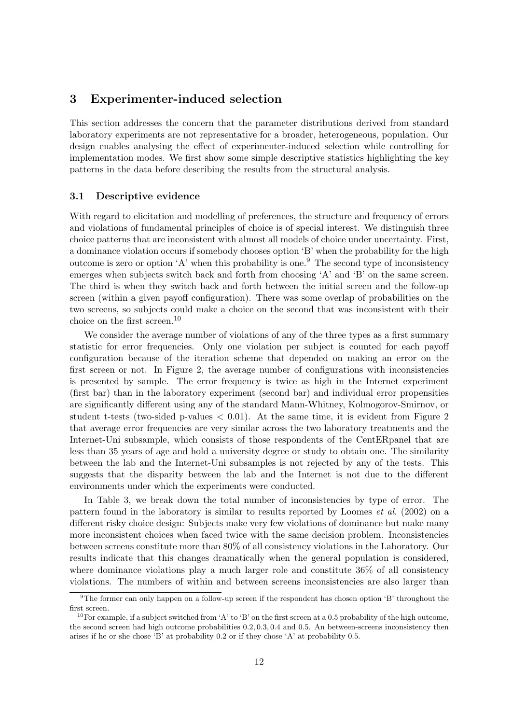### 3 Experimenter-induced selection

This section addresses the concern that the parameter distributions derived from standard laboratory experiments are not representative for a broader, heterogeneous, population. Our design enables analysing the effect of experimenter-induced selection while controlling for implementation modes. We first show some simple descriptive statistics highlighting the key patterns in the data before describing the results from the structural analysis.

#### 3.1 Descriptive evidence

With regard to elicitation and modelling of preferences, the structure and frequency of errors and violations of fundamental principles of choice is of special interest. We distinguish three choice patterns that are inconsistent with almost all models of choice under uncertainty. First, a dominance violation occurs if somebody chooses option 'B' when the probability for the high outcome is zero or option 'A' when this probability is one.<sup>9</sup> The second type of inconsistency emerges when subjects switch back and forth from choosing 'A' and 'B' on the same screen. The third is when they switch back and forth between the initial screen and the follow-up screen (within a given payoff configuration). There was some overlap of probabilities on the two screens, so subjects could make a choice on the second that was inconsistent with their choice on the first screen.<sup>10</sup>

We consider the average number of violations of any of the three types as a first summary statistic for error frequencies. Only one violation per subject is counted for each payoff configuration because of the iteration scheme that depended on making an error on the first screen or not. In Figure [2,](#page-14-0) the average number of configurations with inconsistencies is presented by sample. The error frequency is twice as high in the Internet experiment (first bar) than in the laboratory experiment (second bar) and individual error propensities are significantly different using any of the standard Mann-Whitney, Kolmogorov-Smirnov, or student t-tests (two-sided p-values  $< 0.01$ ). At the same time, it is evident from Figure [2](#page-14-0) that average error frequencies are very similar across the two laboratory treatments and the Internet-Uni subsample, which consists of those respondents of the CentERpanel that are less than 35 years of age and hold a university degree or study to obtain one. The similarity between the lab and the Internet-Uni subsamples is not rejected by any of the tests. This suggests that the disparity between the lab and the Internet is not due to the different environments under which the experiments were conducted.

In Table [3,](#page-15-0) we break down the total number of inconsistencies by type of error. The pattern found in the laboratory is similar to results reported by [Loomes](#page-29-11) et al. [\(2002\)](#page-29-11) on a different risky choice design: Subjects make very few violations of dominance but make many more inconsistent choices when faced twice with the same decision problem. Inconsistencies between screens constitute more than 80% of all consistency violations in the Laboratory. Our results indicate that this changes dramatically when the general population is considered, where dominance violations play a much larger role and constitute 36% of all consistency violations. The numbers of within and between screens inconsistencies are also larger than

<sup>9</sup>The former can only happen on a follow-up screen if the respondent has chosen option 'B' throughout the first screen.

<sup>&</sup>lt;sup>10</sup>For example, if a subject switched from 'A' to 'B' on the first screen at a 0.5 probability of the high outcome, the second screen had high outcome probabilities 0.2, 0.3, 0.4 and 0.5. An between-screens inconsistency then arises if he or she chose 'B' at probability 0.2 or if they chose 'A' at probability 0.5.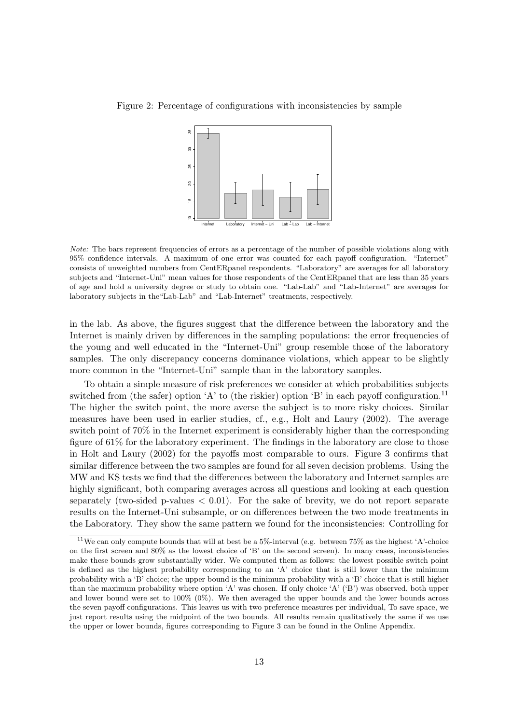<span id="page-14-0"></span>

Figure 2: Percentage of configurations with inconsistencies by sample

Note: The bars represent frequencies of errors as a percentage of the number of possible violations along with 95% confidence intervals. A maximum of one error was counted for each payoff configuration. "Internet" consists of unweighted numbers from CentERpanel respondents. "Laboratory" are averages for all laboratory subjects and "Internet-Uni" mean values for those respondents of the CentERpanel that are less than 35 years of age and hold a university degree or study to obtain one. "Lab-Lab" and "Lab-Internet" are averages for laboratory subjects in the"Lab-Lab" and "Lab-Internet" treatments, respectively.

in the lab. As above, the figures suggest that the difference between the laboratory and the Internet is mainly driven by differences in the sampling populations: the error frequencies of the young and well educated in the "Internet-Uni" group resemble those of the laboratory samples. The only discrepancy concerns dominance violations, which appear to be slightly more common in the "Internet-Uni" sample than in the laboratory samples.

To obtain a simple measure of risk preferences we consider at which probabilities subjects switched from (the safer) option 'A' to (the riskier) option 'B' in each payoff configuration.<sup>11</sup> The higher the switch point, the more averse the subject is to more risky choices. Similar measures have been used in earlier studies, cf., e.g., [Holt and Laury](#page-29-5) [\(2002\)](#page-29-5). The average switch point of 70% in the Internet experiment is considerably higher than the corresponding figure of 61% for the laboratory experiment. The findings in the laboratory are close to those in [Holt and Laury](#page-29-5) [\(2002\)](#page-29-5) for the payoffs most comparable to ours. Figure [3](#page-15-1) confirms that similar difference between the two samples are found for all seven decision problems. Using the MW and KS tests we find that the differences between the laboratory and Internet samples are highly significant, both comparing averages across all questions and looking at each question separately (two-sided p-values  $< 0.01$ ). For the sake of brevity, we do not report separate results on the Internet-Uni subsample, or on differences between the two mode treatments in the Laboratory. They show the same pattern we found for the inconsistencies: Controlling for

 $11$ We can only compute bounds that will at best be a 5%-interval (e.g. between 75% as the highest 'A'-choice on the first screen and 80% as the lowest choice of 'B' on the second screen). In many cases, inconsistencies make these bounds grow substantially wider. We computed them as follows: the lowest possible switch point is defined as the highest probability corresponding to an 'A' choice that is still lower than the minimum probability with a 'B' choice; the upper bound is the minimum probability with a 'B' choice that is still higher than the maximum probability where option 'A' was chosen. If only choice 'A' ('B') was observed, both upper and lower bound were set to 100% (0%). We then averaged the upper bounds and the lower bounds across the seven payoff configurations. This leaves us with two preference measures per individual, To save space, we just report results using the midpoint of the two bounds. All results remain qualitatively the same if we use the upper or lower bounds, figures corresponding to Figure [3](#page-15-1) can be found in the Online Appendix.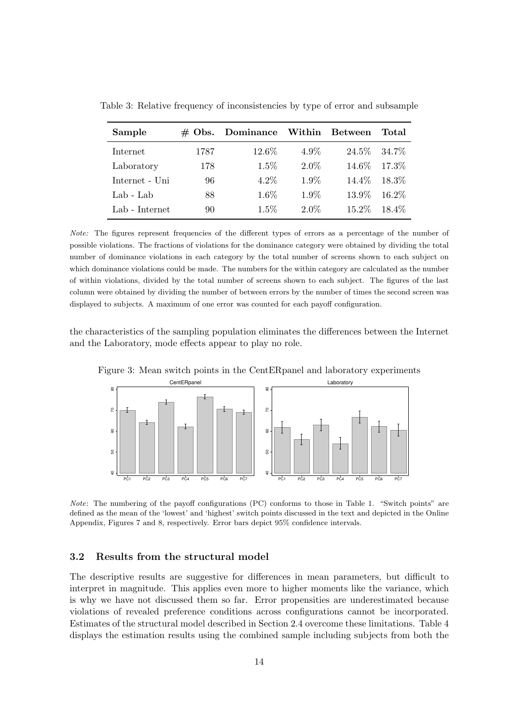| Sample         |      | $\#$ Obs. Dominance Within Between |         |               | Total    |
|----------------|------|------------------------------------|---------|---------------|----------|
| Internet       | 1787 | 12.6%                              | 4.9%    | 24.5%         | 34.7%    |
| Laboratory     | 178  | $1.5\%$                            | $2.0\%$ | 14.6\% 17.3\% |          |
| Internet - Uni | 96   | $4.2\%$                            | $1.9\%$ | $14.4\%$      | 18.3%    |
| Lab - Lab      | 88   | $1.6\%$                            | $1.9\%$ | 13.9%         | $16.2\%$ |
| Lab - Internet | 90   | $1.5\%$                            | $2.0\%$ | $15.2\%$      | 18.4%    |

<span id="page-15-0"></span>Table 3: Relative frequency of inconsistencies by type of error and subsample

Note: The figures represent frequencies of the different types of errors as a percentage of the number of possible violations. The fractions of violations for the dominance category were obtained by dividing the total number of dominance violations in each category by the total number of screens shown to each subject on which dominance violations could be made. The numbers for the within category are calculated as the number of within violations, divided by the total number of screens shown to each subject. The figures of the last column were obtained by dividing the number of between errors by the number of times the second screen was displayed to subjects. A maximum of one error was counted for each payoff configuration.

the characteristics of the sampling population eliminates the differences between the Internet and the Laboratory, mode effects appear to play no role.

<span id="page-15-1"></span>

Figure 3: Mean switch points in the CentERpanel and laboratory experiments

Note: The numbering of the payoff configurations (PC) conforms to those in Table [1.](#page-7-0) "Switch points" are defined as the mean of the 'lowest' and 'highest' switch points discussed in the text and depicted in the Online Appendix, Figures [7](#page-37-0) and [8,](#page-37-1) respectively. Error bars depict 95% confidence intervals.

#### 3.2 Results from the structural model

The descriptive results are suggestive for differences in mean parameters, but difficult to interpret in magnitude. This applies even more to higher moments like the variance, which is why we have not discussed them so far. Error propensities are underestimated because violations of revealed preference conditions across configurations cannot be incorporated. Estimates of the structural model described in Section [2.4](#page-10-0) overcome these limitations. Table [4](#page-17-0) displays the estimation results using the combined sample including subjects from both the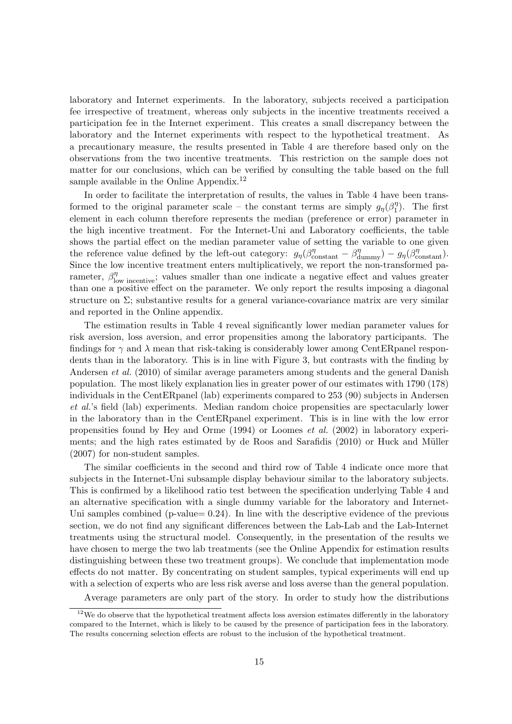laboratory and Internet experiments. In the laboratory, subjects received a participation fee irrespective of treatment, whereas only subjects in the incentive treatments received a participation fee in the Internet experiment. This creates a small discrepancy between the laboratory and the Internet experiments with respect to the hypothetical treatment. As a precautionary measure, the results presented in Table [4](#page-17-0) are therefore based only on the observations from the two incentive treatments. This restriction on the sample does not matter for our conclusions, which can be verified by consulting the table based on the full sample available in the Online Appendix.<sup>12</sup>

In order to facilitate the interpretation of results, the values in Table [4](#page-17-0) have been transformed to the original parameter scale – the constant terms are simply  $g_{\eta}(\beta_1^{\eta})$  $\binom{n}{1}$ . The first element in each column therefore represents the median (preference or error) parameter in the high incentive treatment. For the Internet-Uni and Laboratory coefficients, the table shows the partial effect on the median parameter value of setting the variable to one given the reference value defined by the left-out category:  $g_{\eta}(\beta_{\text{constant}}^{\eta} - \beta_{\text{dummy}}^{\eta}) - g_{\eta}(\beta_{\text{constant}}^{\eta})$ . Since the low incentive treatment enters multiplicatively, we report the non-transformed parameter,  $\beta_{\text{low incentive}}^{\eta}$ ; values smaller than one indicate a negative effect and values greater than one a positive effect on the parameter. We only report the results imposing a diagonal structure on  $\Sigma$ ; substantive results for a general variance-covariance matrix are very similar and reported in the Online appendix.

The estimation results in Table [4](#page-17-0) reveal significantly lower median parameter values for risk aversion, loss aversion, and error propensities among the laboratory participants. The findings for  $\gamma$  and  $\lambda$  mean that risk-taking is considerably lower among CentER panel respondents than in the laboratory. This is in line with Figure [3,](#page-15-1) but contrasts with the finding by [Andersen](#page-27-3) et al. [\(2010\)](#page-27-3) of similar average parameters among students and the general Danish population. The most likely explanation lies in greater power of our estimates with 1790 (178) individuals in the CentERpanel (lab) experiments compared to 253 (90) subjects in [Andersen](#page-27-3) [et al.](#page-27-3)'s field (lab) experiments. Median random choice propensities are spectacularly lower in the laboratory than in the CentERpanel experiment. This is in line with the low error propensities found by [Hey and Orme](#page-29-12) [\(1994\)](#page-29-12) or [Loomes](#page-29-11) et al. [\(2002\)](#page-29-11) in laboratory experiments; and the high rates estimated by [de Roos and Sarafidis](#page-28-14) [\(2010\)](#page-28-14) or Huck and Müller [\(2007\)](#page-29-13) for non-student samples.

The similar coefficients in the second and third row of Table [4](#page-17-0) indicate once more that subjects in the Internet-Uni subsample display behaviour similar to the laboratory subjects. This is confirmed by a likelihood ratio test between the specification underlying Table [4](#page-17-0) and an alternative specification with a single dummy variable for the laboratory and Internet-Uni samples combined (p-value=  $0.24$ ). In line with the descriptive evidence of the previous section, we do not find any significant differences between the Lab-Lab and the Lab-Internet treatments using the structural model. Consequently, in the presentation of the results we have chosen to merge the two lab treatments (see the Online Appendix for estimation results distinguishing between these two treatment groups). We conclude that implementation mode effects do not matter. By concentrating on student samples, typical experiments will end up with a selection of experts who are less risk averse and loss averse than the general population.

Average parameters are only part of the story. In order to study how the distributions

 $12$ We do observe that the hypothetical treatment affects loss aversion estimates differently in the laboratory compared to the Internet, which is likely to be caused by the presence of participation fees in the laboratory. The results concerning selection effects are robust to the inclusion of the hypothetical treatment.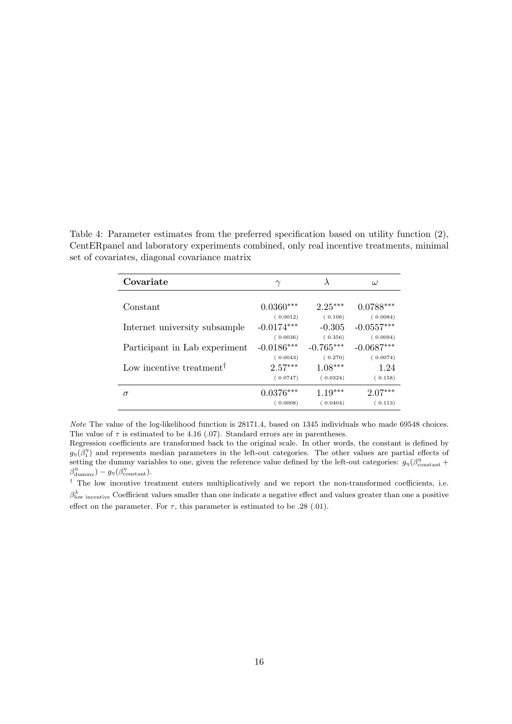<span id="page-17-0"></span>Table 4: Parameter estimates from the preferred specification based on utility function [\(2\)](#page-11-1), CentERpanel and laboratory experiments combined, only real incentive treatments, minimal set of covariates, diagonal covariance matrix

| Covariate                            | $\gamma$     | λ           | $\omega$     |
|--------------------------------------|--------------|-------------|--------------|
| Constant                             | $0.0360***$  | $2.25***$   | $0.0788***$  |
| Internet university subsample        | (0.0012)     | (0.106)     | (0.0084)     |
|                                      | $-0.0174***$ | $-0.305$    | $-0.0557***$ |
|                                      | (0.0036)     | (0.356)     | (0.0094)     |
| Participant in Lab experiment        | $-0.0186***$ | $-0.765***$ | $-0.0687***$ |
|                                      | (0.0043)     | (0.270)     | (0.0074)     |
| Low incentive treatment <sup>†</sup> | $2.57***$    | $1.08***$   | 1.24         |
|                                      | (0.0747)     | (0.0324)    | (0.158)      |
| $\sigma$                             | $0.0376***$  | $1.19***$   | $2.07***$    |
|                                      | (0.0008)     | (0.0404)    | (0.113)      |

Note The value of the log-likelihood function is 28171.4, based on 1345 individuals who made 69548 choices. The value of  $\tau$  is estimated to be 4.16 (.07). Standard errors are in parentheses.

Regression coefficients are transformed back to the original scale. In other words, the constant is defined by  $g_{\eta}(\beta_1^{\eta})$  and represents median parameters in the left-out categories. The other values are partial effects of setting the dummy variables to one, given the reference value defined by the left-out categories:  $g_{\eta}(\beta_{\text{constant}}^{\eta} +$  $\beta_{\text{dummy}}^{\eta}$ ) –  $g_{\eta}(\beta_{\text{constant}}^{\eta})$ .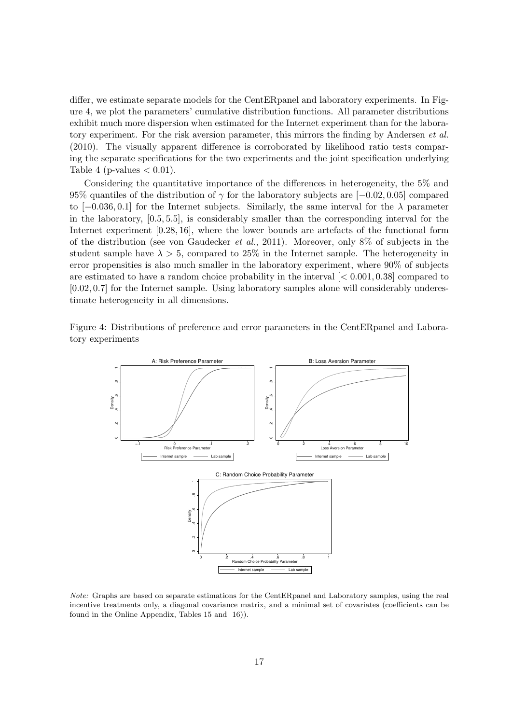differ, we estimate separate models for the CentERpanel and laboratory experiments. In Figure [4,](#page-18-0) we plot the parameters' cumulative distribution functions. All parameter distributions exhibit much more dispersion when estimated for the Internet experiment than for the labora-tory experiment. For the risk aversion parameter, this mirrors the finding by [Andersen](#page-27-3) *et al.* [\(2010\)](#page-27-3). The visually apparent difference is corroborated by likelihood ratio tests comparing the separate specifications for the two experiments and the joint specification underlying Table [4](#page-17-0) (p-values  $< 0.01$ ).

Considering the quantitative importance of the differences in heterogeneity, the 5% and 95% quantiles of the distribution of  $\gamma$  for the laboratory subjects are [−0.02, 0.05] compared to  $[-0.036, 0.1]$  for the Internet subjects. Similarly, the same interval for the  $\lambda$  parameter in the laboratory, [0.5, 5.5], is considerably smaller than the corresponding interval for the Internet experiment [0.28, 16], where the lower bounds are artefacts of the functional form of the distribution (see [von Gaudecker](#page-30-1) *et al.*, [2011\)](#page-30-1). Moreover, only 8% of subjects in the student sample have  $\lambda > 5$ , compared to 25% in the Internet sample. The heterogeneity in error propensities is also much smaller in the laboratory experiment, where 90% of subjects are estimated to have a random choice probability in the interval  $\leq 0.001, 0.38$  compared to [0.02, 0.7] for the Internet sample. Using laboratory samples alone will considerably underestimate heterogeneity in all dimensions.

Figure 4: Distributions of preference and error parameters in the CentERpanel and Laboratory experiments

<span id="page-18-0"></span>

Note: Graphs are based on separate estimations for the CentERpanel and Laboratory samples, using the real incentive treatments only, a diagonal covariance matrix, and a minimal set of covariates (coefficients can be found in the Online Appendix, Tables [15](#page-47-0) and [16\)](#page-48-0)).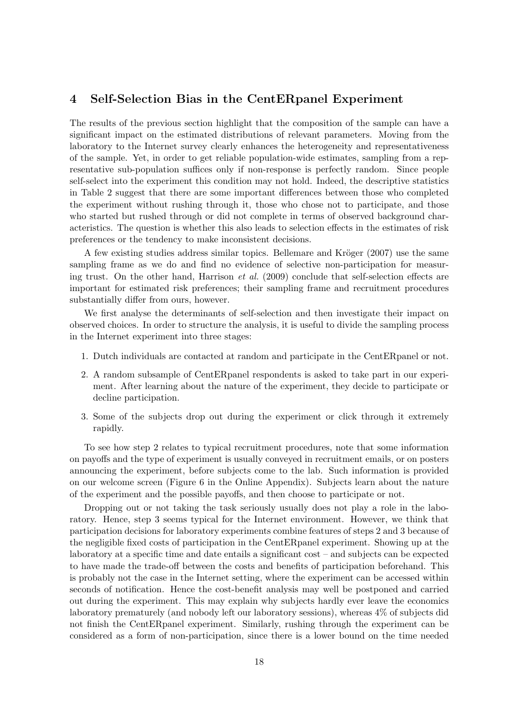### <span id="page-19-0"></span>4 Self-Selection Bias in the CentERpanel Experiment

The results of the previous section highlight that the composition of the sample can have a significant impact on the estimated distributions of relevant parameters. Moving from the laboratory to the Internet survey clearly enhances the heterogeneity and representativeness of the sample. Yet, in order to get reliable population-wide estimates, sampling from a representative sub-population suffices only if non-response is perfectly random. Since people self-select into the experiment this condition may not hold. Indeed, the descriptive statistics in Table [2](#page-10-1) suggest that there are some important differences between those who completed the experiment without rushing through it, those who chose not to participate, and those who started but rushed through or did not complete in terms of observed background characteristics. The question is whether this also leads to selection effects in the estimates of risk preferences or the tendency to make inconsistent decisions.

A few existing studies address similar topics. Bellemare and Kröger  $(2007)$  use the same sampling frame as we do and find no evidence of selective non-participation for measuring trust. On the other hand, [Harrison](#page-28-4) et al. [\(2009\)](#page-28-4) conclude that self-selection effects are important for estimated risk preferences; their sampling frame and recruitment procedures substantially differ from ours, however.

We first analyse the determinants of self-selection and then investigate their impact on observed choices. In order to structure the analysis, it is useful to divide the sampling process in the Internet experiment into three stages:

- <span id="page-19-3"></span>1. Dutch individuals are contacted at random and participate in the CentERpanel or not.
- <span id="page-19-1"></span>2. A random subsample of CentERpanel respondents is asked to take part in our experiment. After learning about the nature of the experiment, they decide to participate or decline participation.
- <span id="page-19-2"></span>3. Some of the subjects drop out during the experiment or click through it extremely rapidly.

To see how step [2](#page-19-1) relates to typical recruitment procedures, note that some information on payoffs and the type of experiment is usually conveyed in recruitment emails, or on posters announcing the experiment, before subjects come to the lab. Such information is provided on our welcome screen (Figure [6](#page-36-0) in the Online Appendix). Subjects learn about the nature of the experiment and the possible payoffs, and then choose to participate or not.

Dropping out or not taking the task seriously usually does not play a role in the laboratory. Hence, step [3](#page-19-2) seems typical for the Internet environment. However, we think that participation decisions for laboratory experiments combine features of steps [2](#page-19-1) and [3](#page-19-2) because of the negligible fixed costs of participation in the CentERpanel experiment. Showing up at the laboratory at a specific time and date entails a significant cost – and subjects can be expected to have made the trade-off between the costs and benefits of participation beforehand. This is probably not the case in the Internet setting, where the experiment can be accessed within seconds of notification. Hence the cost-benefit analysis may well be postponed and carried out during the experiment. This may explain why subjects hardly ever leave the economics laboratory prematurely (and nobody left our laboratory sessions), whereas 4% of subjects did not finish the CentERpanel experiment. Similarly, rushing through the experiment can be considered as a form of non-participation, since there is a lower bound on the time needed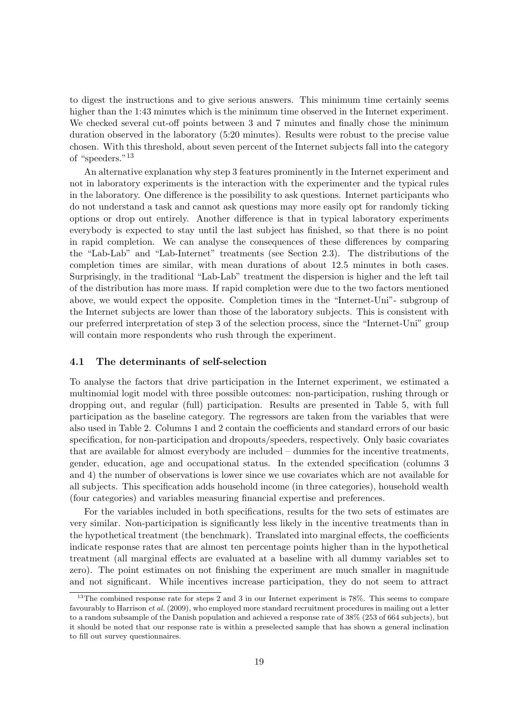to digest the instructions and to give serious answers. This minimum time certainly seems higher than the 1:43 minutes which is the minimum time observed in the Internet experiment. We checked several cut-off points between 3 and 7 minutes and finally chose the minimum duration observed in the laboratory (5:20 minutes). Results were robust to the precise value chosen. With this threshold, about seven percent of the Internet subjects fall into the category of "speeders."<sup>13</sup>

An alternative explanation why step [3](#page-19-2) features prominently in the Internet experiment and not in laboratory experiments is the interaction with the experimenter and the typical rules in the laboratory. One difference is the possibility to ask questions. Internet participants who do not understand a task and cannot ask questions may more easily opt for randomly ticking options or drop out entirely. Another difference is that in typical laboratory experiments everybody is expected to stay until the last subject has finished, so that there is no point in rapid completion. We can analyse the consequences of these differences by comparing the "Lab-Lab" and "Lab-Internet" treatments (see Section [2.3\)](#page-9-0). The distributions of the completion times are similar, with mean durations of about 12.5 minutes in both cases. Surprisingly, in the traditional "Lab-Lab" treatment the dispersion is higher and the left tail of the distribution has more mass. If rapid completion were due to the two factors mentioned above, we would expect the opposite. Completion times in the "Internet-Uni"- subgroup of the Internet subjects are lower than those of the laboratory subjects. This is consistent with our preferred interpretation of step [3](#page-19-2) of the selection process, since the "Internet-Uni" group will contain more respondents who rush through the experiment.

#### 4.1 The determinants of self-selection

To analyse the factors that drive participation in the Internet experiment, we estimated a multinomial logit model with three possible outcomes: non-participation, rushing through or dropping out, and regular (full) participation. Results are presented in Table [5,](#page-21-0) with full participation as the baseline category. The regressors are taken from the variables that were also used in Table 2. Columns 1 and 2 contain the coefficients and standard errors of our basic specification, for non-participation and dropouts/speeders, respectively. Only basic covariates that are available for almost everybody are included – dummies for the incentive treatments, gender, education, age and occupational status. In the extended specification (columns 3 and 4) the number of observations is lower since we use covariates which are not available for all subjects. This specification adds household income (in three categories), household wealth (four categories) and variables measuring financial expertise and preferences.

For the variables included in both specifications, results for the two sets of estimates are very similar. Non-participation is significantly less likely in the incentive treatments than in the hypothetical treatment (the benchmark). Translated into marginal effects, the coefficients indicate response rates that are almost ten percentage points higher than in the hypothetical treatment (all marginal effects are evaluated at a baseline with all dummy variables set to zero). The point estimates on not finishing the experiment are much smaller in magnitude and not significant. While incentives increase participation, they do not seem to attract

<sup>&</sup>lt;sup>13</sup>The combined response rate for steps [2](#page-19-1) and [3](#page-19-2) in our Internet experiment is  $78\%$ . This seems to compare favourably to [Harrison](#page-28-4) et al. [\(2009\)](#page-28-4), who employed more standard recruitment procedures in mailing out a letter to a random subsample of the Danish population and achieved a response rate of 38% (253 of 664 subjects), but it should be noted that our response rate is within a preselected sample that has shown a general inclination to fill out survey questionnaires.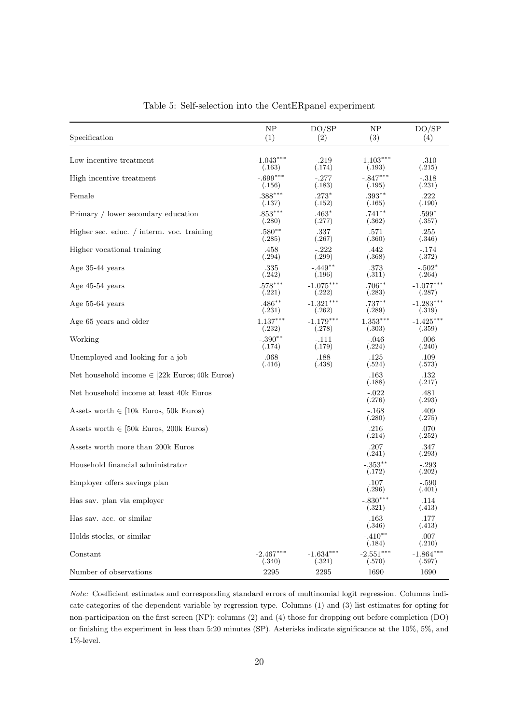| Specification                                     | NP          | DO/SP       | NP                    | DO/SP                 |
|---------------------------------------------------|-------------|-------------|-----------------------|-----------------------|
|                                                   | (1)         | (2)         | (3)                   | (4)                   |
| Low incentive treatment                           | $-1.043***$ | $-.219$     | $-1.103***$           | $-.310$               |
|                                                   | (.163)      | (.174)      | (.193)                | (.215)                |
| High incentive treatment                          | $-.699***$  | $-.277$     | $-.847***$            | -.318                 |
|                                                   | (.156)      | (.183)      | (.195)                | (.231)                |
| Female                                            | $.388***$   | $.273^*$    | $.393**$              | .222                  |
|                                                   | (.137)      | (.152)      | (.165)                | (.190)                |
| Primary / lower secondary education               | $.853***$   | $.463*$     | $.741**$              | $.599*$               |
|                                                   | (.280)      | (.277)      | (.362)                | (.357)                |
| Higher sec. educ. / interm. voc. training         | $.580**$    | .337        | .571                  | .255                  |
|                                                   | (.285)      | (.267)      | (.360)                | (.346)                |
| Higher vocational training                        | .458        | $-.222$     | .442                  | $-.174$               |
|                                                   | (.294)      | (.299)      | (.368)                | (.372)                |
| Age 35-44 years                                   | .335        | $-.449**$   | .373                  | $-.502*$              |
|                                                   | (.242)      | (.196)      | (.311)                | (.264)                |
| Age $45-54$ years                                 | $.578***$   | $-1.075***$ | $.706***$             | $\text{--}1.077***$   |
|                                                   | (.221)      | (.222)      | (.283)                | (.287)                |
| Age $55-64$ years                                 | $.486***$   | $-1.321***$ | $.737***$             | $-1.283***$           |
|                                                   | (.231)      | (.262)      | (.289)                | (.319)                |
| Age 65 years and older                            | $1.137***$  | $-1.179***$ | $1.353***$            | $-1.425***$           |
|                                                   | (.232)      | (.278)      | (.303)                | (.359)                |
| Working                                           | $-.390**$   | -.111       | $-.046$               | .006                  |
|                                                   | (.174)      | (.179)      | (.224)                | (.240)                |
| Unemployed and looking for a job                  | .068        | .188        | .125                  | .109                  |
|                                                   | (.416)      | (.438)      | (.524)                | (.573)                |
| Net household income $\in$ [22k Euros; 40k Euros) |             |             | .163<br>(.188)        | .132<br>(.217)        |
| Net household income at least 40k Euros           |             |             | $-.022$<br>(.276)     | .481<br>(.293)        |
| Assets worth $\in$ [10k Euros, 50k Euros)         |             |             | -.168<br>(.280)       | .409<br>(.275)        |
| Assets worth $\in$ [50k Euros, 200k Euros)        |             |             | .216<br>(.214)        | .070<br>(.252)        |
| Assets worth more than 200k Euros                 |             |             | .207<br>(.241)        | .347<br>(.293)        |
| Household financial administrator                 |             |             | $-.353***$<br>(.172)  | $-.293$<br>(.202)     |
| Employer offers savings plan                      |             |             | .107<br>(.296)        | $-.590$<br>(.401)     |
| Has say, plan via employer                        |             |             | $-.830***$<br>(.321)  | .114<br>(.413)        |
| Has say, acc. or similar                          |             |             | .163                  | .177                  |
| Holds stocks, or similar                          |             |             | (.346)<br>$-.410**$   | (.413)<br>.007        |
| Constant                                          | $-2.467***$ | $-1.634***$ | (.184)<br>$-2.551***$ | (.210)<br>$-1.864***$ |
| Number of observations                            | (.340)      | (.321)      | (.570)                | (.597)                |
|                                                   | $2295\,$    | 2295        | 1690                  | 1690                  |

<span id="page-21-0"></span>Table 5: Self-selection into the CentERpanel experiment

Note: Coefficient estimates and corresponding standard errors of multinomial logit regression. Columns indicate categories of the dependent variable by regression type. Columns (1) and (3) list estimates for opting for non-participation on the first screen (NP); columns (2) and (4) those for dropping out before completion (DO) or finishing the experiment in less than 5:20 minutes (SP). Asterisks indicate significance at the 10%, 5%, and  $1\%$  -level.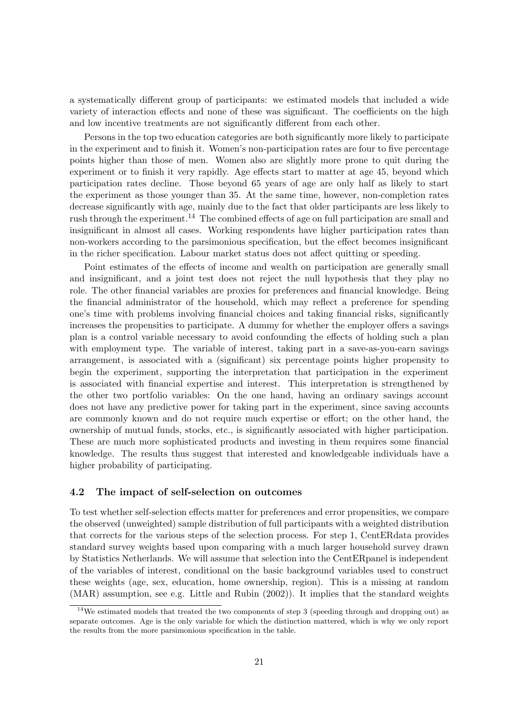a systematically different group of participants: we estimated models that included a wide variety of interaction effects and none of these was significant. The coefficients on the high and low incentive treatments are not significantly different from each other.

Persons in the top two education categories are both significantly more likely to participate in the experiment and to finish it. Women's non-participation rates are four to five percentage points higher than those of men. Women also are slightly more prone to quit during the experiment or to finish it very rapidly. Age effects start to matter at age 45, beyond which participation rates decline. Those beyond 65 years of age are only half as likely to start the experiment as those younger than 35. At the same time, however, non-completion rates decrease significantly with age, mainly due to the fact that older participants are less likely to rush through the experiment.<sup>14</sup> The combined effects of age on full participation are small and insignificant in almost all cases. Working respondents have higher participation rates than non-workers according to the parsimonious specification, but the effect becomes insignificant in the richer specification. Labour market status does not affect quitting or speeding.

Point estimates of the effects of income and wealth on participation are generally small and insignificant, and a joint test does not reject the null hypothesis that they play no role. The other financial variables are proxies for preferences and financial knowledge. Being the financial administrator of the household, which may reflect a preference for spending one's time with problems involving financial choices and taking financial risks, significantly increases the propensities to participate. A dummy for whether the employer offers a savings plan is a control variable necessary to avoid confounding the effects of holding such a plan with employment type. The variable of interest, taking part in a save-as-you-earn savings arrangement, is associated with a (significant) six percentage points higher propensity to begin the experiment, supporting the interpretation that participation in the experiment is associated with financial expertise and interest. This interpretation is strengthened by the other two portfolio variables: On the one hand, having an ordinary savings account does not have any predictive power for taking part in the experiment, since saving accounts are commonly known and do not require much expertise or effort; on the other hand, the ownership of mutual funds, stocks, etc., is significantly associated with higher participation. These are much more sophisticated products and investing in them requires some financial knowledge. The results thus suggest that interested and knowledgeable individuals have a higher probability of participating.

#### <span id="page-22-0"></span>4.2 The impact of self-selection on outcomes

To test whether self-selection effects matter for preferences and error propensities, we compare the observed (unweighted) sample distribution of full participants with a weighted distribution that corrects for the various steps of the selection process. For step [1,](#page-19-3) CentERdata provides standard survey weights based upon comparing with a much larger household survey drawn by Statistics Netherlands. We will assume that selection into the CentERpanel is independent of the variables of interest, conditional on the basic background variables used to construct these weights (age, sex, education, home ownership, region). This is a missing at random (MAR) assumption, see e.g. [Little and Rubin](#page-29-3) [\(2002\)](#page-29-3)). It implies that the standard weights

<sup>14</sup>We estimated models that treated the two components of step [3](#page-19-2) (speeding through and dropping out) as separate outcomes. Age is the only variable for which the distinction mattered, which is why we only report the results from the more parsimonious specification in the table.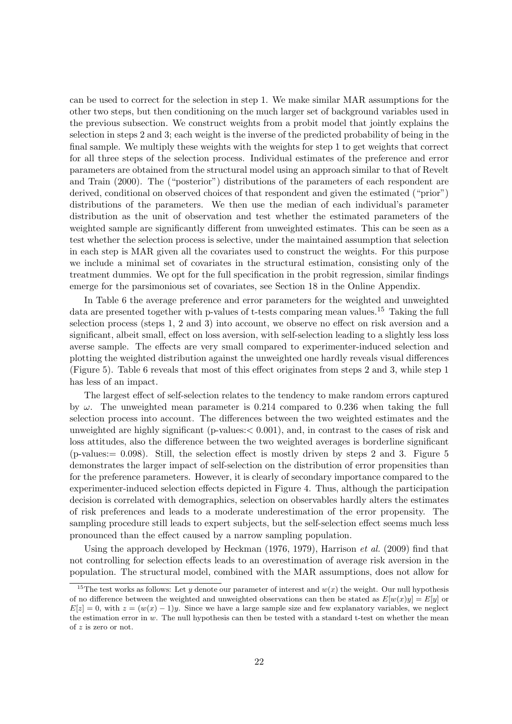can be used to correct for the selection in step [1.](#page-19-3) We make similar MAR assumptions for the other two steps, but then conditioning on the much larger set of background variables used in the previous subsection. We construct weights from a probit model that jointly explains the selection in steps [2](#page-19-1) and [3;](#page-19-2) each weight is the inverse of the predicted probability of being in the final sample. We multiply these weights with the weights for step [1](#page-19-3) to get weights that correct for all three steps of the selection process. Individual estimates of the preference and error parameters are obtained from the structural model using an approach similar to that of [Revelt](#page-29-14) [and Train](#page-29-14) [\(2000\)](#page-29-14). The ("posterior") distributions of the parameters of each respondent are derived, conditional on observed choices of that respondent and given the estimated ("prior") distributions of the parameters. We then use the median of each individual's parameter distribution as the unit of observation and test whether the estimated parameters of the weighted sample are significantly different from unweighted estimates. This can be seen as a test whether the selection process is selective, under the maintained assumption that selection in each step is MAR given all the covariates used to construct the weights. For this purpose we include a minimal set of covariates in the structural estimation, consisting only of the treatment dummies. We opt for the full specification in the probit regression, similar findings emerge for the parsimonious set of covariates, see Section [18](#page-50-0) in the Online Appendix.

In Table [6](#page-24-0) the average preference and error parameters for the weighted and unweighted data are presented together with p-values of t-tests comparing mean values.<sup>15</sup> Taking the full selection process (steps [1,](#page-19-3) [2](#page-19-1) and [3\)](#page-19-2) into account, we observe no effect on risk aversion and a significant, albeit small, effect on loss aversion, with self-selection leading to a slightly less loss averse sample. The effects are very small compared to experimenter-induced selection and plotting the weighted distribution against the unweighted one hardly reveals visual differences (Figure [5\)](#page-25-0). Table [6](#page-24-0) reveals that most of this effect originates from steps [2](#page-19-1) and [3,](#page-19-2) while step [1](#page-19-3) has less of an impact.

The largest effect of self-selection relates to the tendency to make random errors captured by  $\omega$ . The unweighted mean parameter is 0.214 compared to 0.236 when taking the full selection process into account. The differences between the two weighted estimates and the unweighted are highly significant (p-values:< 0.001), and, in contrast to the cases of risk and loss attitudes, also the difference between the two weighted averages is borderline significant  $(p\n-values := 0.098)$ . Still, the selection effect is mostly driven by steps [2](#page-19-1) and [3.](#page-19-2) Figure [5](#page-25-0) demonstrates the larger impact of self-selection on the distribution of error propensities than for the preference parameters. However, it is clearly of secondary importance compared to the experimenter-induced selection effects depicted in Figure [4.](#page-17-0) Thus, although the participation decision is correlated with demographics, selection on observables hardly alters the estimates of risk preferences and leads to a moderate underestimation of the error propensity. The sampling procedure still leads to expert subjects, but the self-selection effect seems much less pronounced than the effect caused by a narrow sampling population.

Using the approach developed by [Heckman](#page-29-15)  $(1976, 1979)$  $(1976, 1979)$  $(1976, 1979)$ , [Harrison](#page-28-4) *et al.* [\(2009\)](#page-28-4) find that not controlling for selection effects leads to an overestimation of average risk aversion in the population. The structural model, combined with the MAR assumptions, does not allow for

<sup>&</sup>lt;sup>15</sup>The test works as follows: Let y denote our parameter of interest and  $w(x)$  the weight. Our null hypothesis of no difference between the weighted and unweighted observations can then be stated as  $E[w(x)y] = E[y]$  or  $E[z] = 0$ , with  $z = (w(x) - 1)y$ . Since we have a large sample size and few explanatory variables, we neglect the estimation error in  $w$ . The null hypothesis can then be tested with a standard t-test on whether the mean of z is zero or not.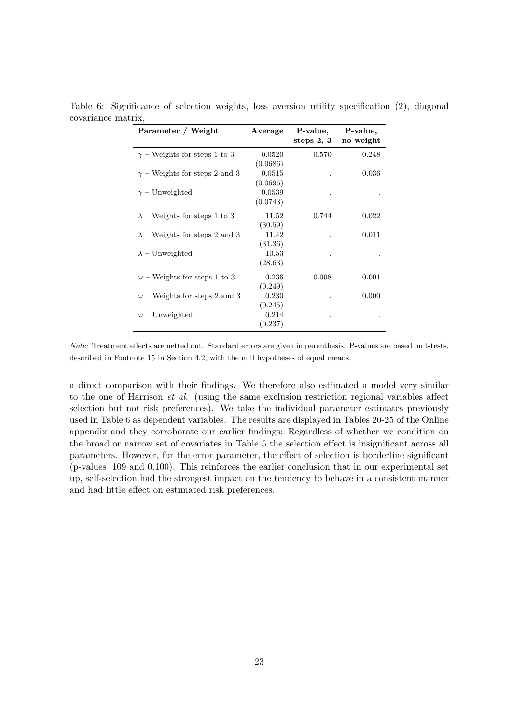<span id="page-24-0"></span>

| Parameter / Weight                    | Average  | P-value,<br>steps $2, 3$ | P-value,<br>no weight |
|---------------------------------------|----------|--------------------------|-----------------------|
| $\gamma$ – Weights for steps 1 to 3   | 0.0520   | 0.570                    | 0.248                 |
|                                       | (0.0686) |                          |                       |
| $\gamma$ – Weights for steps 2 and 3  | 0.0515   |                          | 0.036                 |
|                                       | (0.0696) |                          |                       |
| $\gamma$ – Unweighted                 | 0.0539   |                          |                       |
|                                       | (0.0743) |                          |                       |
| $\lambda$ – Weights for steps 1 to 3  | 11.52    | 0.744                    | 0.022                 |
|                                       | (30.59)  |                          |                       |
| $\lambda$ – Weights for steps 2 and 3 | 11.42    |                          | 0.011                 |
|                                       | (31.36)  |                          |                       |
| $\lambda$ – Unweighted                | 10.53    |                          |                       |
|                                       | (28.63)  |                          |                       |
| $\omega$ – Weights for steps 1 to 3   | 0.236    | 0.098                    | 0.001                 |
|                                       | (0.249)  |                          |                       |
| $\omega$ – Weights for steps 2 and 3  | 0.230    |                          | 0.000                 |
|                                       | (0.245)  |                          |                       |
| $\omega$ – Unweighted                 | 0.214    |                          |                       |
|                                       | (0.237)  |                          |                       |

Table 6: Significance of selection weights, loss aversion utility specification [\(2\)](#page-11-1), diagonal covariance matrix,

Note: Treatment effects are netted out. Standard errors are given in parenthesis. P-values are based on t-tests, described in Footnote [15](#page-22-0) in Section [4.2,](#page-22-0) with the null hypotheses of equal means.

a direct comparison with their findings. We therefore also estimated a model very similar to the one of [Harrison](#page-28-4)  $et \, al.$  (using the same exclusion restriction regional variables affect selection but not risk preferences). We take the individual parameter estimates previously used in Table [6](#page-24-0) as dependent variables. The results are displayed in Tables [20-](#page-53-0)[25](#page-58-0) of the Online appendix and they corroborate our earlier findings: Regardless of whether we condition on the broad or narrow set of covariates in Table [5](#page-21-0) the selection effect is insignificant across all parameters. However, for the error parameter, the effect of selection is borderline significant (p-values .109 and 0.100). This reinforces the earlier conclusion that in our experimental set up, self-selection had the strongest impact on the tendency to behave in a consistent manner and had little effect on estimated risk preferences.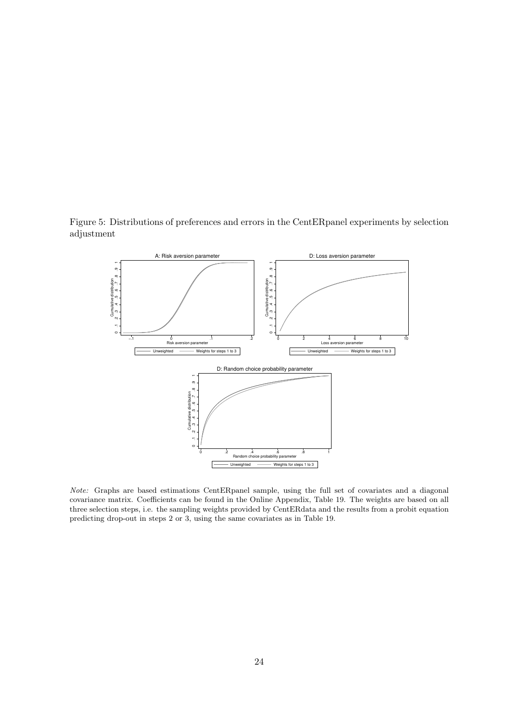Figure 5: Distributions of preferences and errors in the CentERpanel experiments by selection adjustment

<span id="page-25-0"></span>

Note: Graphs are based estimations CentERpanel sample, using the full set of covariates and a diagonal covariance matrix. Coefficients can be found in the Online Appendix, Table [19.](#page-52-0) The weights are based on all three selection steps, i.e. the sampling weights provided by CentERdata and the results from a probit equation predicting drop-out in steps [2](#page-19-1) or [3,](#page-19-2) using the same covariates as in Table [19.](#page-52-0)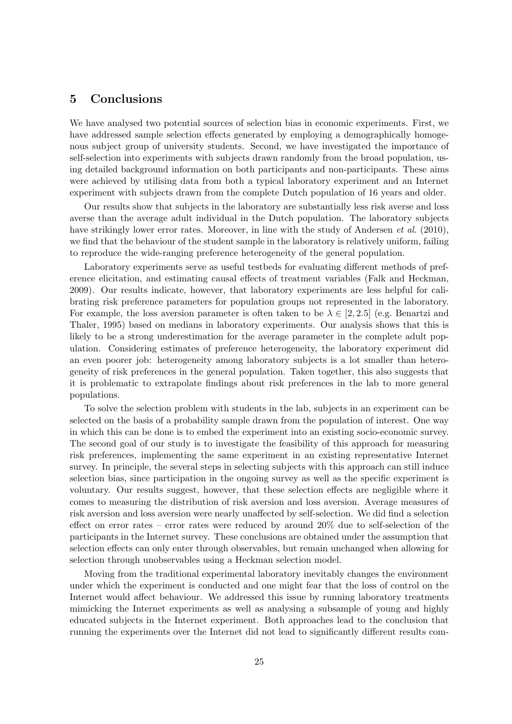### 5 Conclusions

We have analysed two potential sources of selection bias in economic experiments. First, we have addressed sample selection effects generated by employing a demographically homogenous subject group of university students. Second, we have investigated the importance of self-selection into experiments with subjects drawn randomly from the broad population, using detailed background information on both participants and non-participants. These aims were achieved by utilising data from both a typical laboratory experiment and an Internet experiment with subjects drawn from the complete Dutch population of 16 years and older.

Our results show that subjects in the laboratory are substantially less risk averse and loss averse than the average adult individual in the Dutch population. The laboratory subjects have strikingly lower error rates. Moreover, in line with the study of [Andersen](#page-27-3) et al. [\(2010\)](#page-27-3), we find that the behaviour of the student sample in the laboratory is relatively uniform, failing to reproduce the wide-ranging preference heterogeneity of the general population.

Laboratory experiments serve as useful testbeds for evaluating different methods of preference elicitation, and estimating causal effects of treatment variables [\(Falk and Heckman,](#page-28-10) [2009\)](#page-28-10). Our results indicate, however, that laboratory experiments are less helpful for calibrating risk preference parameters for population groups not represented in the laboratory. For example, the loss aversion parameter is often taken to be  $\lambda \in [2,2.5]$  (e.g. [Benartzi and](#page-27-10) [Thaler,](#page-27-10) [1995\)](#page-27-10) based on medians in laboratory experiments. Our analysis shows that this is likely to be a strong underestimation for the average parameter in the complete adult population. Considering estimates of preference heterogeneity, the laboratory experiment did an even poorer job: heterogeneity among laboratory subjects is a lot smaller than heterogeneity of risk preferences in the general population. Taken together, this also suggests that it is problematic to extrapolate findings about risk preferences in the lab to more general populations.

To solve the selection problem with students in the lab, subjects in an experiment can be selected on the basis of a probability sample drawn from the population of interest. One way in which this can be done is to embed the experiment into an existing socio-economic survey. The second goal of our study is to investigate the feasibility of this approach for measuring risk preferences, implementing the same experiment in an existing representative Internet survey. In principle, the several steps in selecting subjects with this approach can still induce selection bias, since participation in the ongoing survey as well as the specific experiment is voluntary. Our results suggest, however, that these selection effects are negligible where it comes to measuring the distribution of risk aversion and loss aversion. Average measures of risk aversion and loss aversion were nearly unaffected by self-selection. We did find a selection effect on error rates – error rates were reduced by around 20% due to self-selection of the participants in the Internet survey. These conclusions are obtained under the assumption that selection effects can only enter through observables, but remain unchanged when allowing for selection through unobservables using a Heckman selection model.

Moving from the traditional experimental laboratory inevitably changes the environment under which the experiment is conducted and one might fear that the loss of control on the Internet would affect behaviour. We addressed this issue by running laboratory treatments mimicking the Internet experiments as well as analysing a subsample of young and highly educated subjects in the Internet experiment. Both approaches lead to the conclusion that running the experiments over the Internet did not lead to significantly different results com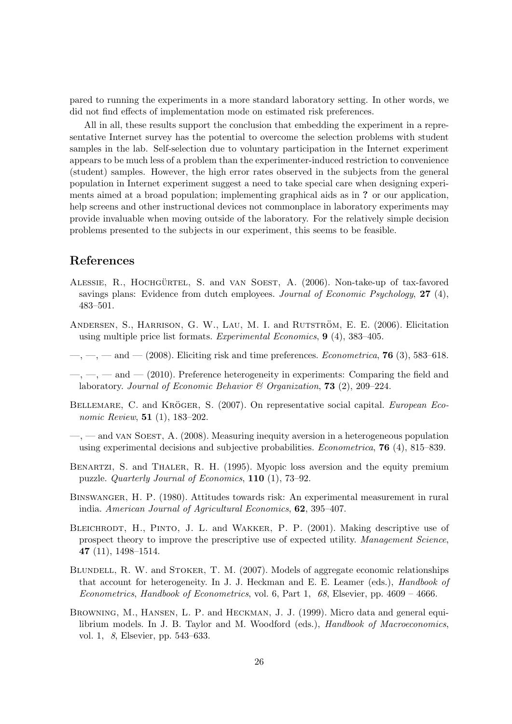pared to running the experiments in a more standard laboratory setting. In other words, we did not find effects of implementation mode on estimated risk preferences.

All in all, these results support the conclusion that embedding the experiment in a representative Internet survey has the potential to overcome the selection problems with student samples in the lab. Self-selection due to voluntary participation in the Internet experiment appears to be much less of a problem than the experimenter-induced restriction to convenience (student) samples. However, the high error rates observed in the subjects from the general population in Internet experiment suggest a need to take special care when designing experiments aimed at a broad population; implementing graphical aids as in ? or our application, help screens and other instructional devices not commonplace in laboratory experiments may provide invaluable when moving outside of the laboratory. For the relatively simple decision problems presented to the subjects in our experiment, this seems to be feasible.

### References

- <span id="page-27-9"></span>ALESSIE, R., HOCHGÜRTEL, S. and VAN SOEST, A. (2006). Non-take-up of tax-favored savings plans: Evidence from dutch employees. Journal of Economic Psychology, 27 (4), 483–501.
- <span id="page-27-7"></span>ANDERSEN, S., HARRISON, G. W., LAU, M. I. and RUTSTRÖM, E. E. (2006). Elicitation using multiple price list formats. Experimental Economics, 9 (4), 383–405.

<span id="page-27-2"></span> $\ldots$ ,  $\ldots$  and  $\ldots$  (2008). Eliciting risk and time preferences. *Econometrica*, **76** (3), 583–618.

- <span id="page-27-3"></span> $\ldots$ ,  $\ldots$  and  $\ldots$  (2010). Preference heterogeneity in experiments: Comparing the field and laboratory. Journal of Economic Behavior & Organization, 73 (2), 209–224.
- <span id="page-27-5"></span>BELLEMARE, C. and KRÖGER, S. (2007). On representative social capital. European Economic Review, 51 (1), 183–202.
- <span id="page-27-8"></span>—, — and van Soest, A. (2008). Measuring inequity aversion in a heterogeneous population using experimental decisions and subjective probabilities. Econometrica, 76 (4), 815–839.
- <span id="page-27-10"></span>Benartzi, S. and Thaler, R. H. (1995). Myopic loss aversion and the equity premium puzzle. Quarterly Journal of Economics, 110 (1), 73–92.
- <span id="page-27-6"></span>Binswanger, H. P. (1980). Attitudes towards risk: An experimental measurement in rural india. American Journal of Agricultural Economics, 62, 395–407.
- <span id="page-27-4"></span>BLEICHRODT, H., PINTO, J. L. and WAKKER, P. P. (2001). Making descriptive use of prospect theory to improve the prescriptive use of expected utility. Management Science, 47 (11), 1498–1514.
- <span id="page-27-1"></span>Blundell, R. W. and Stoker, T. M. (2007). Models of aggregate economic relationships that account for heterogeneity. In J. J. Heckman and E. E. Leamer (eds.), Handbook of Econometrics, Handbook of Econometrics, vol. 6, Part 1, 68, Elsevier, pp. 4609 – 4666.
- <span id="page-27-0"></span>Browning, M., Hansen, L. P. and Heckman, J. J. (1999). Micro data and general equilibrium models. In J. B. Taylor and M. Woodford (eds.), Handbook of Macroeconomics, vol. 1, 8, Elsevier, pp. 543–633.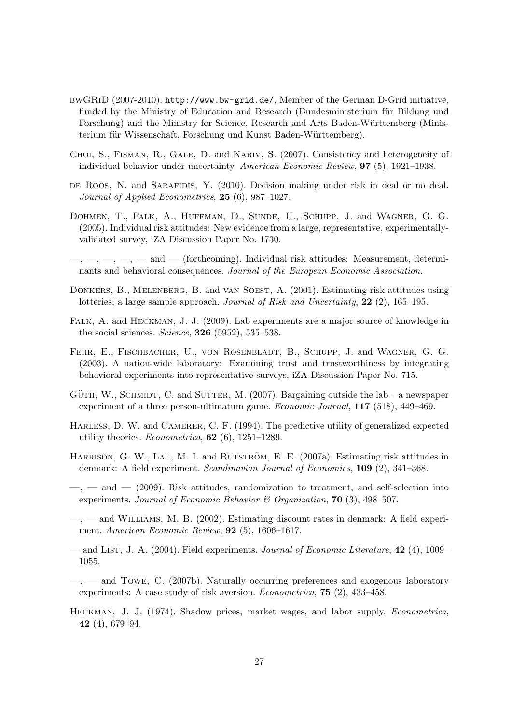- bwGRiD (2007-2010). <http://www.bw-grid.de/>, Member of the German D-Grid initiative, funded by the Ministry of Education and Research (Bundesministerium für Bildung und Forschung) and the Ministry for Science, Research and Arts Baden-Württemberg (Ministerium für Wissenschaft, Forschung und Kunst Baden-Württemberg).
- <span id="page-28-8"></span>Choi, S., Fisman, R., Gale, D. and Kariv, S. (2007). Consistency and heterogeneity of individual behavior under uncertainty. American Economic Review, 97 (5), 1921–1938.
- <span id="page-28-14"></span>DE ROOS, N. and SARAFIDIS, Y. (2010). Decision making under risk in deal or no deal. Journal of Applied Econometrics, 25 (6), 987–1027.
- <span id="page-28-6"></span>Dohmen, T., Falk, A., Huffman, D., Sunde, U., Schupp, J. and Wagner, G. G. (2005). Individual risk attitudes: New evidence from a large, representative, experimentallyvalidated survey, iZA Discussion Paper No. 1730.
- <span id="page-28-7"></span> $\ldots$ ,  $\ldots$ ,  $\ldots$ ,  $\ldots$  and  $\ldots$  (forthcoming). Individual risk attitudes: Measurement, determinants and behavioral consequences. Journal of the European Economic Association.
- <span id="page-28-12"></span>DONKERS, B., MELENBERG, B. and VAN SOEST, A. (2001). Estimating risk attitudes using lotteries; a large sample approach. Journal of Risk and Uncertainty, 22 (2), 165–195.
- <span id="page-28-10"></span>FALK, A. and HECKMAN, J. J. (2009). Lab experiments are a major source of knowledge in the social sciences. Science,  $326$  (5952), 535–538.
- <span id="page-28-5"></span>FEHR, E., FISCHBACHER, U., VON ROSENBLADT, B., SCHUPP, J. and WAGNER, G. G. (2003). A nation-wide laboratory: Examining trust and trustworthiness by integrating behavioral experiments into representative surveys, iZA Discussion Paper No. 715.
- <span id="page-28-11"></span>GÜTH, W., SCHMIDT, C. and SUTTER, M.  $(2007)$ . Bargaining outside the lab – a newspaper experiment of a three person-ultimatum game. Economic Journal, 117 (518), 449–469.
- <span id="page-28-13"></span>HARLESS, D. W. and CAMERER, C. F. (1994). The predictive utility of generalized expected utility theories. *Econometrica*,  $62$  (6), 1251–1289.
- <span id="page-28-2"></span>HARRISON, G. W., LAU, M. I. and RUTSTRÖM, E. E. (2007a). Estimating risk attitudes in denmark: A field experiment. *Scandinavian Journal of Economics*, **109** (2), 341–368.
- <span id="page-28-4"></span> $\sim$ ,  $\sim$  and  $\sim$  (2009). Risk attitudes, randomization to treatment, and self-selection into experiments. Journal of Economic Behavior & Organization, 70 (3), 498–507.
- <span id="page-28-0"></span> $\sim$ ,  $\sim$  and WILLIAMS, M. B. (2002). Estimating discount rates in denmark: A field experiment. American Economic Review, 92 (5), 1606–1617.
- <span id="page-28-9"></span>— and LIST, J. A. (2004). Field experiments. Journal of Economic Literature,  $42$  (4), 1009– 1055.
- <span id="page-28-3"></span> $\sim$ ,  $\sim$  and TOWE, C. (2007b). Naturally occurring preferences and exogenous laboratory experiments: A case study of risk aversion. *Econometrica*, **75** (2), 433–458.
- <span id="page-28-1"></span>Heckman, J. J. (1974). Shadow prices, market wages, and labor supply. Econometrica, 42 (4), 679–94.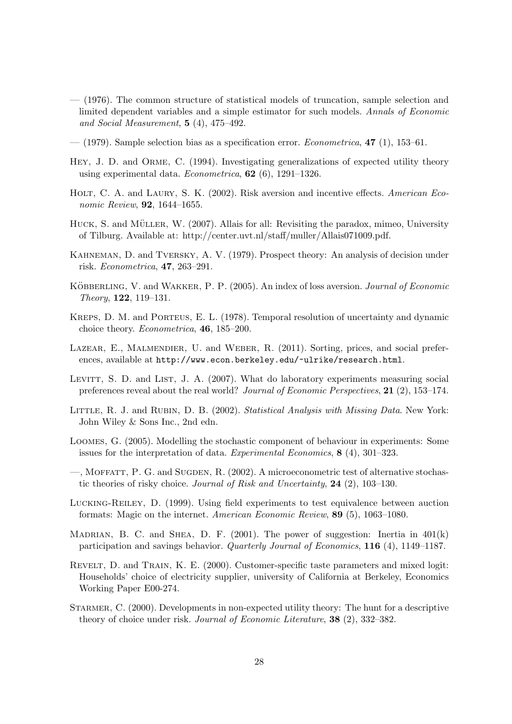- <span id="page-29-15"></span>— (1976). The common structure of statistical models of truncation, sample selection and limited dependent variables and a simple estimator for such models. Annals of Economic and Social Measurement, 5 (4), 475–492.
- <span id="page-29-16"></span>— (1979). Sample selection bias as a specification error. *Econometrica*, **47** (1), 153–61.
- <span id="page-29-12"></span>Hey, J. D. and Orme, C. (1994). Investigating generalizations of expected utility theory using experimental data. Econometrica, 62 (6), 1291–1326.
- <span id="page-29-5"></span>HOLT, C. A. and LAURY, S. K. (2002). Risk aversion and incentive effects. American Economic Review, 92, 1644–1655.
- <span id="page-29-13"></span>HUCK, S. and MÜLLER, W.  $(2007)$ . Allais for all: Revisiting the paradox, mimeo, University of Tilburg. Available at: http://center.uvt.nl/staff/muller/Allais071009.pdf.
- <span id="page-29-4"></span>Kahneman, D. and Tversky, A. V. (1979). Prospect theory: An analysis of decision under risk. Econometrica, 47, 263–291.
- <span id="page-29-8"></span>KÖBBERLING, V. and WAKKER, P. P. (2005). An index of loss aversion. Journal of Economic Theory, 122, 119–131.
- <span id="page-29-10"></span>Kreps, D. M. and Porteus, E. L. (1978). Temporal resolution of uncertainty and dynamic choice theory. Econometrica, 46, 185–200.
- <span id="page-29-2"></span>LAZEAR, E., MALMENDIER, U. and WEBER, R. (2011). Sorting, prices, and social preferences, available at <http://www.econ.berkeley.edu/~ulrike/research.html>.
- <span id="page-29-1"></span>LEVITT, S. D. and LIST, J. A. (2007). What do laboratory experiments measuring social preferences reveal about the real world? Journal of Economic Perspectives, 21 (2), 153–174.
- <span id="page-29-3"></span>LITTLE, R. J. and RUBIN, D. B. (2002). Statistical Analysis with Missing Data. New York: John Wiley & Sons Inc., 2nd edn.
- <span id="page-29-9"></span>Loomes, G. (2005). Modelling the stochastic component of behaviour in experiments: Some issues for the interpretation of data. Experimental Economics, 8 (4), 301–323.
- <span id="page-29-11"></span>—, Moffatt, P. G. and Sugden, R. (2002). A microeconometric test of alternative stochastic theories of risky choice. Journal of Risk and Uncertainty, 24 (2), 103–130.
- <span id="page-29-0"></span>Lucking-Reiley, D. (1999). Using field experiments to test equivalence between auction formats: Magic on the internet. American Economic Review, 89 (5), 1063–1080.
- <span id="page-29-6"></span>MADRIAN, B. C. and SHEA, D. F.  $(2001)$ . The power of suggestion: Inertia in  $401(k)$ participation and savings behavior. Quarterly Journal of Economics, 116 (4), 1149–1187.
- <span id="page-29-14"></span>Revelt, D. and Train, K. E. (2000). Customer-specific taste parameters and mixed logit: Households' choice of electricity supplier, university of California at Berkeley, Economics Working Paper E00-274.
- <span id="page-29-7"></span>Starmer, C. (2000). Developments in non-expected utility theory: The hunt for a descriptive theory of choice under risk. Journal of Economic Literature, 38 (2), 332–382.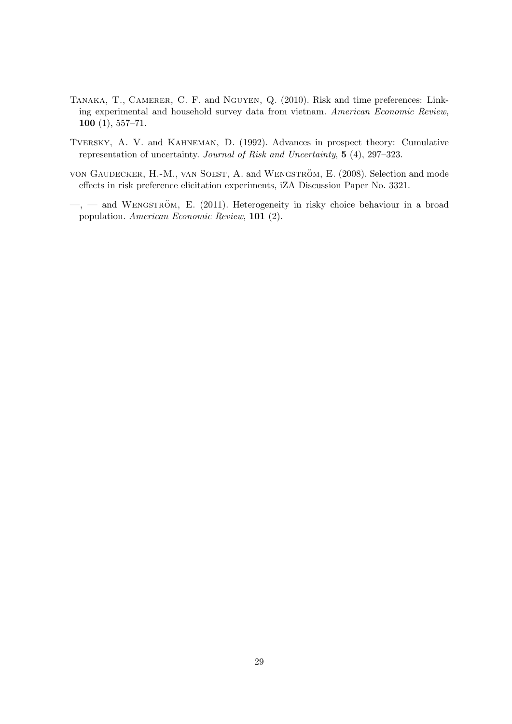- <span id="page-30-0"></span>TANAKA, T., CAMERER, C. F. and NGUYEN, Q. (2010). Risk and time preferences: Linking experimental and household survey data from vietnam. American Economic Review, 100 (1), 557–71.
- <span id="page-30-2"></span>Tversky, A. V. and Kahneman, D. (1992). Advances in prospect theory: Cumulative representation of uncertainty. Journal of Risk and Uncertainty, 5 (4), 297–323.
- von GAUDECKER, H.-M., van SOEST, A. and WENGSTRÖM, E. (2008). Selection and mode effects in risk preference elicitation experiments, iZA Discussion Paper No. 3321.
- <span id="page-30-1"></span> $\text{---}$ ,  $\text{---}$  and WENGSTRÖM, E. (2011). Heterogeneity in risky choice behaviour in a broad population. American Economic Review, 101 (2).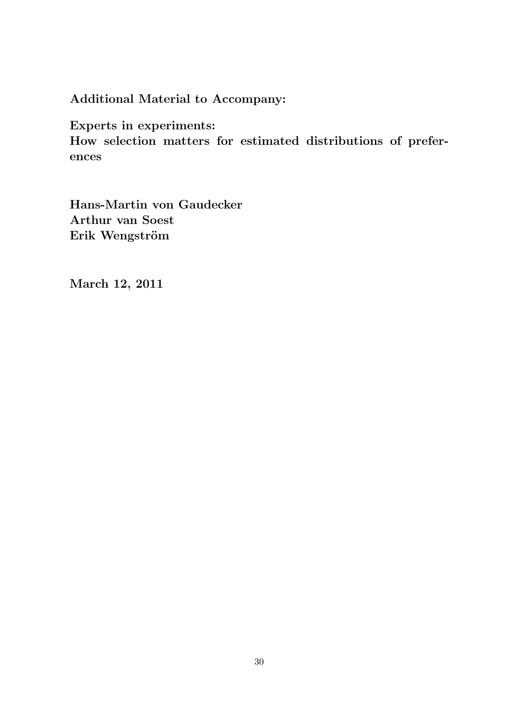Additional Material to Accompany:

Experts in experiments:

How selection matters for estimated distributions of preferences

Hans-Martin von Gaudecker Arthur van Soest Erik Wengström

March 12, 2011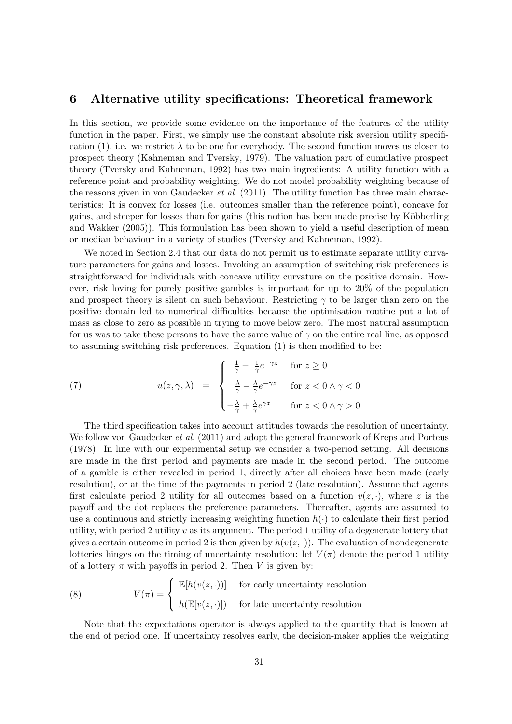### 6 Alternative utility specifications: Theoretical framework

In this section, we provide some evidence on the importance of the features of the utility function in the paper. First, we simply use the constant absolute risk aversion utility specifi-cation [\(1\)](#page-11-0), i.e. we restrict  $\lambda$  to be one for everybody. The second function moves us closer to prospect theory [\(Kahneman and Tversky,](#page-29-4) [1979\)](#page-29-4). The valuation part of cumulative prospect theory [\(Tversky and Kahneman,](#page-30-2) [1992\)](#page-30-2) has two main ingredients: A utility function with a reference point and probability weighting. We do not model probability weighting because of the reasons given in [von Gaudecker](#page-30-1) *et al.* [\(2011\)](#page-30-1). The utility function has three main characteristics: It is convex for losses (i.e. outcomes smaller than the reference point), concave for gains, and steeper for losses than for gains (this notion has been made precise by Köbberling [and Wakker](#page-29-8) [\(2005\)](#page-29-8)). This formulation has been shown to yield a useful description of mean or median behaviour in a variety of studies [\(Tversky and Kahneman,](#page-30-2) [1992\)](#page-30-2).

We noted in Section [2.4](#page-10-0) that our data do not permit us to estimate separate utility curvature parameters for gains and losses. Invoking an assumption of switching risk preferences is straightforward for individuals with concave utility curvature on the positive domain. However, risk loving for purely positive gambles is important for up to 20% of the population and prospect theory is silent on such behaviour. Restricting  $\gamma$  to be larger than zero on the positive domain led to numerical difficulties because the optimisation routine put a lot of mass as close to zero as possible in trying to move below zero. The most natural assumption for us was to take these persons to have the same value of  $\gamma$  on the entire real line, as opposed to assuming switching risk preferences. Equation [\(1\)](#page-11-0) is then modified to be:

<span id="page-32-0"></span>(7) 
$$
u(z, \gamma, \lambda) = \begin{cases} \frac{1}{\gamma} - \frac{1}{\gamma} e^{-\gamma z} & \text{for } z \ge 0 \\ \frac{\lambda}{\gamma} - \frac{\lambda}{\gamma} e^{-\gamma z} & \text{for } z < 0 \land \gamma < 0 \\ -\frac{\lambda}{\gamma} + \frac{\lambda}{\gamma} e^{\gamma z} & \text{for } z < 0 \land \gamma > 0 \end{cases}
$$

The third specification takes into account attitudes towards the resolution of uncertainty. We follow [von Gaudecker](#page-30-1) *et al.* [\(2011\)](#page-30-1) and adopt the general framework of [Kreps and Porteus](#page-29-10) [\(1978\)](#page-29-10). In line with our experimental setup we consider a two-period setting. All decisions are made in the first period and payments are made in the second period. The outcome of a gamble is either revealed in period 1, directly after all choices have been made (early resolution), or at the time of the payments in period 2 (late resolution). Assume that agents first calculate period 2 utility for all outcomes based on a function  $v(z, \cdot)$ , where z is the payoff and the dot replaces the preference parameters. Thereafter, agents are assumed to use a continuous and strictly increasing weighting function  $h(\cdot)$  to calculate their first period utility, with period 2 utility  $v$  as its argument. The period 1 utility of a degenerate lottery that gives a certain outcome in period 2 is then given by  $h(v(z, \cdot))$ . The evaluation of nondegenerate lotteries hinges on the timing of uncertainty resolution: let  $V(\pi)$  denote the period 1 utility of a lottery  $\pi$  with payoffs in period 2. Then V is given by:

(8) 
$$
V(\pi) = \begin{cases} \mathbb{E}[h(v(z, \cdot))] & \text{for early uncertainty resolution} \\ h(\mathbb{E}[v(z, \cdot)]) & \text{for late uncertainty resolution} \end{cases}
$$

Note that the expectations operator is always applied to the quantity that is known at the end of period one. If uncertainty resolves early, the decision-maker applies the weighting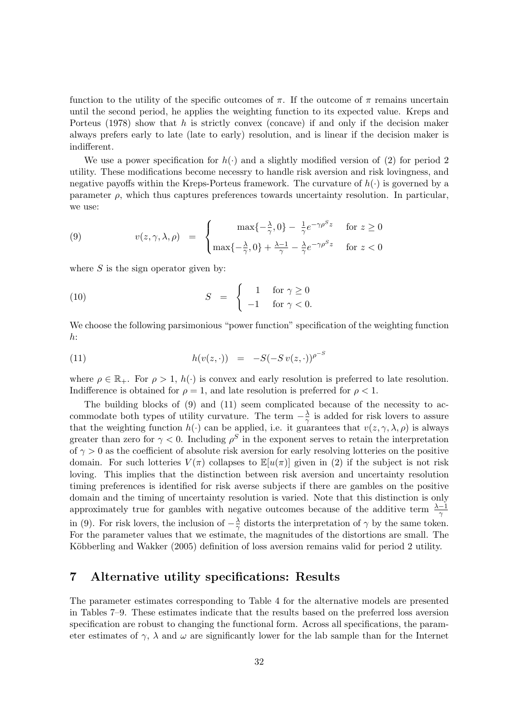function to the utility of the specific outcomes of  $\pi$ . If the outcome of  $\pi$  remains uncertain until the second period, he applies the weighting function to its expected value. [Kreps and](#page-29-10) [Porteus](#page-29-10)  $(1978)$  show that h is strictly convex (concave) if and only if the decision maker always prefers early to late (late to early) resolution, and is linear if the decision maker is indifferent.

We use a power specification for  $h(\cdot)$  and a slightly modified version of [\(2\)](#page-11-1) for period 2 utility. These modifications become necessry to handle risk aversion and risk lovingness, and negative payoffs within the Kreps-Porteus framework. The curvature of  $h(\cdot)$  is governed by a parameter  $\rho$ , which thus captures preferences towards uncertainty resolution. In particular, we use:

<span id="page-33-0"></span>(9) 
$$
v(z, \gamma, \lambda, \rho) = \begin{cases} \max\{-\frac{\lambda}{\gamma}, 0\} - \frac{1}{\gamma} e^{-\gamma \rho^{S} z} & \text{for } z \ge 0 \\ \max\{-\frac{\lambda}{\gamma}, 0\} + \frac{\lambda - 1}{\gamma} - \frac{\lambda}{\gamma} e^{-\gamma \rho^{S} z} & \text{for } z < 0 \end{cases}
$$

where  $S$  is the sign operator given by:

(10) 
$$
S = \begin{cases} 1 & \text{for } \gamma \ge 0 \\ -1 & \text{for } \gamma < 0. \end{cases}
$$

We choose the following parsimonious "power function" specification of the weighting function h:

<span id="page-33-1"></span>(11) 
$$
h(v(z, \cdot)) = -S(-S v(z, \cdot))^{\rho^{-S}}
$$

where  $\rho \in \mathbb{R}_+$ . For  $\rho > 1$ ,  $h(\cdot)$  is convex and early resolution is preferred to late resolution. Indifference is obtained for  $\rho = 1$ , and late resolution is preferred for  $\rho < 1$ .

The building blocks of [\(9\)](#page-33-0) and [\(11\)](#page-33-1) seem complicated because of the necessity to accommodate both types of utility curvature. The term  $-\frac{\lambda}{\gamma}$  $\frac{\lambda}{\gamma}$  is added for risk lovers to assure that the weighting function  $h(\cdot)$  can be applied, i.e. it guarantees that  $v(z, \gamma, \lambda, \rho)$  is always greater than zero for  $\gamma < 0$ . Including  $\rho^S$  in the exponent serves to retain the interpretation of  $\gamma > 0$  as the coefficient of absolute risk aversion for early resolving lotteries on the positive domain. For such lotteries  $V(\pi)$  collapses to  $\mathbb{E}[u(\pi)]$  given in [\(2\)](#page-11-1) if the subject is not risk loving. This implies that the distinction between risk aversion and uncertainty resolution timing preferences is identified for risk averse subjects if there are gambles on the positive domain and the timing of uncertainty resolution is varied. Note that this distinction is only approximately true for gambles with negative outcomes because of the additive term  $\frac{\lambda-1}{\gamma}$ in [\(9\)](#page-33-0). For risk lovers, the inclusion of  $-\frac{\lambda}{\gamma}$  $\frac{\lambda}{\gamma}$  distorts the interpretation of  $\gamma$  by the same token. For the parameter values that we estimate, the magnitudes of the distortions are small. The Köbberling and Wakker [\(2005\)](#page-29-8) definition of loss aversion remains valid for period 2 utility.

### 7 Alternative utility specifications: Results

The parameter estimates corresponding to Table [4](#page-17-0) for the alternative models are presented in Tables [7–](#page-38-0)[9.](#page-40-0) These estimates indicate that the results based on the preferred loss aversion specification are robust to changing the functional form. Across all specifications, the parameter estimates of  $\gamma$ ,  $\lambda$  and  $\omega$  are significantly lower for the lab sample than for the Internet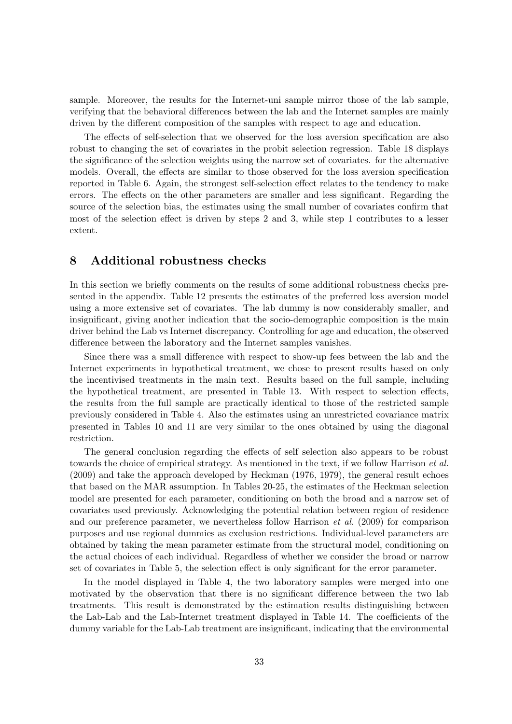sample. Moreover, the results for the Internet-uni sample mirror those of the lab sample, verifying that the behavioral differences between the lab and the Internet samples are mainly driven by the different composition of the samples with respect to age and education.

The effects of self-selection that we observed for the loss aversion specification are also robust to changing the set of covariates in the probit selection regression. Table [18](#page-50-1) displays the significance of the selection weights using the narrow set of covariates. for the alternative models. Overall, the effects are similar to those observed for the loss aversion specification reported in Table [6.](#page-24-0) Again, the strongest self-selection effect relates to the tendency to make errors. The effects on the other parameters are smaller and less significant. Regarding the source of the selection bias, the estimates using the small number of covariates confirm that most of the selection effect is driven by steps 2 and 3, while step 1 contributes to a lesser extent.

### 8 Additional robustness checks

In this section we briefly comments on the results of some additional robustness checks presented in the appendix. Table [12](#page-44-0) presents the estimates of the preferred loss aversion model using a more extensive set of covariates. The lab dummy is now considerably smaller, and insignificant, giving another indication that the socio-demographic composition is the main driver behind the Lab vs Internet discrepancy. Controlling for age and education, the observed difference between the laboratory and the Internet samples vanishes.

Since there was a small difference with respect to show-up fees between the lab and the Internet experiments in hypothetical treatment, we chose to present results based on only the incentivised treatments in the main text. Results based on the full sample, including the hypothetical treatment, are presented in Table [13.](#page-45-0) With respect to selection effects, the results from the full sample are practically identical to those of the restricted sample previously considered in Table [4.](#page-17-0) Also the estimates using an unrestricted covariance matrix presented in Tables [10](#page-41-0) and [11](#page-42-0) are very similar to the ones obtained by using the diagonal restriction.

The general conclusion regarding the effects of self selection also appears to be robust towards the choice of empirical strategy. As mentioned in the text, if we follow [Harrison](#page-28-4) *et al.* [\(2009\)](#page-28-4) and take the approach developed by [Heckman](#page-29-15) [\(1976,](#page-29-15) [1979\)](#page-29-16), the general result echoes that based on the MAR assumption. In Tables [20-](#page-53-0)[25,](#page-58-0) the estimates of the Heckman selection model are presented for each parameter, conditioning on both the broad and a narrow set of covariates used previously. Acknowledging the potential relation between region of residence and our preference parameter, we nevertheless follow [Harrison](#page-28-4) et al. [\(2009\)](#page-28-4) for comparison purposes and use regional dummies as exclusion restrictions. Individual-level parameters are obtained by taking the mean parameter estimate from the structural model, conditioning on the actual choices of each individual. Regardless of whether we consider the broad or narrow set of covariates in Table [5,](#page-21-0) the selection effect is only significant for the error parameter.

In the model displayed in Table [4,](#page-17-0) the two laboratory samples were merged into one motivated by the observation that there is no significant difference between the two lab treatments. This result is demonstrated by the estimation results distinguishing between the Lab-Lab and the Lab-Internet treatment displayed in Table [14.](#page-46-0) The coefficients of the dummy variable for the Lab-Lab treatment are insignificant, indicating that the environmental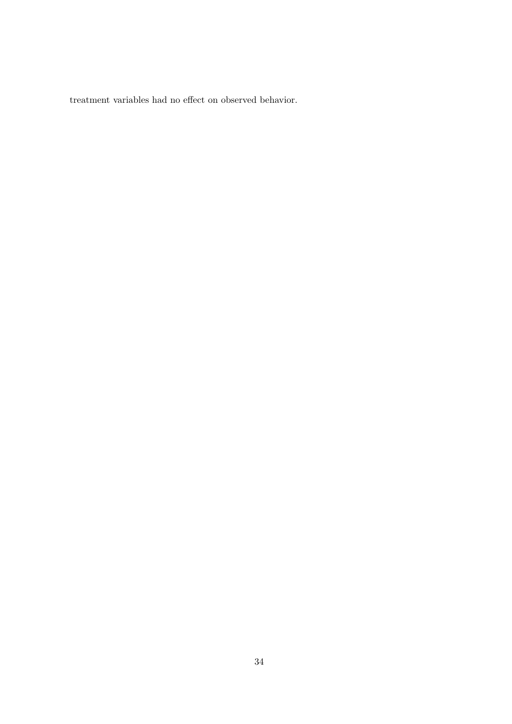treatment variables had no effect on observed behavior.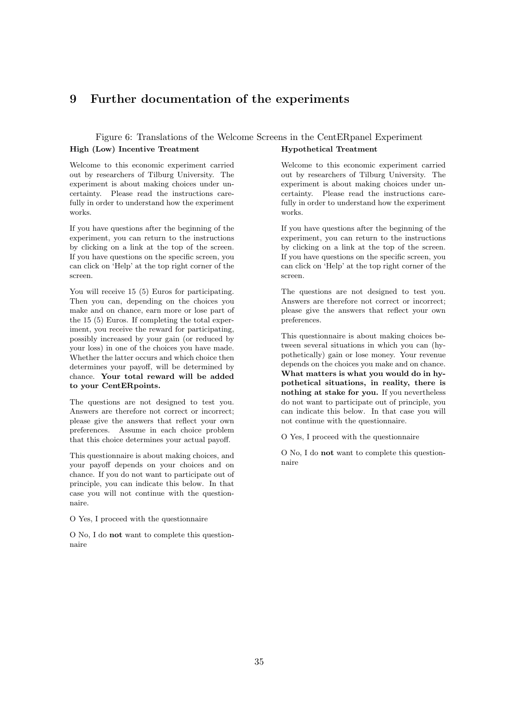### 9 Further documentation of the experiments

#### <span id="page-36-0"></span>Figure 6: Translations of the Welcome Screens in the CentERpanel Experiment High (Low) Incentive Treatment Hypothetical Treatment

Welcome to this economic experiment carried out by researchers of Tilburg University. The experiment is about making choices under uncertainty. Please read the instructions carefully in order to understand how the experiment works.

If you have questions after the beginning of the experiment, you can return to the instructions by clicking on a link at the top of the screen. If you have questions on the specific screen, you can click on 'Help' at the top right corner of the screen.

You will receive 15 (5) Euros for participating. Then you can, depending on the choices you make and on chance, earn more or lose part of the 15 (5) Euros. If completing the total experiment, you receive the reward for participating, possibly increased by your gain (or reduced by your loss) in one of the choices you have made. Whether the latter occurs and which choice then determines your payoff, will be determined by chance. Your total reward will be added to your CentERpoints.

The questions are not designed to test you. Answers are therefore not correct or incorrect; please give the answers that reflect your own preferences. Assume in each choice problem that this choice determines your actual payoff.

This questionnaire is about making choices, and your payoff depends on your choices and on chance. If you do not want to participate out of principle, you can indicate this below. In that case you will not continue with the questionnaire.

O Yes, I proceed with the questionnaire

O No, I do not want to complete this questionnaire

Welcome to this economic experiment carried out by researchers of Tilburg University. The experiment is about making choices under uncertainty. Please read the instructions carefully in order to understand how the experiment works.

If you have questions after the beginning of the experiment, you can return to the instructions by clicking on a link at the top of the screen. If you have questions on the specific screen, you can click on 'Help' at the top right corner of the screen.

The questions are not designed to test you. Answers are therefore not correct or incorrect; please give the answers that reflect your own preferences.

This questionnaire is about making choices between several situations in which you can (hypothetically) gain or lose money. Your revenue depends on the choices you make and on chance. What matters is what you would do in hypothetical situations, in reality, there is nothing at stake for you. If you nevertheless do not want to participate out of principle, you can indicate this below. In that case you will not continue with the questionnaire.

O Yes, I proceed with the questionnaire

O No, I do not want to complete this questionnaire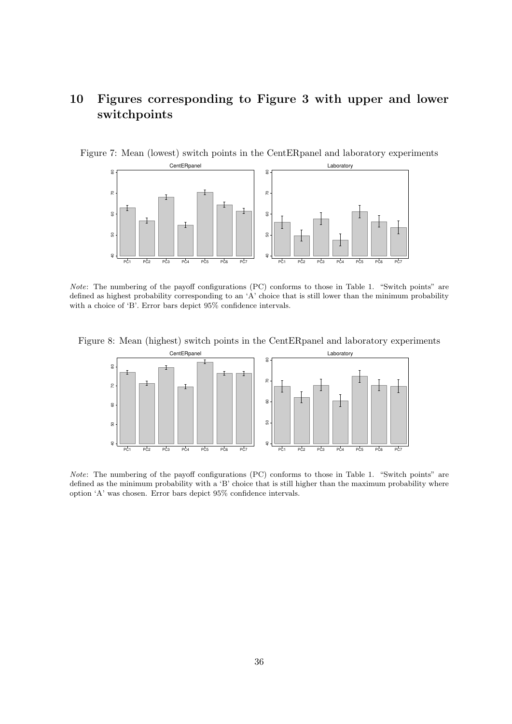## 10 Figures corresponding to Figure [3](#page-15-1) with upper and lower switchpoints



<span id="page-37-0"></span>

Note: The numbering of the payoff configurations (PC) conforms to those in Table [1.](#page-7-0) "Switch points" are defined as highest probability corresponding to an 'A' choice that is still lower than the minimum probability with a choice of 'B'. Error bars depict 95% confidence intervals.



<span id="page-37-1"></span>

Note: The numbering of the payoff configurations (PC) conforms to those in Table [1.](#page-7-0) "Switch points" are defined as the minimum probability with a 'B' choice that is still higher than the maximum probability where option 'A' was chosen. Error bars depict 95% confidence intervals.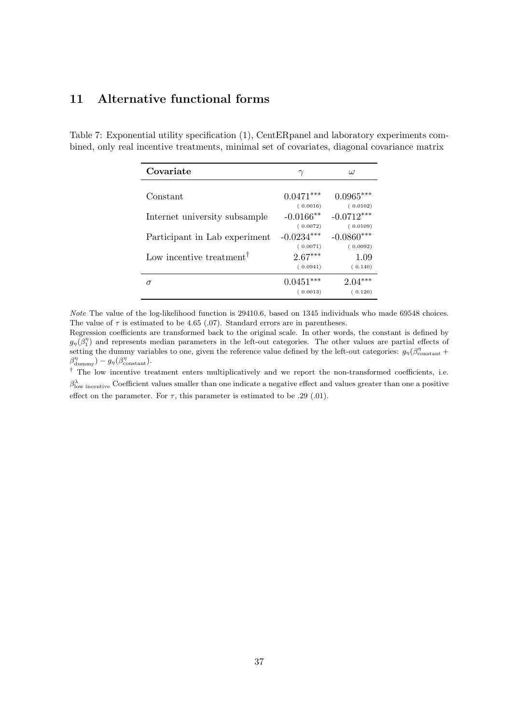### 11 Alternative functional forms

<span id="page-38-0"></span>Table 7: Exponential utility specification [\(1\)](#page-11-0), CentERpanel and laboratory experiments combined, only real incentive treatments, minimal set of covariates, diagonal covariance matrix

| Covariate                            | $\gamma$                 | $\omega$                 |
|--------------------------------------|--------------------------|--------------------------|
| Constant                             | $0.0471***$<br>(0.0016)  | $0.0965***$<br>(0.0102)  |
| Internet university subsample        | $-0.0166**$<br>(0.0072)  | $-0.0712***$<br>(0.0109) |
| Participant in Lab experiment        | $-0.0234***$<br>(0.0071) | $-0.0860***$<br>(0.0092) |
| Low incentive treatment <sup>†</sup> | $2.67***$<br>(0.0941)    | 1.09<br>(0.140)          |
| $\sigma$                             | $0.0451***$<br>(0.0013)  | $2.04***$<br>(0.120)     |

Note The value of the log-likelihood function is 29410.6, based on 1345 individuals who made 69548 choices. The value of  $\tau$  is estimated to be 4.65 (.07). Standard errors are in parentheses.

Regression coefficients are transformed back to the original scale. In other words, the constant is defined by  $g_{\eta}(\beta_1^{\eta})$  and represents median parameters in the left-out categories. The other values are partial effects of setting the dummy variables to one, given the reference value defined by the left-out categories:  $g_{\eta}(\beta_{\text{constant}}^{\eta} +$  $\beta_{\text{dummy}}^{\eta}$ ) –  $g_{\eta}(\beta_{\text{constant}}^{\eta})$ .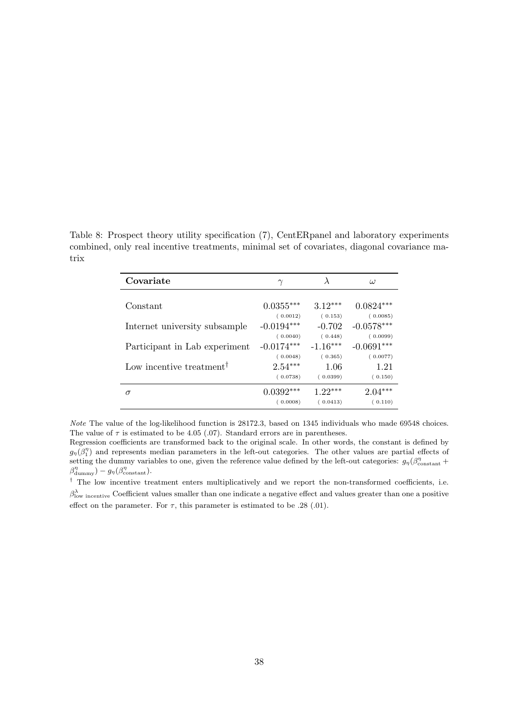Table 8: Prospect theory utility specification [\(7\)](#page-32-0), CentERpanel and laboratory experiments combined, only real incentive treatments, minimal set of covariates, diagonal covariance matrix

| Covariate                            |              |            | $\omega$     |
|--------------------------------------|--------------|------------|--------------|
| Constant                             | $0.0355***$  | $3.12***$  | $0.0824***$  |
| Internet university subsample        | (0.0012)     | (0.153)    | (0.0085)     |
|                                      | $-0.0194***$ | $-0.702$   | $-0.0578***$ |
|                                      | (0.0040)     | (0.448)    | (0.0099)     |
| Participant in Lab experiment        | $-0.0174***$ | $-1.16***$ | $-0.0691***$ |
|                                      | (0.0048)     | (0.365)    | (0.0077)     |
| Low incentive treatment <sup>†</sup> | $2.54***$    | 1.06       | 1.21         |
|                                      | (0.0738)     | (0.0399)   | (0.150)      |
| $\sigma$                             | $0.0392***$  | $1.22***$  | $2.04***$    |
|                                      | (0.0008)     | (0.0413)   | (0.110)      |

Note The value of the log-likelihood function is 28172.3, based on 1345 individuals who made 69548 choices. The value of  $\tau$  is estimated to be 4.05 (.07). Standard errors are in parentheses.

Regression coefficients are transformed back to the original scale. In other words, the constant is defined by  $g_{\eta}(\beta_1^{\eta})$  and represents median parameters in the left-out categories. The other values are partial effects of setting the dummy variables to one, given the reference value defined by the left-out categories:  $g_{\eta}(\beta_{\text{constant}}^{\eta} +$  $\beta_{\text{dummy}}^{\eta}$ ) –  $g_{\eta}(\beta_{\text{constant}}^{\eta})$ .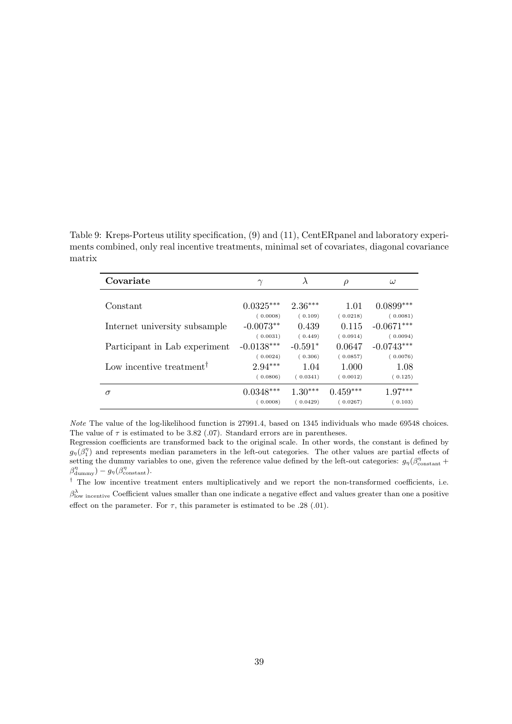<span id="page-40-0"></span>Table 9: Kreps-Porteus utility specification, [\(9\)](#page-33-0) and [\(11\)](#page-33-1), CentERpanel and laboratory experiments combined, only real incentive treatments, minimal set of covariates, diagonal covariance matrix

| Covariate                                                  | $\gamma$     | $\lambda$ | $\rho$     | $\omega$     |
|------------------------------------------------------------|--------------|-----------|------------|--------------|
| Constant                                                   | $0.0325***$  | $2.36***$ | 1.01       | $0.0899***$  |
|                                                            | (0.0008)     | (0.109)   | (0.0218)   | (0.0081)     |
| Internet university subsample                              | $-0.0073**$  | 0.439     | 0.115      | $-0.0671***$ |
|                                                            | (0.0031)     | (0.449)   | (0.0914)   | (0.0094)     |
| Participant in Lab experiment                              | $-0.0138***$ | $-0.591*$ | 0.0647     | $-0.0743***$ |
|                                                            | (0.0024)     | (0.306)   | (0.0857)   | (0.0076)     |
| Low incentive treatment <sup><math>\mathsf{T}</math></sup> | $2.94***$    | 1.04      | 1.000      | 1.08         |
|                                                            | (0.0806)     | (0.0341)  | (0.0012)   | (0.125)      |
| $\sigma$                                                   | $0.0348***$  | $1.30***$ | $0.459***$ | $1.97***$    |
|                                                            | (0.0008)     | (0.0429)  | (0.0267)   | (0.103)      |

Note The value of the log-likelihood function is 27991.4, based on 1345 individuals who made 69548 choices. The value of  $\tau$  is estimated to be 3.82 (.07). Standard errors are in parentheses.

Regression coefficients are transformed back to the original scale. In other words, the constant is defined by  $g_{\eta}(\beta_1^{\eta})$  and represents median parameters in the left-out categories. The other values are partial effects of setting the dummy variables to one, given the reference value defined by the left-out categories:  $g_{\eta}(\beta_{\text{constant}}^{\eta} +$  $\beta_{\text{dummy}}^{\eta}$ ) –  $g_{\eta}(\beta_{\text{constant}}^{\eta})$ .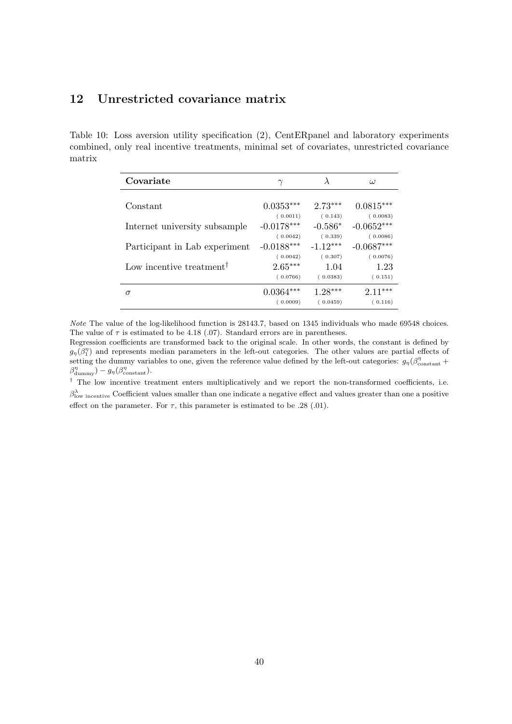### 12 Unrestricted covariance matrix

<span id="page-41-0"></span>Table 10: Loss aversion utility specification [\(2\)](#page-11-1), CentERpanel and laboratory experiments combined, only real incentive treatments, minimal set of covariates, unrestricted covariance matrix

| Covariate                            | $\gamma$              | $\lambda$       | $\omega$         |
|--------------------------------------|-----------------------|-----------------|------------------|
|                                      |                       |                 |                  |
| Constant                             | $0.0353***$           | $2.73***$       | $0.0815***$      |
|                                      | (0.0011)              | (0.143)         | (0.0083)         |
| Internet university subsample        | $-0.0178***$          | $-0.586*$       | $-0.0652***$     |
|                                      | (0.0042)              | (0.339)         | (0.0086)         |
| Participant in Lab experiment        | $-0.0188***$          | $-1.12***$      | $-0.0687***$     |
| Low incentive treatment <sup>†</sup> | (0.0042)<br>$2.65***$ | (0.307)<br>1.04 | (0.0076)<br>1.23 |
|                                      | (0.0766)              | (0.0383)        | (0.151)          |
| $\sigma$                             | $0.0364***$           | $1.28***$       | $2.11***$        |
|                                      | (0.0009)              | (0.0459)        | (0.116)          |

Note The value of the log-likelihood function is 28143.7, based on 1345 individuals who made 69548 choices. The value of  $\tau$  is estimated to be 4.18 (.07). Standard errors are in parentheses.

Regression coefficients are transformed back to the original scale. In other words, the constant is defined by  $g_{\eta}(\beta_1^{\eta})$  and represents median parameters in the left-out categories. The other values are partial effects of setting the dummy variables to one, given the reference value defined by the left-out categories:  $g_{\eta}(\beta_{\text{constant}}^{\eta} +$  $\beta_{\text{dummy}}^{\eta}$ ) –  $g_{\eta}(\beta_{\text{constant}}^{\eta})$ .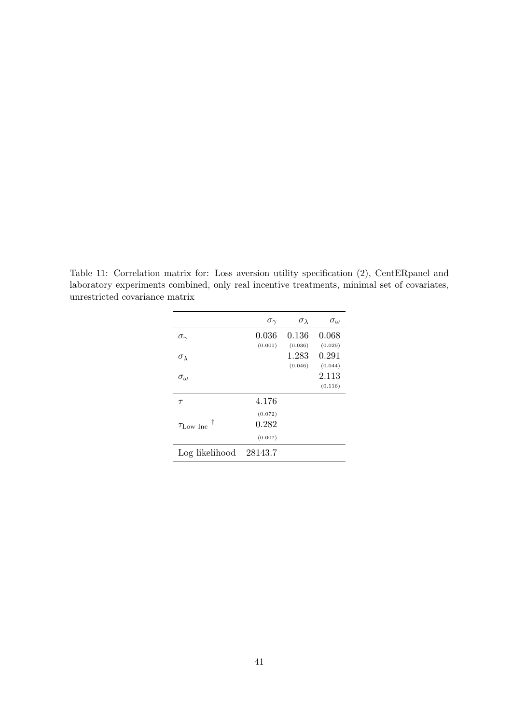<span id="page-42-0"></span>Table 11: Correlation matrix for: Loss aversion utility specification [\(2\)](#page-11-1), CentERpanel and laboratory experiments combined, only real incentive treatments, minimal set of covariates, unrestricted covariance matrix

|                       | $\sigma_{\gamma}$ | $\sigma_{\lambda}$ | $\sigma_{\omega}$ |
|-----------------------|-------------------|--------------------|-------------------|
| $\sigma_{\gamma}$     | 0.036             | 0.136              | 0.068             |
| $\sigma_{\lambda}$    | (0.001)           | (0.036)<br>1.283   | (0.029)<br>0.291  |
|                       |                   | (0.046)            | (0.044)           |
| $\sigma_{\omega}$     |                   |                    | 2.113<br>(0.116)  |
| $\tau$                | 4.176             |                    |                   |
|                       | (0.072)           |                    |                   |
| $\tau_{\rm Low\ Inc}$ | 0.282             |                    |                   |
|                       | (0.007)           |                    |                   |
| Log likelihood        | 28143.7           |                    |                   |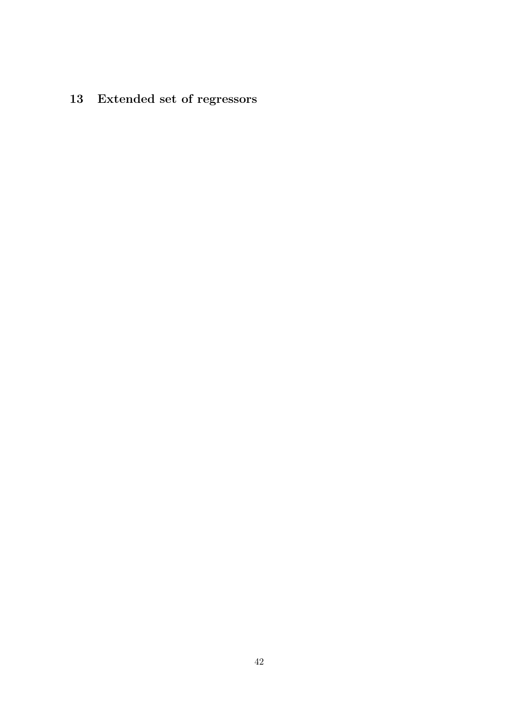## 13 Extended set of regressors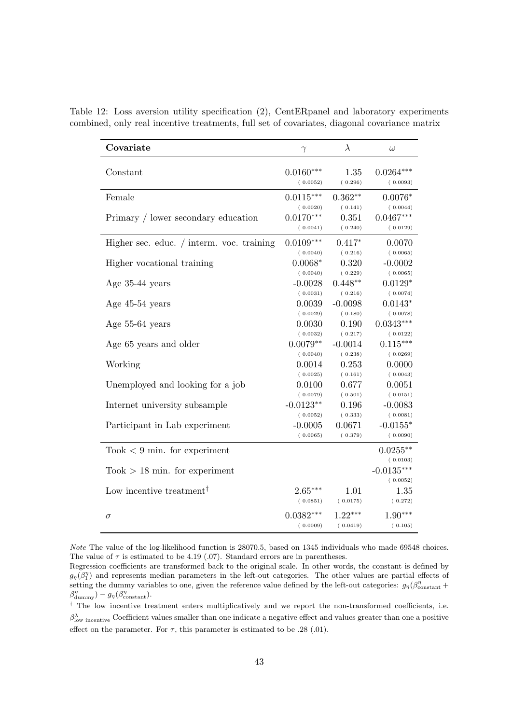<span id="page-44-0"></span>

| Covariate                                 | $\gamma$    | $\lambda$ | $\omega$     |
|-------------------------------------------|-------------|-----------|--------------|
| Constant                                  | $0.0160***$ | 1.35      | $0.0264***$  |
|                                           | (0.0052)    | (0.296)   | (0.0093)     |
| Female                                    | $0.0115***$ | $0.362**$ | $0.0076*$    |
|                                           | (0.0020)    | (0.141)   | (0.0044)     |
| Primary / lower secondary education       | $0.0170***$ | 0.351     | $0.0467***$  |
|                                           | (0.0041)    | (0.240)   | (0.0129)     |
| Higher sec. educ. / interm. voc. training | $0.0109***$ | $0.417*$  | 0.0070       |
|                                           | (0.0040)    | (0.216)   | (0.0065)     |
| Higher vocational training                | $0.0068*$   | 0.320     | $-0.0002$    |
|                                           | (0.0040)    | (0.229)   | (0.0065)     |
| Age 35-44 years                           | $-0.0028$   | $0.448**$ | $0.0129*$    |
|                                           | (0.0031)    | (0.216)   | (0.0074)     |
| Age $45-54$ years                         | 0.0039      | $-0.0098$ | $0.0143*$    |
|                                           | (0.0029)    | (0.180)   | (0.0078)     |
| Age 55-64 years                           | 0.0030      | 0.190     | $0.0343***$  |
|                                           | (0.0032)    | (0.217)   | (0.0122)     |
| Age 65 years and older                    | $0.0079**$  | $-0.0014$ | $0.115***$   |
|                                           | (0.0040)    | (0.238)   | (0.0269)     |
| Working                                   | 0.0014      | 0.253     | 0.0000       |
|                                           | (0.0025)    | (0.161)   | (0.0043)     |
| Unemployed and looking for a job          | 0.0100      | 0.677     | 0.0051       |
|                                           | (0.0079)    | (0.501)   | (0.0151)     |
| Internet university subsample             | $-0.0123**$ | 0.196     | $-0.0083$    |
|                                           | (0.0052)    | (0.333)   | (0.0081)     |
| Participant in Lab experiment             | $-0.0005$   | 0.0671    | $-0.0155*$   |
|                                           | (0.0065)    | (0.379)   | (0.0090)     |
| Took $\lt 9$ min. for experiment          |             |           | $0.0255**$   |
|                                           |             |           | (0.0103)     |
| Took $> 18$ min. for experiment           |             |           | $-0.0135***$ |
|                                           |             |           | (0.0052)     |
| Low incentive treatment <sup>†</sup>      | $2.65***$   | 1.01      | 1.35         |
|                                           | (0.0851)    | (0.0175)  | (0.272)      |
| $\sigma$                                  | $0.0382***$ | $1.22***$ | $1.90***$    |
|                                           | (0.0009)    | (0.0419)  | (0.105)      |
|                                           |             |           |              |

Table 12: Loss aversion utility specification [\(2\)](#page-11-1), CentERpanel and laboratory experiments combined, only real incentive treatments, full set of covariates, diagonal covariance matrix

Note The value of the log-likelihood function is 28070.5, based on 1345 individuals who made 69548 choices. The value of  $\tau$  is estimated to be 4.19 (.07). Standard errors are in parentheses.

Regression coefficients are transformed back to the original scale. In other words, the constant is defined by  $g_{\eta}(\beta_1^{\eta})$  and represents median parameters in the left-out categories. The other values are partial effects of setting the dummy variables to one, given the reference value defined by the left-out categories:  $g_{\eta}(\beta_{\text{constant}}^{\eta} +$  $\beta_{\text{dummy}}^{\eta}$ ) –  $g_{\eta}(\beta_{\text{constant}}^{\eta})$ .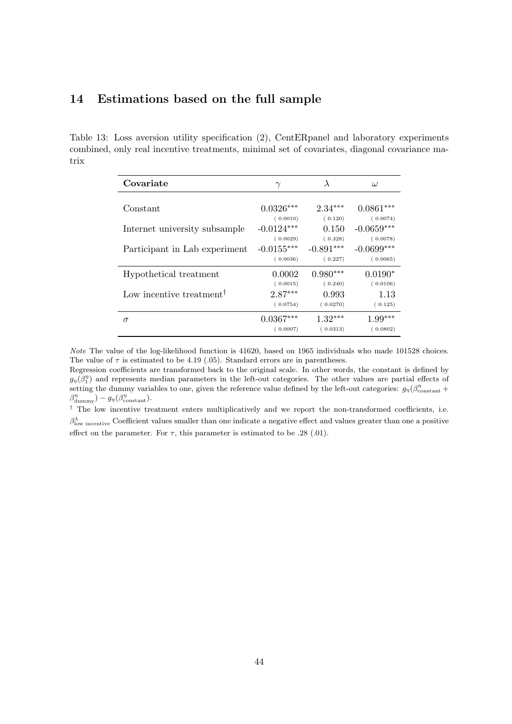### 14 Estimations based on the full sample

Table 13: Loss aversion utility specification [\(2\)](#page-11-1), CentERpanel and laboratory experiments combined, only real incentive treatments, minimal set of covariates, diagonal covariance matrix

<span id="page-45-0"></span>

| Covariate                                                | $\gamma$     | λ           | $\omega$     |
|----------------------------------------------------------|--------------|-------------|--------------|
| Constant                                                 | $0.0326***$  | $2.34***$   | $0.0861***$  |
| Internet university subsample                            | (0.0010)     | (0.120)     | (0.0074)     |
|                                                          | $-0.0124***$ | 0.150       | $-0.0659***$ |
|                                                          | (0.0029)     | (0.328)     | (0.0078)     |
| Participant in Lab experiment                            | $-0.0155***$ | $-0.891***$ | $-0.0699***$ |
|                                                          | (0.0036)     | (0.227)     | (0.0065)     |
| Hypothetical treatment                                   | 0.0002       | $0.980***$  | $0.0190*$    |
|                                                          | (0.0015)     | (0.240)     | (0.0106)     |
| Low incentive treatment <sup><math>\uparrow</math></sup> | $2.87***$    | 0.993       | 1.13         |
|                                                          | (0.0754)     | (0.0270)    | (0.125)      |
| $\sigma$                                                 | $0.0367***$  | $1.32***$   | $1.99***$    |
|                                                          | (0.0007)     | (0.0313)    | (0.0802)     |

Note The value of the log-likelihood function is 41620, based on 1965 individuals who made 101528 choices. The value of  $\tau$  is estimated to be 4.19 (.05). Standard errors are in parentheses.

Regression coefficients are transformed back to the original scale. In other words, the constant is defined by  $g_{\eta}(\beta_1^{\eta})$  and represents median parameters in the left-out categories. The other values are partial effects of setting the dummy variables to one, given the reference value defined by the left-out categories:  $g_{\eta}(\beta_{\text{constant}}^{\eta} +$  $\beta_{\text{dummy}}^{\eta}$ ) –  $g_{\eta}(\beta_{\text{constant}}^{\eta})$ .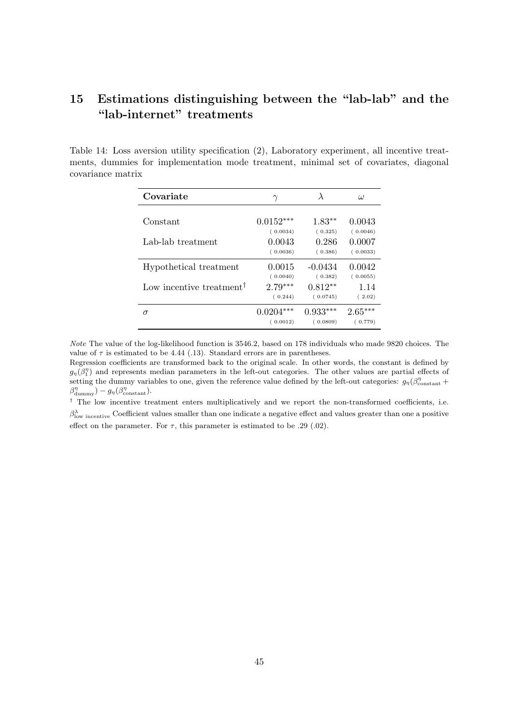## 15 Estimations distinguishing between the "lab-lab" and the "lab-internet" treatments

<span id="page-46-0"></span>Table 14: Loss aversion utility specification [\(2\)](#page-11-1), Laboratory experiment, all incentive treatments, dummies for implementation mode treatment, minimal set of covariates, diagonal covariance matrix

| Covariate                                                | $\gamma$                                      | $\lambda$                               | $\omega$                                 |
|----------------------------------------------------------|-----------------------------------------------|-----------------------------------------|------------------------------------------|
| Constant<br>Lab-lab treatment                            | $0.0152***$<br>(0.0034)<br>0.0043<br>(0.0036) | $1.83**$<br>(0.325)<br>0.286<br>(0.386) | 0.0043<br>(0.0046)<br>0.0007<br>(0.0033) |
| Hypothetical treatment                                   | 0.0015                                        | $-0.0434$                               | 0.0042                                   |
| Low incentive treatment <sup><math>\uparrow</math></sup> | (0.0040)<br>$2.79***$<br>(0.244)              | (0.382)<br>$0.812**$<br>(0.0745)        | (0.0055)<br>1.14<br>(2.02)               |
| $\sigma$                                                 | $0.0204***$<br>(0.0012)                       | $0.933***$<br>(0.0809)                  | $2.65***$<br>(0.779)                     |

Note The value of the log-likelihood function is 3546.2, based on 178 individuals who made 9820 choices. The value of  $\tau$  is estimated to be 4.44 (.13). Standard errors are in parentheses.

Regression coefficients are transformed back to the original scale. In other words, the constant is defined by  $g_{\eta}(\beta_1^{\eta})$  and represents median parameters in the left-out categories. The other values are partial effects of setting the dummy variables to one, given the reference value defined by the left-out categories:  $g_{\eta}(\beta_{\text{constant}}^{\eta} +$  $\beta_{\text{dummy}}^{\eta}$ ) –  $g_{\eta}(\beta_{\text{constant}}^{\eta})$ .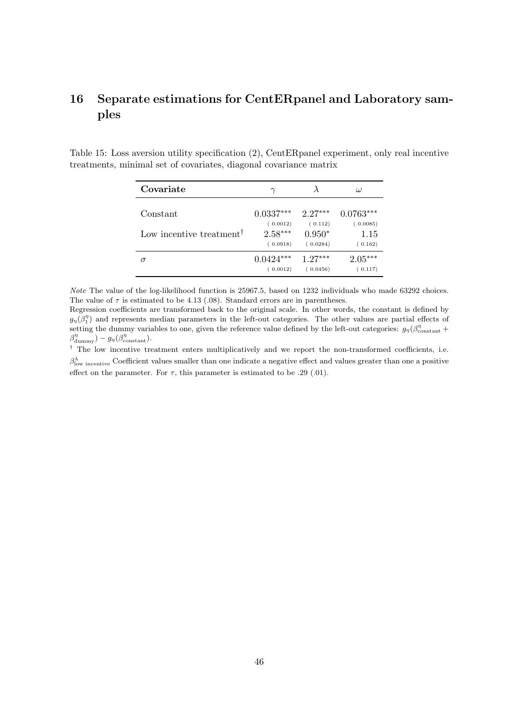## 16 Separate estimations for CentERpanel and Laboratory samples

Table 15: Loss aversion utility specification [\(2\)](#page-11-1), CentERpanel experiment, only real incentive treatments, minimal set of covariates, diagonal covariance matrix

<span id="page-47-0"></span>

| Covariate                            | $\gamma$    |           | $\omega$    |
|--------------------------------------|-------------|-----------|-------------|
| Constant                             | $0.0337***$ | $2.27***$ | $0.0763***$ |
|                                      | (0.0012)    | (0.112)   | (0.0085)    |
| Low incentive treatment <sup>1</sup> | $2.58***$   | $0.950*$  | 1.15        |
|                                      | (0.0918)    | (0.0284)  | (0.162)     |
| $\sigma$                             | $0.0424***$ | $1.27***$ | $2.05***$   |
|                                      | (0.0012)    | (0.0456)  | (0.117)     |

Note The value of the log-likelihood function is 25967.5, based on 1232 individuals who made 63292 choices. The value of  $\tau$  is estimated to be 4.13 (.08). Standard errors are in parentheses.

Regression coefficients are transformed back to the original scale. In other words, the constant is defined by  $g_{\eta}(\beta_1^{\eta})$  and represents median parameters in the left-out categories. The other values are partial effects of setting the dummy variables to one, given the reference value defined by the left-out categories:  $g_{\eta}(\beta_{\text{constant}}^{\eta} +$  $\beta_{\text{dummy}}^{\eta}$ ) –  $g_{\eta}(\beta_{\text{constant}}^{\eta})$ .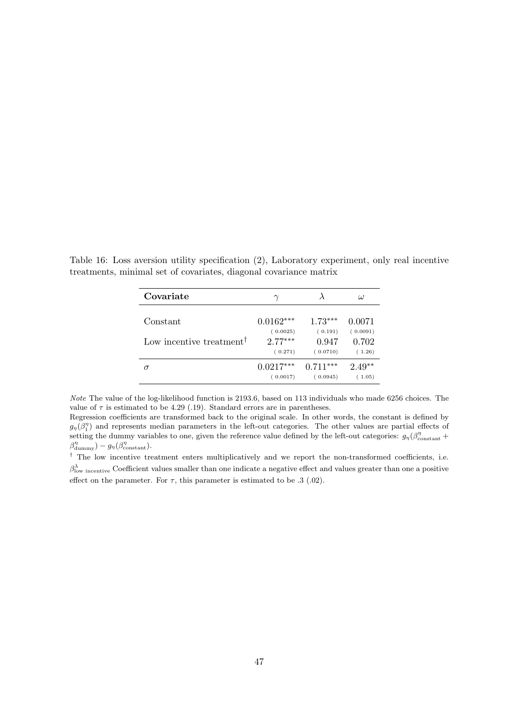<span id="page-48-0"></span>Table 16: Loss aversion utility specification [\(2\)](#page-11-1), Laboratory experiment, only real incentive treatments, minimal set of covariates, diagonal covariance matrix

| Covariate                                                              |                                      |                                    | ω                            |
|------------------------------------------------------------------------|--------------------------------------|------------------------------------|------------------------------|
| Constant<br>Low incentive treatment <sup><math>\mathsf{T}</math></sup> | $0.0162***$<br>(0.0025)<br>$2.77***$ | $1.73***$<br>(0.191)<br>0.947      | 0.0071<br>(0.0091)<br>0.702  |
| $\sigma$                                                               | (0.271)<br>$0.0217***$<br>(0.0017)   | (0.0710)<br>$0.711***$<br>(0.0945) | (1.26)<br>$2.49**$<br>(1.05) |

Note The value of the log-likelihood function is 2193.6, based on 113 individuals who made 6256 choices. The value of  $\tau$  is estimated to be 4.29 (.19). Standard errors are in parentheses.

Regression coefficients are transformed back to the original scale. In other words, the constant is defined by  $g_{\eta}(\beta_1^{\eta})$  and represents median parameters in the left-out categories. The other values are partial effects of setting the dummy variables to one, given the reference value defined by the left-out categories:  $g_{\eta}(\beta_{\text{constant}}^{\eta} +$  $\beta_{\text{dummy}}^{\eta}$ ) –  $g_{\eta}(\beta_{\text{constant}}^{\eta})$ .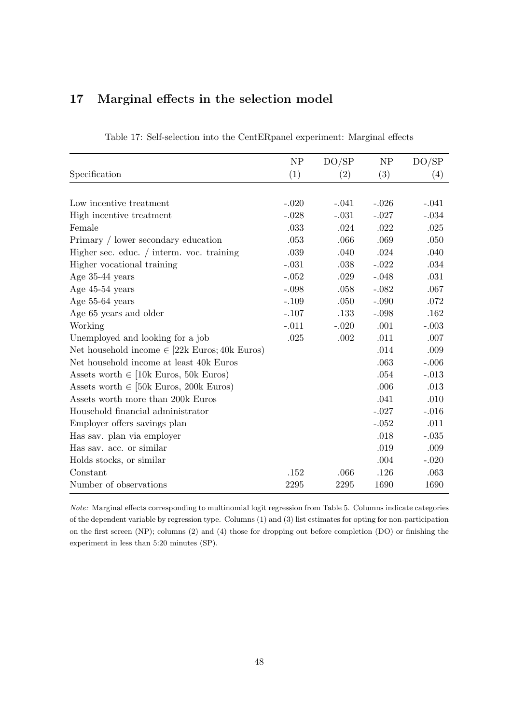|                                                   | NP      | DO/SP   | NP      | DO/SP   |
|---------------------------------------------------|---------|---------|---------|---------|
| Specification                                     | (1)     | (2)     | (3)     | (4)     |
|                                                   |         |         |         |         |
| Low incentive treatment                           | $-.020$ | $-.041$ | $-.026$ | $-.041$ |
| High incentive treatment                          | $-.028$ | $-.031$ | $-.027$ | $-.034$ |
| Female                                            | .033    | .024    | .022    | .025    |
| Primary / lower secondary education               | .053    | .066    | .069    | .050    |
| Higher sec. educ. / interm. voc. training         | .039    | .040    | .024    | .040    |
| Higher vocational training                        | $-.031$ | .038    | $-.022$ | .034    |
| Age 35-44 years                                   | $-.052$ | .029    | $-.048$ | .031    |
| Age 45-54 years                                   | $-.098$ | .058    | $-.082$ | .067    |
| Age 55-64 years                                   | $-.109$ | .050    | $-.090$ | .072    |
| Age 65 years and older                            | $-.107$ | .133    | $-.098$ | .162    |
| Working                                           | $-.011$ | $-.020$ | .001    | $-.003$ |
| Unemployed and looking for a job                  | .025    | .002    | .011    | .007    |
| Net household income $\in$ [22k Euros; 40k Euros) |         |         | .014    | .009    |
| Net household income at least 40k Euros           |         |         | .063    | $-.006$ |
| Assets worth $\in$ [10k Euros, 50k Euros)         |         |         | .054    | $-.013$ |
| Assets worth $\in$ [50k Euros, 200k Euros)        |         |         | .006    | .013    |
| Assets worth more than 200k Euros                 |         |         | .041    | .010    |
| Household financial administrator                 |         |         | $-.027$ | $-.016$ |
| Employer offers savings plan                      |         |         | $-.052$ | .011    |
| Has sav. plan via employer                        |         |         | .018    | $-.035$ |
| Has sav. acc. or similar                          |         |         | .019    | .009    |
| Holds stocks, or similar                          |         |         | .004    | $-.020$ |
| Constant                                          | .152    | .066    | .126    | .063    |
| Number of observations                            | 2295    | 2295    | 1690    | 1690    |

### 17 Marginal effects in the selection model

Table 17: Self-selection into the CentERpanel experiment: Marginal effects

Note: Marginal effects corresponding to multinomial logit regression from Table [5.](#page-21-0) Columns indicate categories of the dependent variable by regression type. Columns (1) and (3) list estimates for opting for non-participation on the first screen (NP); columns (2) and (4) those for dropping out before completion (DO) or finishing the experiment in less than 5:20 minutes (SP).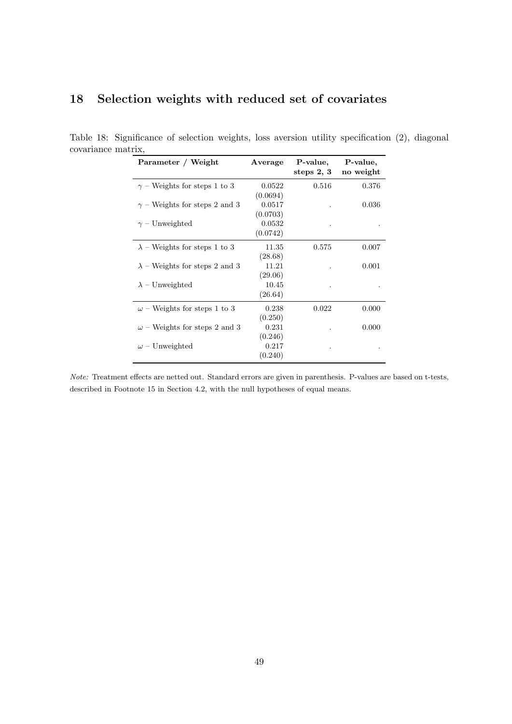## <span id="page-50-0"></span>18 Selection weights with reduced set of covariates

<span id="page-50-1"></span>

| Parameter / Weight                    | Average  | P-value,<br>steps $2, 3$ | P-value,<br>no weight |
|---------------------------------------|----------|--------------------------|-----------------------|
| $\gamma$ – Weights for steps 1 to 3   | 0.0522   | 0.516                    | 0.376                 |
|                                       | (0.0694) |                          |                       |
| $\gamma$ – Weights for steps 2 and 3  | 0.0517   |                          | 0.036                 |
|                                       | (0.0703) |                          |                       |
| $\gamma$ – Unweighted                 | 0.0532   |                          |                       |
|                                       | (0.0742) |                          |                       |
| $\lambda$ – Weights for steps 1 to 3  | 11.35    | 0.575                    | 0.007                 |
|                                       | (28.68)  |                          |                       |
| $\lambda$ – Weights for steps 2 and 3 | 11.21    |                          | 0.001                 |
|                                       | (29.06)  |                          |                       |
| $\lambda$ – Unweighted                | 10.45    |                          |                       |
|                                       | (26.64)  |                          |                       |
| $\omega$ – Weights for steps 1 to 3   | 0.238    | 0.022                    | 0.000                 |
|                                       | (0.250)  |                          |                       |
| $\omega$ – Weights for steps 2 and 3  | 0.231    |                          | 0.000                 |
|                                       | (0.246)  |                          |                       |
| $\omega$ – Unweighted                 | 0.217    |                          |                       |
|                                       | (0.240)  |                          |                       |

Table 18: Significance of selection weights, loss aversion utility specification [\(2\)](#page-11-1), diagonal covariance matrix,  $\overline{\phantom{0}}$ 

Note: Treatment effects are netted out. Standard errors are given in parenthesis. P-values are based on t-tests, described in Footnote [15](#page-22-0) in Section [4.2,](#page-22-0) with the null hypotheses of equal means.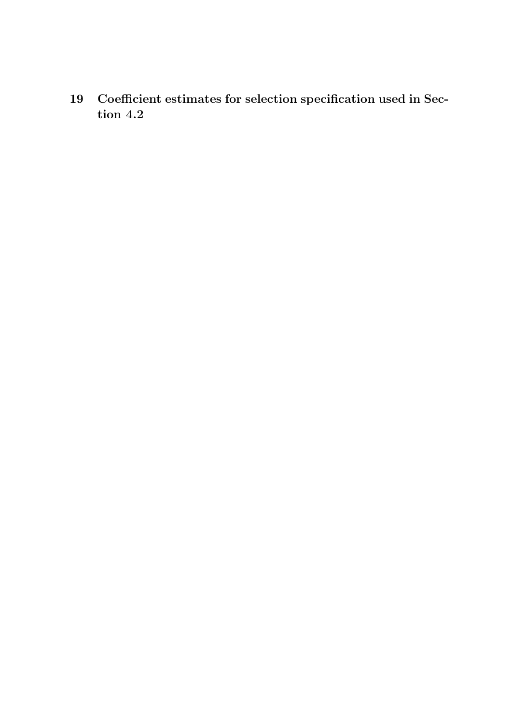19 Coefficient estimates for selection specification used in Section [4.2](#page-22-0)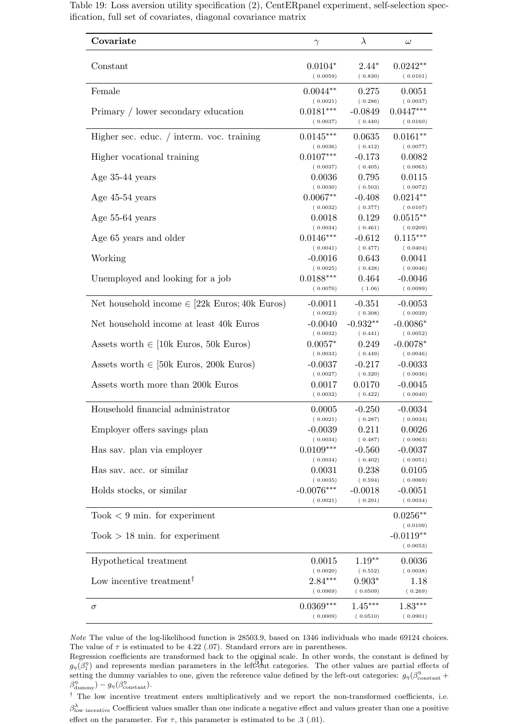<span id="page-52-0"></span>

| Covariate                                         | $\gamma$                 | $\lambda$            | $\omega$                |
|---------------------------------------------------|--------------------------|----------------------|-------------------------|
| Constant                                          | $0.0104*$                | $2.44*$              | $0.0242**$              |
|                                                   | (0.0059)                 | (0.830)              | (0.0101)                |
| Female                                            | $0.0044**$               | 0.275                | 0.0051                  |
|                                                   | (0.0021)<br>$0.0181***$  | (0.286)              | (0.0037)                |
| Primary / lower secondary education               | (0.0037)                 | $-0.0849$<br>(0.440) | $0.0447***$<br>(0.0160) |
| Higher sec. educ. / interm. voc. training         | $0.0145***$              | 0.0635               | $0.0161**$              |
|                                                   | (0.0036)                 | (0.412)              | (0.0077)                |
| Higher vocational training                        | $0.0107***$              | $-0.173$             | 0.0082                  |
|                                                   | (0.0037)                 | (0.405)              | (0.0065)                |
| Age $35-44$ years                                 | 0.0036<br>(0.0030)       | 0.795<br>(0.503)     | 0.0115<br>(0.0072)      |
| Age $45-54$ years                                 | $0.0067**$               | $-0.408$             | $0.0214**$              |
|                                                   | (0.0032)                 | (0.377)              | (0.0107)                |
| Age 55-64 years                                   | 0.0018                   | 0.129                | $0.0515***$             |
|                                                   | (0.0034)                 | (0.461)              | (0.0209)                |
| Age 65 years and older                            | $0.0146***$              | $-0.612$             | $0.115***$              |
| Working                                           | (0.0041)<br>$-0.0016$    | (0.477)<br>0.643     | (0.0404)<br>0.0041      |
|                                                   | (0.0025)                 | (0.438)              | (0.0046)                |
| Unemployed and looking for a job                  | $0.0188***$              | 0.464                | $-0.0046$               |
|                                                   | (0.0070)                 | (1.06)               | (0.0099)                |
| Net household income $\in$ [22k Euros; 40k Euros) | $-0.0011$                | $-0.351$             | $-0.0053$               |
|                                                   | (0.0023)                 | (0.308)              | (0.0039)                |
| Net household income at least 40k Euros           | $-0.0040$                | $-0.932**$           | $-0.0086*$              |
|                                                   | (0.0032)                 | (0.441)              | (0.0052)                |
| Assets worth $\in$ [10k Euros, 50k Euros)         | $0.0057*$                | 0.249                | $-0.0078*$              |
|                                                   | (0.0033)                 | (0.449)              | (0.0046)                |
| Assets worth $\in$ [50k Euros, 200k Euros)        | $-0.0037$<br>(0.0027)    | $-0.217$<br>(0.320)  | $-0.0033$<br>(0.0036)   |
| Assets worth more than 200k Euros                 | 0.0017                   | 0.0170               | $-0.0045$               |
|                                                   | (0.0032)                 | (0.422)              | (0.0040)                |
| Household financial administrator                 | 0.0005                   | $-0.250$             | $-0.0034$               |
|                                                   | (0.0021)                 | (0.287)              | (0.0034)                |
| Employer offers savings plan                      | $-0.0039$                | 0.211                | 0.0026                  |
|                                                   | (0.0034)                 | (0.487)              | (0.0063)                |
| Has say. plan via employer                        | $0.0109***$              | $-0.560$             | $-0.0037$               |
|                                                   | (0.0034)                 | (0.402)              | (0.0051)                |
| Has sav. acc. or similar                          | 0.0031                   | 0.238                | 0.0105                  |
| Holds stocks, or similar                          | (0.0035)<br>$-0.0076***$ | (0.594)<br>$-0.0018$ | (0.0069)<br>$-0.0051$   |
|                                                   | (0.0021)                 | (0.291)              | (0.0034)                |
| Took $<$ 9 min. for experiment                    |                          |                      | $0.0256**$              |
|                                                   |                          |                      | (0.0109)                |
| Took $> 18$ min. for experiment                   |                          |                      | $-0.0119**$             |
|                                                   |                          |                      | (0.0053)                |
| Hypothetical treatment                            | 0.0015                   | $1.19**$             | 0.0036                  |
|                                                   | (0.0020)                 | (0.552)              | (0.0038)                |
| Low incentive treatment <sup>†</sup>              | $2.84***$                | $0.903*$             | 1.18                    |
|                                                   | (0.0969)                 | (0.0509)             | (0.269)                 |
| $\sigma$                                          | $0.0369***$              | $1.45***$            | $1.83***$               |
|                                                   | (0.0009)                 | (0.0510)             | (0.0901)                |

Table 19: Loss aversion utility specification [\(2\)](#page-11-1), CentERpanel experiment, self-selection specification, full set of covariates, diagonal covariance matrix

Note The value of the log-likelihood function is 28503.9, based on 1346 individuals who made 69124 choices. The value of  $\tau$  is estimated to be 4.22 (.07). Standard errors are in parentheses.

Regression coefficients are transformed back to the original scale. In other words, the constant is defined by  $g_{\eta}(\beta_1^n)$  and represents median parameters in the left-out categories. The other values are partial effects of setting the dummy variables to one, given the reference value defined by the left-out categories:  $g_{\eta}(\beta_{\text{constant}}^{\eta} +$  $\beta_{\text{dummy}}^{\eta}$ ) –  $g_{\eta}(\beta_{\text{constant}}^{\eta})$ .

<sup>†</sup> The low incentive treatment enters multiplicatively and we report the non-transformed coefficients, i.e.  $\beta_{\text{low incentive}}^{\lambda}$  Coefficient values smaller than one indicate a negative effect and values greater than one a positive effect on the parameter. For  $\tau$ , this parameter is estimated to be .3 (.01).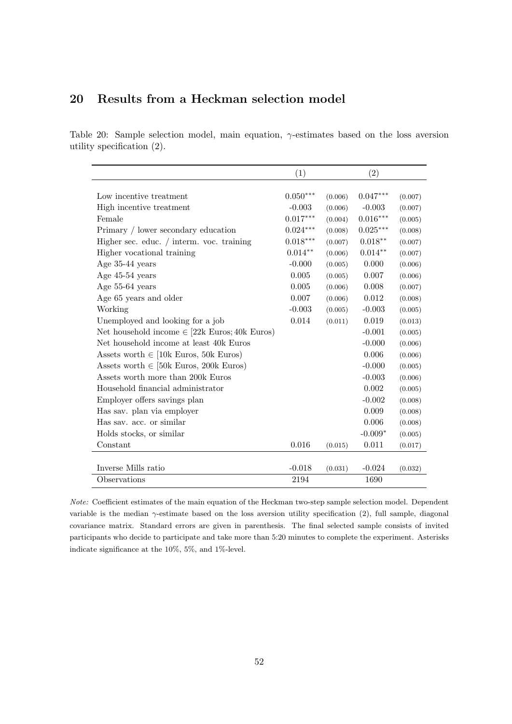## 20 Results from a Heckman selection model

Table 20: Sample selection model, main equation,  $\gamma$ -estimates based on the loss aversion utility specification [\(2\)](#page-11-1).

<span id="page-53-0"></span>

|                                                   | (1)        |         | (2)        |         |
|---------------------------------------------------|------------|---------|------------|---------|
|                                                   |            |         |            |         |
| Low incentive treatment                           | $0.050***$ | (0.006) | $0.047***$ | (0.007) |
| High incentive treatment                          | $-0.003$   | (0.006) | $-0.003$   | (0.007) |
| Female                                            | $0.017***$ | (0.004) | $0.016***$ | (0.005) |
| Primary / lower secondary education               | $0.024***$ | (0.008) | $0.025***$ | (0.008) |
| Higher sec. educ. / interm. voc. training         | $0.018***$ | (0.007) | $0.018**$  | (0.007) |
| Higher vocational training                        | $0.014**$  | (0.006) | $0.014**$  | (0.007) |
| Age 35-44 years                                   | $-0.000$   | (0.005) | 0.000      | (0.006) |
| Age 45-54 years                                   | 0.005      | (0.005) | 0.007      | (0.006) |
| Age 55-64 years                                   | 0.005      | (0.006) | 0.008      | (0.007) |
| Age 65 years and older                            | 0.007      | (0.006) | 0.012      | (0.008) |
| Working                                           | $-0.003$   | (0.005) | $-0.003$   | (0.005) |
| Unemployed and looking for a job                  | 0.014      | (0.011) | 0.019      | (0.013) |
| Net household income $\in$ [22k Euros; 40k Euros) |            |         | $-0.001$   | (0.005) |
| Net household income at least 40k Euros           |            |         | $-0.000$   | (0.006) |
| Assets worth $\in$ [10k Euros, 50k Euros)         |            |         | 0.006      | (0.006) |
| Assets worth $\in$ [50k Euros, 200k Euros)        |            |         | $-0.000$   | (0.005) |
| Assets worth more than 200k Euros                 |            |         | $-0.003$   | (0.006) |
| Household financial administrator                 |            |         | 0.002      | (0.005) |
| Employer offers savings plan                      |            |         | $-0.002$   | (0.008) |
| Has sav. plan via employer                        |            |         | 0.009      | (0.008) |
| Has say, acc. or similar                          |            |         | 0.006      | (0.008) |
| Holds stocks, or similar                          |            |         | $-0.009*$  | (0.005) |
| Constant                                          | 0.016      | (0.015) | 0.011      | (0.017) |
|                                                   |            |         |            |         |
| Inverse Mills ratio                               | $-0.018$   | (0.031) | $-0.024$   | (0.032) |
| Observations                                      | 2194       |         | 1690       |         |

Note: Coefficient estimates of the main equation of the Heckman two-step sample selection model. Dependent variable is the median  $\gamma$ -estimate based on the loss aversion utility specification [\(2\)](#page-11-1), full sample, diagonal covariance matrix. Standard errors are given in parenthesis. The final selected sample consists of invited participants who decide to participate and take more than 5:20 minutes to complete the experiment. Asterisks indicate significance at the 10%, 5%, and 1%-level.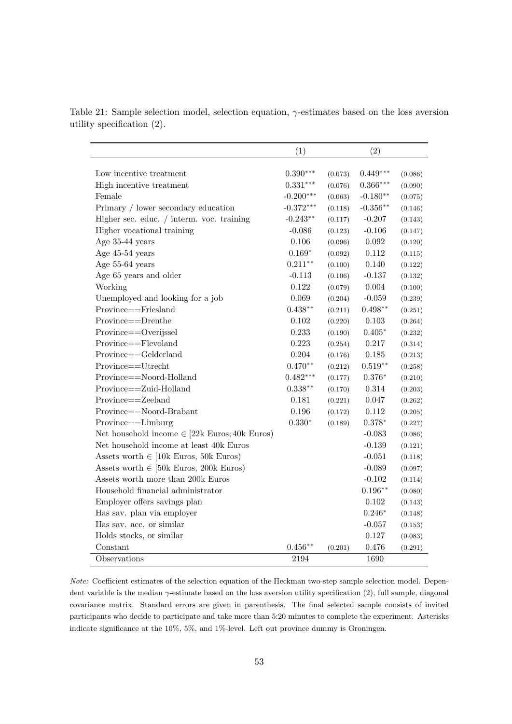|                                                   | (1)         |         | (2)         |         |
|---------------------------------------------------|-------------|---------|-------------|---------|
|                                                   |             |         |             |         |
| Low incentive treatment                           | $0.390***$  | (0.073) | $0.449***$  | (0.086) |
| High incentive treatment                          | $0.331***$  | (0.076) | $0.366***$  | (0.090) |
| Female                                            | $-0.200***$ | (0.063) | $-0.180**$  | (0.075) |
| Primary / lower secondary education               | $-0.372***$ | (0.118) | $-0.356**$  | (0.146) |
| Higher sec. educ. / interm. voc. training         | $-0.243**$  | (0.117) | $-0.207$    | (0.143) |
| Higher vocational training                        | $-0.086$    | (0.123) | $-0.106$    | (0.147) |
| Age 35-44 years                                   | 0.106       | (0.096) | $\,0.092\,$ | (0.120) |
| Age 45-54 years                                   | $0.169*$    | (0.092) | 0.112       | (0.115) |
| Age 55-64 years                                   | $0.211***$  | (0.100) | 0.140       | (0.122) |
| Age 65 years and older                            | $-0.113$    | (0.106) | $-0.137$    | (0.132) |
| Working                                           | 0.122       | (0.079) | 0.004       | (0.100) |
| Unemployed and looking for a job                  | 0.069       | (0.204) | $-0.059$    | (0.239) |
| Province==Friesland                               | $0.438**$   | (0.211) | $0.498**$   | (0.251) |
| Province==Drenthe                                 | 0.102       | (0.220) | 0.103       | (0.264) |
| Province==Overijssel                              | 0.233       | (0.190) | $0.405*$    | (0.232) |
| Province==Flevoland                               | 0.223       | (0.254) | 0.217       | (0.314) |
| Province==Gelderland                              | 0.204       | (0.176) | $0.185\,$   | (0.213) |
| $Province = = Utrecht$                            | $0.470**$   | (0.212) | $0.519**$   | (0.258) |
| Province==Noord-Holland                           | $0.482***$  | (0.177) | $0.376*$    | (0.210) |
| Province==Zuid-Holland                            | $0.338**$   | (0.170) | $0.314\,$   | (0.203) |
| Province==Zeeland                                 | 0.181       | (0.221) | 0.047       | (0.262) |
| Province==Noord-Brabant                           | $0.196\,$   | (0.172) | 0.112       | (0.205) |
| Province==Limburg                                 | $0.330*$    | (0.189) | $0.378*$    | (0.227) |
| Net household income $\in$ [22k Euros; 40k Euros) |             |         | $-0.083$    | (0.086) |
| Net household income at least 40k Euros           |             |         | $-0.139$    | (0.121) |
| Assets worth $\in$ [10k Euros, 50k Euros)         |             |         | $-0.051$    | (0.118) |
| Assets worth $\in$ [50k Euros, 200k Euros)        |             |         | $-0.089$    | (0.097) |
| Assets worth more than 200k Euros                 |             |         | $-0.102$    | (0.114) |
| Household financial administrator                 |             |         | $0.196**$   | (0.080) |
| Employer offers savings plan                      |             |         | 0.102       | (0.143) |
| Has sav. plan via employer                        |             |         | $0.246*$    | (0.148) |
| Has sav. acc. or similar                          |             |         | $-0.057$    | (0.153) |
| Holds stocks, or similar                          |             |         | 0.127       | (0.083) |
| Constant                                          | $0.456**$   | (0.201) | 0.476       | (0.291) |
| Observations                                      | 2194        |         | 1690        |         |

Table 21: Sample selection model, selection equation, γ-estimates based on the loss aversion utility specification [\(2\)](#page-11-1).

Note: Coefficient estimates of the selection equation of the Heckman two-step sample selection model. Dependent variable is the median γ-estimate based on the loss aversion utility specification [\(2\)](#page-11-1), full sample, diagonal covariance matrix. Standard errors are given in parenthesis. The final selected sample consists of invited participants who decide to participate and take more than 5:20 minutes to complete the experiment. Asterisks indicate significance at the 10%, 5%, and 1%-level. Left out province dummy is Groningen.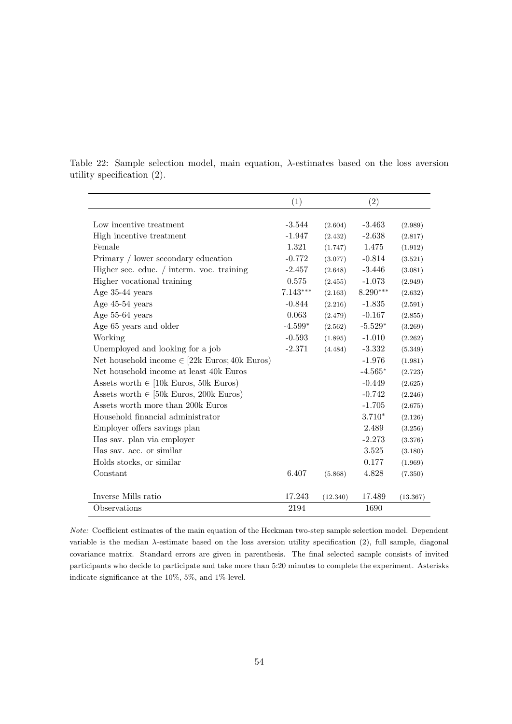|                                                   | (1)        |          | (2)        |          |
|---------------------------------------------------|------------|----------|------------|----------|
|                                                   |            |          |            |          |
| Low incentive treatment                           | $-3.544$   | (2.604)  | $-3.463$   | (2.989)  |
| High incentive treatment                          | $-1.947$   | (2.432)  | $-2.638$   | (2.817)  |
| Female                                            | 1.321      | (1.747)  | 1.475      | (1.912)  |
| Primary / lower secondary education               | $-0.772$   | (3.077)  | $-0.814$   | (3.521)  |
| Higher sec. educ. / interm. voc. training         | $-2.457$   | (2.648)  | $-3.446$   | (3.081)  |
| Higher vocational training                        | 0.575      | (2.455)  | $-1.073$   | (2.949)  |
| Age 35-44 years                                   | $7.143***$ | (2.163)  | $8.290***$ | (2.632)  |
| Age 45-54 years                                   | $-0.844$   | (2.216)  | $-1.835$   | (2.591)  |
| Age 55-64 years                                   | 0.063      | (2.479)  | $-0.167$   | (2.855)  |
| Age 65 years and older                            | $-4.599*$  | (2.562)  | $-5.529*$  | (3.269)  |
| Working                                           | $-0.593$   | (1.895)  | $-1.010$   | (2.262)  |
| Unemployed and looking for a job                  | $-2.371$   | (4.484)  | $-3.332$   | (5.349)  |
| Net household income $\in$ [22k Euros; 40k Euros) |            |          | $-1.976$   | (1.981)  |
| Net household income at least 40k Euros           |            |          | $-4.565*$  | (2.723)  |
| Assets worth $\in$ [10k Euros, 50k Euros)         |            |          | $-0.449$   | (2.625)  |
| Assets worth $\in$ [50k Euros, 200k Euros)        |            |          | $-0.742$   | (2.246)  |
| Assets worth more than 200k Euros                 |            |          | $-1.705$   | (2.675)  |
| Household financial administrator                 |            |          | $3.710*$   | (2.126)  |
| Employer offers savings plan                      |            |          | 2.489      | (3.256)  |
| Has sav. plan via employer                        |            |          | $-2.273$   | (3.376)  |
| Has sav. acc. or similar                          |            |          | 3.525      | (3.180)  |
| Holds stocks, or similar                          |            |          | 0.177      | (1.969)  |
| Constant                                          | 6.407      | (5.868)  | 4.828      | (7.350)  |
|                                                   |            |          |            |          |
| Inverse Mills ratio                               | 17.243     | (12.340) | 17.489     | (13.367) |
| Observations                                      | 2194       |          | 1690       |          |

Table 22: Sample selection model, main equation, λ-estimates based on the loss aversion utility specification [\(2\)](#page-11-1).

Note: Coefficient estimates of the main equation of the Heckman two-step sample selection model. Dependent variable is the median  $\lambda$ -estimate based on the loss aversion utility specification [\(2\)](#page-11-1), full sample, diagonal covariance matrix. Standard errors are given in parenthesis. The final selected sample consists of invited participants who decide to participate and take more than 5:20 minutes to complete the experiment. Asterisks indicate significance at the 10%, 5%, and 1%-level.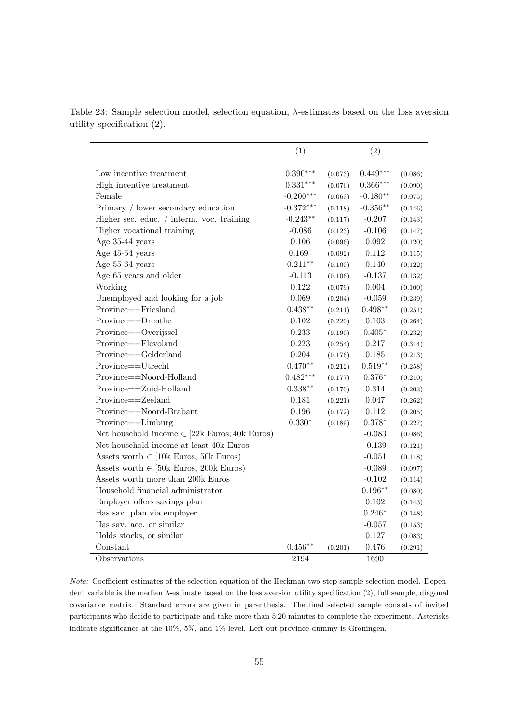|                                                   | (1)         |         | (2)         |         |
|---------------------------------------------------|-------------|---------|-------------|---------|
|                                                   |             |         |             |         |
| Low incentive treatment                           | $0.390***$  | (0.073) | $0.449***$  | (0.086) |
| High incentive treatment                          | $0.331***$  | (0.076) | $0.366***$  | (0.090) |
| Female                                            | $-0.200***$ | (0.063) | $-0.180**$  | (0.075) |
| Primary / lower secondary education               | $-0.372***$ | (0.118) | $-0.356**$  | (0.146) |
| Higher sec. educ. / interm. voc. training         | $-0.243**$  | (0.117) | $-0.207$    | (0.143) |
| Higher vocational training                        | $-0.086$    | (0.123) | $-0.106$    | (0.147) |
| Age 35-44 years                                   | 0.106       | (0.096) | $\,0.092\,$ | (0.120) |
| Age 45-54 years                                   | $0.169*$    | (0.092) | $0.112\,$   | (0.115) |
| Age 55-64 years                                   | $0.211***$  | (0.100) | 0.140       | (0.122) |
| Age 65 years and older                            | $-0.113$    | (0.106) | $-0.137$    | (0.132) |
| Working                                           | 0.122       | (0.079) | 0.004       | (0.100) |
| Unemployed and looking for a job                  | 0.069       | (0.204) | $-0.059$    | (0.239) |
| Province==Friesland                               | $0.438**$   | (0.211) | $0.498**$   | (0.251) |
| Province==Drenthe                                 | 0.102       | (0.220) | 0.103       | (0.264) |
| Province==Overijssel                              | 0.233       | (0.190) | $0.405*$    | (0.232) |
| Province==Flevoland                               | 0.223       | (0.254) | 0.217       | (0.314) |
| Province==Gelderland                              | 0.204       | (0.176) | $0.185\,$   | (0.213) |
| $Province = = Utrecht$                            | $0.470**$   | (0.212) | $0.519**$   | (0.258) |
| Province==Noord-Holland                           | $0.482***$  | (0.177) | $0.376*$    | (0.210) |
| Province==Zuid-Holland                            | $0.338**$   | (0.170) | $0.314\,$   | (0.203) |
| Province==Zeeland                                 | 0.181       | (0.221) | 0.047       | (0.262) |
| Province==Noord-Brabant                           | 0.196       | (0.172) | 0.112       | (0.205) |
| Province==Limburg                                 | $0.330*$    | (0.189) | $0.378*$    | (0.227) |
| Net household income $\in$ [22k Euros; 40k Euros) |             |         | $-0.083$    | (0.086) |
| Net household income at least 40k Euros           |             |         | $-0.139$    | (0.121) |
| Assets worth $\in$ [10k Euros, 50k Euros)         |             |         | $-0.051$    | (0.118) |
| Assets worth $\in$ [50k Euros, 200k Euros)        |             |         | $-0.089$    | (0.097) |
| Assets worth more than 200k Euros                 |             |         | $-0.102$    | (0.114) |
| Household financial administrator                 |             |         | $0.196**$   | (0.080) |
| Employer offers savings plan                      |             |         | 0.102       | (0.143) |
| Has sav. plan via employer                        |             |         | $0.246*$    | (0.148) |
| Has sav. acc. or similar                          |             |         | $-0.057$    | (0.153) |
| Holds stocks, or similar                          |             |         | $0.127\,$   | (0.083) |
| Constant                                          | $0.456**$   | (0.201) | 0.476       | (0.291) |
| Observations                                      | 2194        |         | 1690        |         |

Table 23: Sample selection model, selection equation, λ-estimates based on the loss aversion utility specification [\(2\)](#page-11-1).

Note: Coefficient estimates of the selection equation of the Heckman two-step sample selection model. Dependent variable is the median λ-estimate based on the loss aversion utility specification [\(2\)](#page-11-1), full sample, diagonal covariance matrix. Standard errors are given in parenthesis. The final selected sample consists of invited participants who decide to participate and take more than 5:20 minutes to complete the experiment. Asterisks indicate significance at the 10%, 5%, and 1%-level. Left out province dummy is Groningen.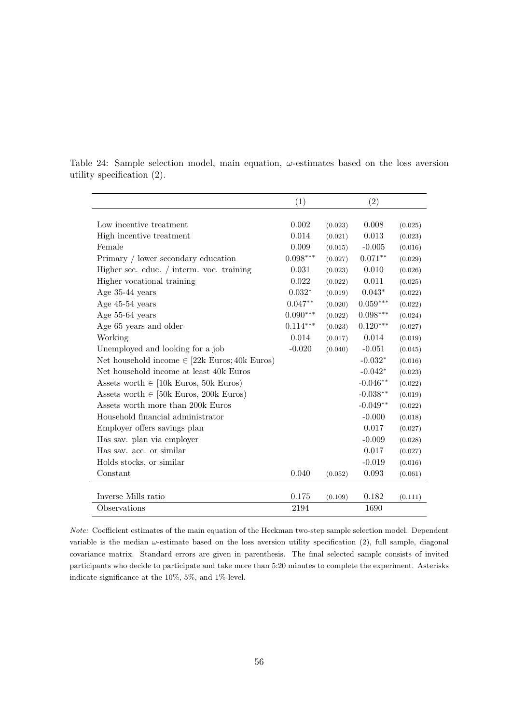|                                                   | (1)        |         | (2)        |         |
|---------------------------------------------------|------------|---------|------------|---------|
|                                                   |            |         |            |         |
| Low incentive treatment                           | 0.002      | (0.023) | 0.008      | (0.025) |
| High incentive treatment                          | 0.014      | (0.021) | 0.013      | (0.023) |
| Female                                            | 0.009      | (0.015) | $-0.005$   | (0.016) |
| Primary / lower secondary education               | $0.098***$ | (0.027) | $0.071**$  | (0.029) |
| Higher sec. educ. / interm. voc. training         | 0.031      | (0.023) | 0.010      | (0.026) |
| Higher vocational training                        | 0.022      | (0.022) | 0.011      | (0.025) |
| Age 35-44 years                                   | $0.032*$   | (0.019) | $0.043*$   | (0.022) |
| Age 45-54 years                                   | $0.047**$  | (0.020) | $0.059***$ | (0.022) |
| Age 55-64 years                                   | $0.090***$ | (0.022) | $0.098***$ | (0.024) |
| Age 65 years and older                            | $0.114***$ | (0.023) | $0.120***$ | (0.027) |
| Working                                           | 0.014      | (0.017) | 0.014      | (0.019) |
| Unemployed and looking for a job                  | $-0.020$   | (0.040) | $-0.051$   | (0.045) |
| Net household income $\in$ [22k Euros; 40k Euros) |            |         | $-0.032*$  | (0.016) |
| Net household income at least 40k Euros           |            |         | $-0.042*$  | (0.023) |
| Assets worth $\in$ [10k Euros, 50k Euros)         |            |         | $-0.046**$ | (0.022) |
| Assets worth $\in$ [50k Euros, 200k Euros)        |            |         | $-0.038**$ | (0.019) |
| Assets worth more than 200k Euros                 |            |         | $-0.049**$ | (0.022) |
| Household financial administrator                 |            |         | $-0.000$   | (0.018) |
| Employer offers savings plan                      |            |         | 0.017      | (0.027) |
| Has sav. plan via employer                        |            |         | $-0.009$   | (0.028) |
| Has say, acc. or similar                          |            |         | 0.017      | (0.027) |
| Holds stocks, or similar                          |            |         | $-0.019$   | (0.016) |
| Constant                                          | 0.040      | (0.052) | 0.093      | (0.061) |
|                                                   |            |         |            |         |
| Inverse Mills ratio                               | 0.175      | (0.109) | 0.182      | (0.111) |
| Observations                                      | 2194       |         | 1690       |         |

Table 24: Sample selection model, main equation,  $\omega$ -estimates based on the loss aversion utility specification [\(2\)](#page-11-1).

Note: Coefficient estimates of the main equation of the Heckman two-step sample selection model. Dependent variable is the median  $\omega$ -estimate based on the loss aversion utility specification [\(2\)](#page-11-1), full sample, diagonal covariance matrix. Standard errors are given in parenthesis. The final selected sample consists of invited participants who decide to participate and take more than 5:20 minutes to complete the experiment. Asterisks indicate significance at the 10%, 5%, and 1%-level.